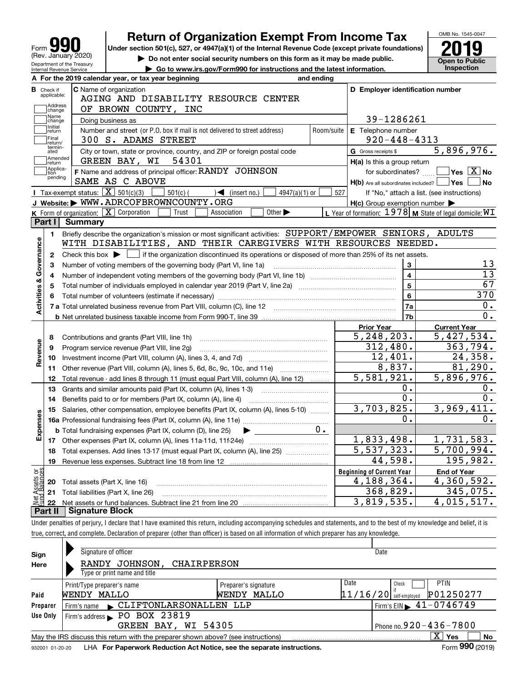| 191<br>Form                                            |
|--------------------------------------------------------|
| (Rev. January 2020)                                    |
| Department of the Treasury<br>Internal Revenue Service |

# **Return of Organization Exempt From Income Tax**

**Under section 501(c), 527, or 4947(a)(1) of the Internal Revenue Code (except private foundations) 2019**

**| Do not enter social security numbers on this form as it may be made public.**

**Open to Public** 

OMB No. 1545-0047

| $\triangleright$ Do not enter social security numbers on this form as it may be made public. |  |
|----------------------------------------------------------------------------------------------|--|
| $\triangleright$ Go to www.irs.gov/Form990 for instructions and the latest information.      |  |

|                         |                                  | A For the 2019 calendar year, or tax year beginning                                                                                    | and ending |                                                                       |                                                             |
|-------------------------|----------------------------------|----------------------------------------------------------------------------------------------------------------------------------------|------------|-----------------------------------------------------------------------|-------------------------------------------------------------|
|                         | <b>B</b> Check if<br>applicable: | <b>C</b> Name of organization<br>AGING AND DISABILITY RESOURCE CENTER                                                                  |            | D Employer identification number                                      |                                                             |
|                         | Address<br>change                | OF BROWN COUNTY, INC                                                                                                                   |            |                                                                       |                                                             |
|                         | ,<br> Name<br> change            | Doing business as                                                                                                                      |            | 39-1286261                                                            |                                                             |
|                         | Initial<br>return                | Number and street (or P.O. box if mail is not delivered to street address)                                                             | Room/suite | E Telephone number                                                    |                                                             |
|                         | Final<br>Ireturn/                | 300 S. ADAMS STREET                                                                                                                    |            | $920 - 448 - 4313$                                                    |                                                             |
|                         | termin-<br>ated                  | City or town, state or province, country, and ZIP or foreign postal code                                                               |            | G Gross receipts \$                                                   | 5,896,976.                                                  |
|                         | Amended<br>∣return               | GREEN BAY, WI 54301                                                                                                                    |            | H(a) Is this a group return                                           |                                                             |
|                         | Applica-<br>tion<br>pending      | F Name and address of principal officer: RANDY JOHNSON<br>SAME AS C ABOVE                                                              |            | for subordinates?<br>$H(b)$ Are all subordinates included? $\Box$ Yes | $\blacksquare$ Yes $\boxed{\text{X}}$ No<br>∣No             |
|                         |                                  | Tax-exempt status: $\boxed{\mathbf{X}}$ 501(c)(3)<br>$501(c)$ (<br>4947(a)(1) or<br>$\sqrt{\phantom{a}}$ (insert no.)                  | 527        |                                                                       | If "No," attach a list. (see instructions)                  |
|                         |                                  | J Website: WWW.ADRCOFBROWNCOUNTY.ORG                                                                                                   |            | $H(c)$ Group exemption number $\blacktriangleright$                   |                                                             |
|                         |                                  | <b>K</b> Form of organization: $\boxed{\mathbf{X}}$ Corporation<br>Other $\blacktriangleright$<br>Trust<br>Association                 |            |                                                                       | L Year of formation: $1978$ M State of legal domicile: $WT$ |
|                         | Part I                           | <b>Summary</b>                                                                                                                         |            |                                                                       |                                                             |
|                         | $\mathbf{1}$                     | Briefly describe the organization's mission or most significant activities: SUPPORT/EMPOWER SENIORS, ADULTS                            |            |                                                                       |                                                             |
| Activities & Governance |                                  | WITH DISABILITIES, AND THEIR CAREGIVERS WITH RESOURCES NEEDED.                                                                         |            |                                                                       |                                                             |
|                         | $\mathbf{2}$                     | Check this box $\blacktriangleright$   if the organization discontinued its operations or disposed of more than 25% of its net assets. |            |                                                                       |                                                             |
|                         | 3                                | Number of voting members of the governing body (Part VI, line 1a)                                                                      |            | 3                                                                     | 13                                                          |
|                         | 4                                |                                                                                                                                        |            | $\overline{\mathbf{4}}$                                               | $\overline{13}$                                             |
|                         | 5                                | Total number of individuals employed in calendar year 2019 (Part V, line 2a) manufacture of individuals                                |            | 5                                                                     | 67                                                          |
|                         | 6                                |                                                                                                                                        |            | 6                                                                     | 370                                                         |
|                         |                                  |                                                                                                                                        |            | 7a                                                                    | 0.                                                          |
|                         |                                  |                                                                                                                                        |            | 7b                                                                    | $\overline{0}$ .                                            |
|                         |                                  |                                                                                                                                        |            | <b>Prior Year</b>                                                     | <b>Current Year</b>                                         |
|                         | 8                                | Contributions and grants (Part VIII, line 1h)                                                                                          |            | $\overline{5,248,203}$ .                                              | 5,427,534.                                                  |
| Revenue                 | 9                                | Program service revenue (Part VIII, line 2q)                                                                                           |            | 312,480.                                                              | 363,794.                                                    |
|                         | 10                               |                                                                                                                                        |            | 12,401.                                                               | 24,358.                                                     |
|                         | 11                               | Other revenue (Part VIII, column (A), lines 5, 6d, 8c, 9c, 10c, and 11e)                                                               |            | 8,837.                                                                | 81, 290.                                                    |
|                         | 12                               | Total revenue - add lines 8 through 11 (must equal Part VIII, column (A), line 12)                                                     |            | 5,581,921.                                                            | 5,896,976.                                                  |
|                         | 13                               | Grants and similar amounts paid (Part IX, column (A), lines 1-3)                                                                       |            | 0.                                                                    | 0.                                                          |
|                         | 14                               | Benefits paid to or for members (Part IX, column (A), line 4)                                                                          |            | $\overline{0}$ .                                                      | $\overline{0}$ .                                            |
|                         | 15                               | Salaries, other compensation, employee benefits (Part IX, column (A), lines 5-10)                                                      |            | 3,703,825.                                                            | $\overline{3,969},411.$                                     |
| Expenses                |                                  |                                                                                                                                        |            | О.                                                                    | 0.                                                          |
|                         |                                  | <b>b</b> Total fundraising expenses (Part IX, column (D), line 25)                                                                     |            |                                                                       |                                                             |
|                         |                                  |                                                                                                                                        |            | 1,833,498.                                                            | 1,731,583.                                                  |
|                         | 18                               | Total expenses. Add lines 13-17 (must equal Part IX, column (A), line 25)                                                              |            | 5,537,323.                                                            | 5,700,994.                                                  |
|                         | 19                               |                                                                                                                                        |            | 44,598.                                                               | 195,982.                                                    |
| ទន្ទ័                   |                                  |                                                                                                                                        |            | <b>Beginning of Current Year</b>                                      | <b>End of Year</b>                                          |
| sets                    |                                  | 20 Total assets (Part X, line 16)                                                                                                      |            | $\overline{4}$ , 188, 364.                                            | 4,360,592.                                                  |
|                         |                                  | 21 Total liabilities (Part X, line 26)                                                                                                 |            | 368,829.                                                              | 345,075.                                                    |
|                         | 22                               |                                                                                                                                        |            | 3,819,535.                                                            | $4,01\overline{5,517}$ .                                    |
|                         | Part II                          | <b>Signature Block</b>                                                                                                                 |            |                                                                       |                                                             |

Under penalties of perjury, I declare that I have examined this return, including accompanying schedules and statements, and to the best of my knowledge and belief, it is true, correct, and complete. Declaration of preparer (other than officer) is based on all information of which preparer has any knowledge.

| Sign                                                | Signature of officer                                                              |                      |      | Date                                            |  |  |  |
|-----------------------------------------------------|-----------------------------------------------------------------------------------|----------------------|------|-------------------------------------------------|--|--|--|
| Here                                                | RANDY JOHNSON, CHAIRPERSON                                                        |                      |      |                                                 |  |  |  |
|                                                     | Type or print name and title                                                      |                      |      |                                                 |  |  |  |
|                                                     | Print/Type preparer's name                                                        | Preparer's signature | Date | <b>PTIN</b><br>Check                            |  |  |  |
| Paid                                                | WENDY MALLO                                                                       | MALLO<br>WENDY       |      | P01250277<br>$11/16/20$ self-employed           |  |  |  |
| Preparer                                            | Firm's name CLIFTONLARSONALLEN LLP                                                |                      |      | $1$ Firm's EIN $\blacktriangleright$ 41-0746749 |  |  |  |
| Use Only                                            | Firm's address PO BOX 23819                                                       |                      |      |                                                 |  |  |  |
| Phone no. $920 - 436 - 7800$<br>GREEN BAY, WI 54305 |                                                                                   |                      |      |                                                 |  |  |  |
|                                                     | May the IRS discuss this return with the preparer shown above? (see instructions) |                      |      | $\mathbf{X}$<br>No<br>Yes                       |  |  |  |
| 932001 01-20-20                                     | LHA For Paperwork Reduction Act Notice, see the separate instructions.            |                      |      | Form 990 (2019)                                 |  |  |  |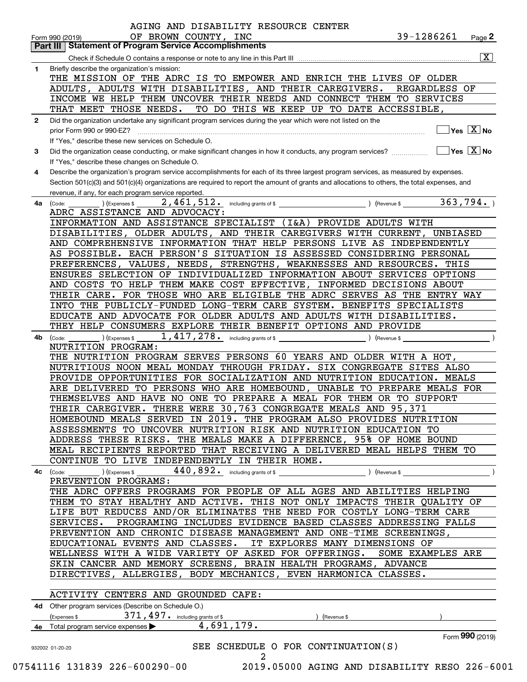|              | <b>Part III   Statement of Program Service Accomplishments</b>                                                                               |
|--------------|----------------------------------------------------------------------------------------------------------------------------------------------|
|              | $\overline{\mathbf{x}}$                                                                                                                      |
| $\mathbf{1}$ | Briefly describe the organization's mission:                                                                                                 |
|              | THE MISSION OF THE ADRC IS TO EMPOWER AND ENRICH THE LIVES OF OLDER                                                                          |
|              | ADULTS, ADULTS WITH DISABILITIES, AND THEIR CAREGIVERS.<br>REGARDLESS OF                                                                     |
|              | INCOME WE HELP THEM UNCOVER THEIR NEEDS AND CONNECT THEM TO SERVICES                                                                         |
|              | THAT MEET THOSE NEEDS.<br>TO DO THIS WE KEEP UP TO DATE ACCESSIBLE,                                                                          |
| $\mathbf{2}$ | Did the organization undertake any significant program services during the year which were not listed on the                                 |
|              | $\overline{\ }$ Yes $\overline{\rm{X}}$ No                                                                                                   |
|              |                                                                                                                                              |
|              | If "Yes," describe these new services on Schedule O.                                                                                         |
| 3            | $\sqrt{}$ Yes $\sqrt{}$ X $\sqrt{}$ No                                                                                                       |
|              | If "Yes," describe these changes on Schedule O.                                                                                              |
| 4            | Describe the organization's program service accomplishments for each of its three largest program services, as measured by expenses.         |
|              | Section 501(c)(3) and 501(c)(4) organizations are required to report the amount of grants and allocations to others, the total expenses, and |
|              | revenue, if any, for each program service reported.                                                                                          |
| 4a           | $\overline{363,794}$ .<br>$\overline{2,461,512}$ including grants of \$<br>) (Revenue \$<br>(Expenses \$<br>(Code:                           |
|              | ADRC ASSISTANCE AND ADVOCACY:                                                                                                                |
|              | INFORMATION AND ASSISTANCE SPECIALIST (I&A) PROVIDE ADULTS WITH                                                                              |
|              | DISABILITIES, OLDER ADULTS, AND THEIR CAREGIVERS WITH CURRENT, UNBIASED                                                                      |
|              | AND COMPREHENSIVE INFORMATION THAT HELP PERSONS LIVE AS INDEPENDENTLY                                                                        |
|              | AS POSSIBLE. EACH PERSON'S SITUATION IS ASSESSED CONSIDERING PERSONAL                                                                        |
|              | PREFERENCES, VALUES, NEEDS, STRENGTHS, WEAKNESSES AND RESOURCES. THIS                                                                        |
|              | ENSURES SELECTION OF INDIVIDUALIZED INFORMATION ABOUT SERVICES OPTIONS                                                                       |
|              | AND COSTS TO HELP THEM MAKE COST EFFECTIVE, INFORMED DECISIONS ABOUT                                                                         |
|              | THEIR CARE. FOR THOSE WHO ARE ELIGIBLE THE ADRC SERVES AS THE ENTRY WAY                                                                      |
|              | INTO THE PUBLICLY-FUNDED LONG-TERM CARE SYSTEM. BENEFITS SPECIALISTS                                                                         |
|              | EDUCATE AND ADVOCATE FOR OLDER ADULTS AND ADULTS WITH DISABILITIES.                                                                          |
|              | THEY HELP CONSUMERS EXPLORE THEIR BENEFIT OPTIONS AND PROVIDE                                                                                |
| 4b           | 1, 417, 278. including grants of \$<br>) (Expenses \$<br>(Revenue \$<br>(Code:                                                               |
|              | NUTRITION PROGRAM:                                                                                                                           |
|              | THE NUTRITION PROGRAM SERVES PERSONS 60 YEARS AND OLDER WITH A HOT,                                                                          |
|              | NUTRITIOUS NOON MEAL MONDAY THROUGH FRIDAY. SIX CONGREGATE SITES ALSO                                                                        |
|              | PROVIDE OPPORTUNITIES FOR SOCIALIZATION AND NUTRITION EDUCATION. MEALS                                                                       |
|              | ARE DELIVERED TO PERSONS WHO ARE HOMEBOUND, UNABLE TO PREPARE MEALS FOR                                                                      |
|              | THEMSELVES AND HAVE NO ONE TO PREPARE A MEAL FOR THEM OR TO SUPPORT                                                                          |
|              | THEIR CAREGIVER. THERE WERE 30,763 CONGREGATE MEALS AND 95,371                                                                               |
|              | HOMEBOUND MEALS SERVED IN 2019. THE PROGRAM ALSO PROVIDES NUTRITION                                                                          |
|              | ASSESSMENTS TO UNCOVER NUTRITION RISK AND NUTRITION EDUCATION TO                                                                             |
|              | ADDRESS THESE RISKS. THE MEALS MAKE A DIFFERENCE, 95% OF HOME BOUND                                                                          |
|              | MEAL RECIPIENTS REPORTED THAT RECEIVING A DELIVERED MEAL HELPS THEM TO                                                                       |
|              |                                                                                                                                              |
|              | CONTINUE TO LIVE INDEPENDENTLY IN THEIR HOME.                                                                                                |
|              | (Expenses \$<br>4c (Code:                                                                                                                    |
|              | PREVENTION PROGRAMS:                                                                                                                         |
|              | THE ADRC OFFERS PROGRAMS FOR PEOPLE OF ALL AGES AND ABILITIES HELPING                                                                        |
|              | THEM TO STAY HEALTHY AND ACTIVE. THIS NOT ONLY IMPACTS THEIR QUALITY OF                                                                      |
|              | LIFE BUT REDUCES AND/OR ELIMINATES THE NEED FOR COSTLY LONG-TERM CARE                                                                        |
|              | SERVICES. PROGRAMING INCLUDES EVIDENCE BASED CLASSES ADDRESSING FALLS                                                                        |
|              | PREVENTION AND CHRONIC DISEASE MANAGEMENT AND ONE-TIME SCREENINGS,                                                                           |
|              | EDUCATIONAL EVENTS AND CLASSES. IT EXPLORES MANY DIMENSIONS OF                                                                               |
|              | WELLNESS WITH A WIDE VARIETY OF ASKED FOR OFFERINGS. SOME EXAMPLES ARE                                                                       |
|              | SKIN CANCER AND MEMORY SCREENS, BRAIN HEALTH PROGRAMS, ADVANCE                                                                               |
|              | DIRECTIVES, ALLERGIES, BODY MECHANICS, EVEN HARMONICA CLASSES.                                                                               |
|              |                                                                                                                                              |
|              | ACTIVITY CENTERS AND GROUNDED CAFE:                                                                                                          |
|              | 4d Other program services (Describe on Schedule O.)                                                                                          |
|              | $371$ , $497$ . including grants of \$<br>(Expenses \$<br>) (Revenue \$<br>4,691,179.                                                        |
|              | 4e Total program service expenses<br>Form 990 (2019)                                                                                         |
|              | SEE SCHEDULE O FOR CONTINUATION(S)<br>932002 01-20-20                                                                                        |
|              |                                                                                                                                              |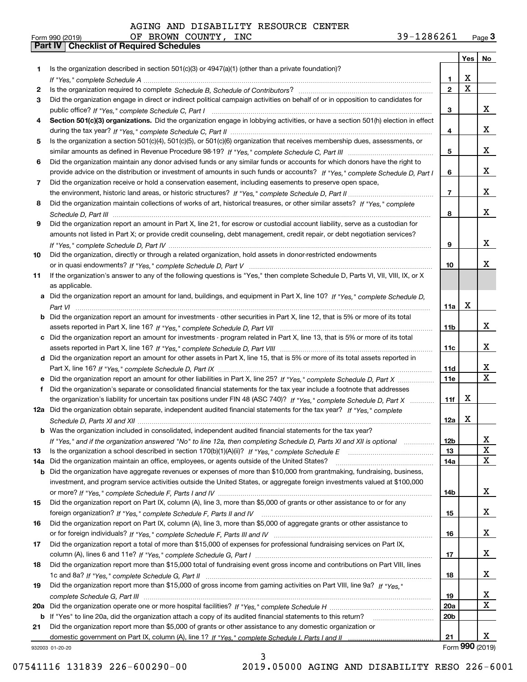|     |                                                                                                                                       |                 | Yes   No                |                         |
|-----|---------------------------------------------------------------------------------------------------------------------------------------|-----------------|-------------------------|-------------------------|
| 1.  | Is the organization described in section $501(c)(3)$ or $4947(a)(1)$ (other than a private foundation)?                               |                 |                         |                         |
|     |                                                                                                                                       | 1.              | X                       |                         |
| 2   |                                                                                                                                       | $\overline{2}$  | $\overline{\mathbf{x}}$ |                         |
| 3   | Did the organization engage in direct or indirect political campaign activities on behalf of or in opposition to candidates for       |                 |                         |                         |
|     |                                                                                                                                       | 3               |                         | x                       |
| 4   | Section 501(c)(3) organizations. Did the organization engage in lobbying activities, or have a section 501(h) election in effect      |                 |                         |                         |
|     |                                                                                                                                       | 4               |                         | X                       |
| 5   | Is the organization a section 501(c)(4), 501(c)(5), or 501(c)(6) organization that receives membership dues, assessments, or          |                 |                         |                         |
|     |                                                                                                                                       | 5               |                         | X                       |
| 6   | Did the organization maintain any donor advised funds or any similar funds or accounts for which donors have the right to             |                 |                         |                         |
|     | provide advice on the distribution or investment of amounts in such funds or accounts? If "Yes," complete Schedule D, Part I          | 6               |                         | x                       |
| 7   | Did the organization receive or hold a conservation easement, including easements to preserve open space,                             |                 |                         | X                       |
|     |                                                                                                                                       | $\overline{7}$  |                         |                         |
| 8   | Did the organization maintain collections of works of art, historical treasures, or other similar assets? If "Yes," complete          |                 |                         | X                       |
|     |                                                                                                                                       | 8               |                         |                         |
| 9   | Did the organization report an amount in Part X, line 21, for escrow or custodial account liability, serve as a custodian for         |                 |                         |                         |
|     | amounts not listed in Part X; or provide credit counseling, debt management, credit repair, or debt negotiation services?             | 9               |                         | x                       |
| 10  |                                                                                                                                       |                 |                         |                         |
|     | Did the organization, directly or through a related organization, hold assets in donor-restricted endowments                          | 10              |                         | Χ                       |
| 11  | If the organization's answer to any of the following questions is "Yes," then complete Schedule D, Parts VI, VII, VIII, IX, or X      |                 |                         |                         |
|     | as applicable.                                                                                                                        |                 |                         |                         |
|     | a Did the organization report an amount for land, buildings, and equipment in Part X, line 10? If "Yes." complete Schedule D.         |                 |                         |                         |
|     |                                                                                                                                       | 11a             | $\mathbf X$             |                         |
|     | <b>b</b> Did the organization report an amount for investments - other securities in Part X, line 12, that is 5% or more of its total |                 |                         |                         |
|     |                                                                                                                                       | 11b             |                         | X                       |
|     | c Did the organization report an amount for investments - program related in Part X, line 13, that is 5% or more of its total         |                 |                         |                         |
|     |                                                                                                                                       | 11c             |                         | x                       |
|     | d Did the organization report an amount for other assets in Part X, line 15, that is 5% or more of its total assets reported in       |                 |                         |                         |
|     |                                                                                                                                       | 11d             |                         | x                       |
|     | e Did the organization report an amount for other liabilities in Part X, line 25? If "Yes," complete Schedule D, Part X               | 11e             |                         | $\overline{\mathbf{X}}$ |
| f   | Did the organization's separate or consolidated financial statements for the tax year include a footnote that addresses               |                 |                         |                         |
|     | the organization's liability for uncertain tax positions under FIN 48 (ASC 740)? If "Yes," complete Schedule D, Part X                | 11f             | X                       |                         |
|     | 12a Did the organization obtain separate, independent audited financial statements for the tax year? If "Yes," complete               |                 |                         |                         |
|     |                                                                                                                                       | 12a             | X                       |                         |
|     | <b>b</b> Was the organization included in consolidated, independent audited financial statements for the tax year?                    |                 |                         |                         |
|     | If "Yes," and if the organization answered "No" to line 12a, then completing Schedule D, Parts XI and XII is optional                 | 12b             |                         | 4                       |
| 13  |                                                                                                                                       | 13              |                         | X                       |
| 14a | Did the organization maintain an office, employees, or agents outside of the United States?                                           | <b>14a</b>      |                         | X                       |
|     | <b>b</b> Did the organization have aggregate revenues or expenses of more than \$10,000 from grantmaking, fundraising, business,      |                 |                         |                         |
|     | investment, and program service activities outside the United States, or aggregate foreign investments valued at \$100,000            |                 |                         |                         |
|     |                                                                                                                                       | 14b             |                         | X                       |
| 15  | Did the organization report on Part IX, column (A), line 3, more than \$5,000 of grants or other assistance to or for any             |                 |                         |                         |
|     |                                                                                                                                       | 15              |                         | X                       |
| 16  | Did the organization report on Part IX, column (A), line 3, more than \$5,000 of aggregate grants or other assistance to              |                 |                         |                         |
|     |                                                                                                                                       | 16              |                         | X                       |
| 17  | Did the organization report a total of more than \$15,000 of expenses for professional fundraising services on Part IX,               |                 |                         |                         |
|     |                                                                                                                                       | 17              |                         | X                       |
| 18  | Did the organization report more than \$15,000 total of fundraising event gross income and contributions on Part VIII, lines          |                 |                         |                         |
|     |                                                                                                                                       | 18              |                         | X                       |
| 19  | Did the organization report more than \$15,000 of gross income from gaming activities on Part VIII, line 9a? If "Yes."                |                 |                         |                         |
|     |                                                                                                                                       | 19              |                         | x                       |
|     |                                                                                                                                       | 20a             |                         | $\mathbf X$             |
|     | b If "Yes" to line 20a, did the organization attach a copy of its audited financial statements to this return?                        | 20 <sub>b</sub> |                         |                         |
| 21  | Did the organization report more than \$5,000 of grants or other assistance to any domestic organization or                           |                 |                         |                         |
|     |                                                                                                                                       | 21              |                         | x                       |
|     | 932003 01-20-20                                                                                                                       |                 |                         | Form 990 (2019)         |

3

07541116 131839 226-600290-00 2019.05000 AGING AND DISABILITY RESO 226-6001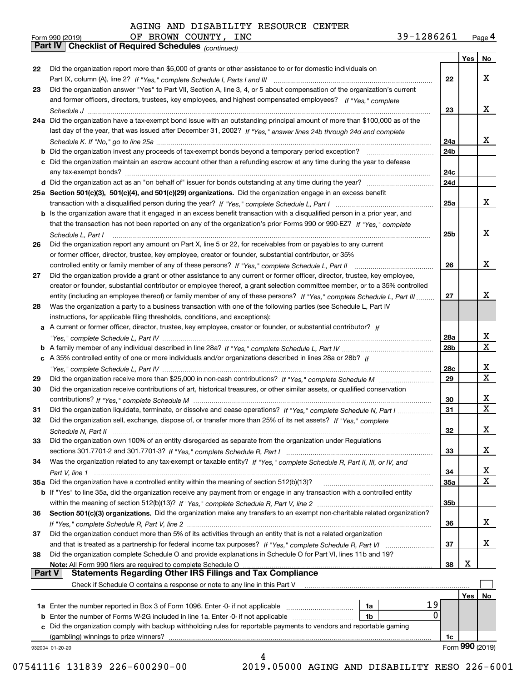|    | OF BROWN COUNTY, INC<br>39-1286261<br>Form 990 (2019)                                                                                                                                              |            |                 | Page 4 |
|----|----------------------------------------------------------------------------------------------------------------------------------------------------------------------------------------------------|------------|-----------------|--------|
|    | Part IV   Checklist of Required Schedules (continued)                                                                                                                                              |            |                 |        |
|    |                                                                                                                                                                                                    |            | Yes             | No     |
| 22 | Did the organization report more than \$5,000 of grants or other assistance to or for domestic individuals on                                                                                      |            |                 |        |
|    |                                                                                                                                                                                                    | 22         |                 | X      |
| 23 | Did the organization answer "Yes" to Part VII, Section A, line 3, 4, or 5 about compensation of the organization's current                                                                         |            |                 |        |
|    | and former officers, directors, trustees, key employees, and highest compensated employees? If "Yes," complete                                                                                     |            |                 |        |
|    |                                                                                                                                                                                                    | 23         |                 | x      |
|    | 24a Did the organization have a tax-exempt bond issue with an outstanding principal amount of more than \$100,000 as of the                                                                        |            |                 |        |
|    | last day of the year, that was issued after December 31, 2002? If "Yes," answer lines 24b through 24d and complete                                                                                 |            |                 |        |
|    |                                                                                                                                                                                                    | 24a        |                 | x      |
|    |                                                                                                                                                                                                    | 24b        |                 |        |
|    | c Did the organization maintain an escrow account other than a refunding escrow at any time during the year to defease                                                                             |            |                 |        |
|    |                                                                                                                                                                                                    | 24c        |                 |        |
|    |                                                                                                                                                                                                    | 24d        |                 |        |
|    | 25a Section 501(c)(3), 501(c)(4), and 501(c)(29) organizations. Did the organization engage in an excess benefit                                                                                   |            |                 | x      |
|    |                                                                                                                                                                                                    | 25a        |                 |        |
|    | b Is the organization aware that it engaged in an excess benefit transaction with a disqualified person in a prior year, and                                                                       |            |                 |        |
|    | that the transaction has not been reported on any of the organization's prior Forms 990 or 990-EZ? If "Yes," complete                                                                              |            |                 | X      |
|    | Schedule L. Part I                                                                                                                                                                                 | 25b        |                 |        |
| 26 | Did the organization report any amount on Part X, line 5 or 22, for receivables from or payables to any current                                                                                    |            |                 |        |
|    | or former officer, director, trustee, key employee, creator or founder, substantial contributor, or 35%                                                                                            |            |                 | X      |
|    |                                                                                                                                                                                                    | 26         |                 |        |
| 27 | Did the organization provide a grant or other assistance to any current or former officer, director, trustee, key employee,                                                                        |            |                 |        |
|    | creator or founder, substantial contributor or employee thereof, a grant selection committee member, or to a 35% controlled                                                                        |            |                 | X      |
|    | entity (including an employee thereof) or family member of any of these persons? If "Yes," complete Schedule L, Part III                                                                           | 27         |                 |        |
| 28 | Was the organization a party to a business transaction with one of the following parties (see Schedule L, Part IV                                                                                  |            |                 |        |
|    | instructions, for applicable filing thresholds, conditions, and exceptions):<br>a A current or former officer, director, trustee, key employee, creator or founder, or substantial contributor? If |            |                 |        |
|    |                                                                                                                                                                                                    | 28a        |                 | х      |
|    |                                                                                                                                                                                                    | 28b        |                 | X      |
|    | c A 35% controlled entity of one or more individuals and/or organizations described in lines 28a or 28b? If                                                                                        |            |                 |        |
|    |                                                                                                                                                                                                    | 28c        |                 | х      |
| 29 |                                                                                                                                                                                                    | 29         |                 | х      |
| 30 | Did the organization receive contributions of art, historical treasures, or other similar assets, or qualified conservation                                                                        |            |                 |        |
|    |                                                                                                                                                                                                    | 30         |                 | х      |
| 31 | Did the organization liquidate, terminate, or dissolve and cease operations? If "Yes," complete Schedule N, Part I                                                                                 | 31         |                 | X      |
|    | Did the organization sell, exchange, dispose of, or transfer more than 25% of its net assets? If "Yes," complete                                                                                   |            |                 |        |
|    |                                                                                                                                                                                                    | 32         |                 | X      |
| 33 | Did the organization own 100% of an entity disregarded as separate from the organization under Regulations                                                                                         |            |                 |        |
|    |                                                                                                                                                                                                    | 33         |                 | х      |
| 34 | Was the organization related to any tax-exempt or taxable entity? If "Yes," complete Schedule R, Part II, III, or IV, and                                                                          |            |                 |        |
|    |                                                                                                                                                                                                    | 34         |                 | х      |
|    | 35a Did the organization have a controlled entity within the meaning of section 512(b)(13)?                                                                                                        | <b>35a</b> |                 | X      |
|    | <b>b</b> If "Yes" to line 35a, did the organization receive any payment from or engage in any transaction with a controlled entity                                                                 |            |                 |        |
|    |                                                                                                                                                                                                    | 35b        |                 |        |
| 36 | Section 501(c)(3) organizations. Did the organization make any transfers to an exempt non-charitable related organization?                                                                         |            |                 |        |
|    |                                                                                                                                                                                                    | 36         |                 | X      |
| 37 | Did the organization conduct more than 5% of its activities through an entity that is not a related organization                                                                                   |            |                 |        |
|    |                                                                                                                                                                                                    | 37         |                 | х      |
| 38 | Did the organization complete Schedule O and provide explanations in Schedule O for Part VI, lines 11b and 19?                                                                                     |            |                 |        |
|    | Note: All Form 990 filers are required to complete Schedule O.                                                                                                                                     | 38         | х               |        |
|    | <b>Statements Regarding Other IRS Filings and Tax Compliance</b><br><b>Part V</b>                                                                                                                  |            |                 |        |
|    | Check if Schedule O contains a response or note to any line in this Part V                                                                                                                         |            |                 |        |
|    |                                                                                                                                                                                                    |            | Yes             | No     |
|    | 19<br>1a                                                                                                                                                                                           |            |                 |        |
|    | <b>b</b> Enter the number of Forms W-2G included in line 1a. Enter -0- if not applicable<br>1b                                                                                                     | 0          |                 |        |
|    | c Did the organization comply with backup withholding rules for reportable payments to vendors and reportable gaming                                                                               |            |                 |        |
|    |                                                                                                                                                                                                    | 1c         |                 |        |
|    | 932004 01-20-20                                                                                                                                                                                    |            | Form 990 (2019) |        |

4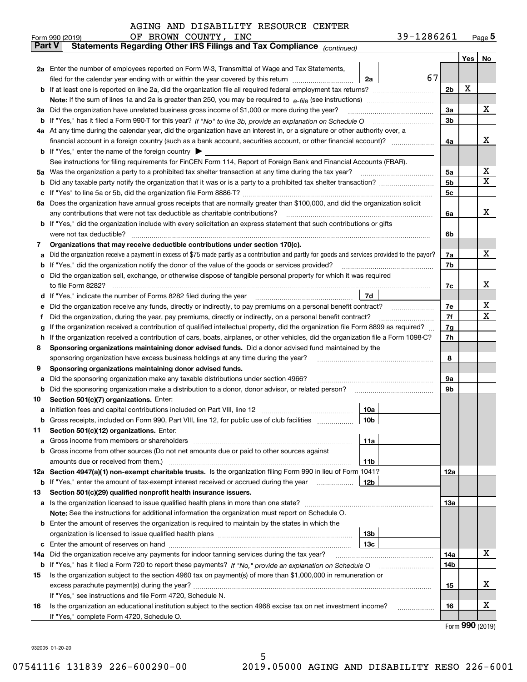|        | 39-1286261<br>OF BROWN COUNTY, INC<br>Form 990 (2019)                                                                                           |                |         | $_{\text{Page}}$ 5 |
|--------|-------------------------------------------------------------------------------------------------------------------------------------------------|----------------|---------|--------------------|
| Part V | Statements Regarding Other IRS Filings and Tax Compliance (continued)                                                                           |                |         |                    |
|        |                                                                                                                                                 |                | Yes $ $ | No                 |
|        | 2a Enter the number of employees reported on Form W-3, Transmittal of Wage and Tax Statements,                                                  |                |         |                    |
|        | 67<br>filed for the calendar year ending with or within the year covered by this return <i>manumumumum</i><br>2a                                |                |         |                    |
|        |                                                                                                                                                 | 2 <sub>b</sub> | х       |                    |
|        |                                                                                                                                                 |                |         |                    |
| За     | Did the organization have unrelated business gross income of \$1,000 or more during the year?                                                   | 3a             |         | х                  |
|        |                                                                                                                                                 | 3b             |         |                    |
|        | 4a At any time during the calendar year, did the organization have an interest in, or a signature or other authority over, a                    |                |         |                    |
|        |                                                                                                                                                 | 4a             |         | х                  |
|        | <b>b</b> If "Yes," enter the name of the foreign country $\triangleright$                                                                       |                |         |                    |
|        | See instructions for filing requirements for FinCEN Form 114, Report of Foreign Bank and Financial Accounts (FBAR).                             |                |         |                    |
| 5a     | Was the organization a party to a prohibited tax shelter transaction at any time during the tax year?                                           | 5a             |         | x                  |
| b      |                                                                                                                                                 | 5 <sub>b</sub> |         | х                  |
| с      |                                                                                                                                                 | 5c             |         |                    |
|        | 6a Does the organization have annual gross receipts that are normally greater than \$100,000, and did the organization solicit                  |                |         |                    |
|        | any contributions that were not tax deductible as charitable contributions?                                                                     | 6a             |         | x                  |
|        | b If "Yes," did the organization include with every solicitation an express statement that such contributions or gifts                          |                |         |                    |
|        | were not tax deductible?                                                                                                                        | 6b             |         |                    |
| 7      | Organizations that may receive deductible contributions under section 170(c).                                                                   |                |         |                    |
| а      | Did the organization receive a payment in excess of \$75 made partly as a contribution and partly for goods and services provided to the payor? | 7a             |         | х                  |
| b      | If "Yes," did the organization notify the donor of the value of the goods or services provided?                                                 | 7b             |         |                    |
|        | Did the organization sell, exchange, or otherwise dispose of tangible personal property for which it was required                               |                |         |                    |
|        |                                                                                                                                                 | 7c             |         | х                  |
| d      | 7d                                                                                                                                              |                |         |                    |
| е      | Did the organization receive any funds, directly or indirectly, to pay premiums on a personal benefit contract?                                 | 7e             |         | х                  |
| f      | Did the organization, during the year, pay premiums, directly or indirectly, on a personal benefit contract?                                    | 7f             |         | х                  |
| g      | If the organization received a contribution of qualified intellectual property, did the organization file Form 8899 as required?                | 7g             |         |                    |
| h      | If the organization received a contribution of cars, boats, airplanes, or other vehicles, did the organization file a Form 1098-C?              | 7h             |         |                    |
| 8      | Sponsoring organizations maintaining donor advised funds. Did a donor advised fund maintained by the                                            |                |         |                    |
|        | sponsoring organization have excess business holdings at any time during the year?                                                              | 8              |         |                    |
| 9      | Sponsoring organizations maintaining donor advised funds.                                                                                       |                |         |                    |
| а      | Did the sponsoring organization make any taxable distributions under section 4966?                                                              | 9а             |         |                    |
| b      | Did the sponsoring organization make a distribution to a donor, donor advisor, or related person?                                               | 9b             |         |                    |
| 10     | Section 501(c)(7) organizations. Enter:                                                                                                         |                |         |                    |
| а      | 10a                                                                                                                                             |                |         |                    |
|        | 10 <sub>b</sub><br>Gross receipts, included on Form 990, Part VIII, line 12, for public use of club facilities                                  |                |         |                    |
| 11     | Section 501(c)(12) organizations. Enter:                                                                                                        |                |         |                    |
| а      | Gross income from members or shareholders<br>11a                                                                                                |                |         |                    |
| b      | Gross income from other sources (Do not net amounts due or paid to other sources against                                                        |                |         |                    |
|        | 11 <sub>b</sub>                                                                                                                                 |                |         |                    |
|        | 12a Section 4947(a)(1) non-exempt charitable trusts. Is the organization filing Form 990 in lieu of Form 1041?                                  | 12a            |         |                    |
|        | <b>b</b> If "Yes," enter the amount of tax-exempt interest received or accrued during the year<br>12b                                           |                |         |                    |
| 13     | Section 501(c)(29) qualified nonprofit health insurance issuers.                                                                                |                |         |                    |
| a      | Is the organization licensed to issue qualified health plans in more than one state?                                                            | <b>13a</b>     |         |                    |
|        | Note: See the instructions for additional information the organization must report on Schedule O.                                               |                |         |                    |
| b      | Enter the amount of reserves the organization is required to maintain by the states in which the                                                |                |         |                    |
|        | 13b                                                                                                                                             |                |         |                    |
| с      | 13с                                                                                                                                             |                |         |                    |
| 14a    | Did the organization receive any payments for indoor tanning services during the tax year?                                                      | 14a            |         | x                  |
|        | <b>b</b> If "Yes," has it filed a Form 720 to report these payments? If "No," provide an explanation on Schedule O                              | 14b            |         |                    |
| 15     | Is the organization subject to the section 4960 tax on payment(s) of more than \$1,000,000 in remuneration or                                   |                |         |                    |
|        |                                                                                                                                                 | 15             |         | X                  |
|        | If "Yes," see instructions and file Form 4720, Schedule N.                                                                                      |                |         |                    |
| 16     | Is the organization an educational institution subject to the section 4968 excise tax on net investment income?                                 | 16             |         | X                  |
|        | If "Yes," complete Form 4720, Schedule O.                                                                                                       |                |         |                    |

5

Form (2019) **990**

932005 01-20-20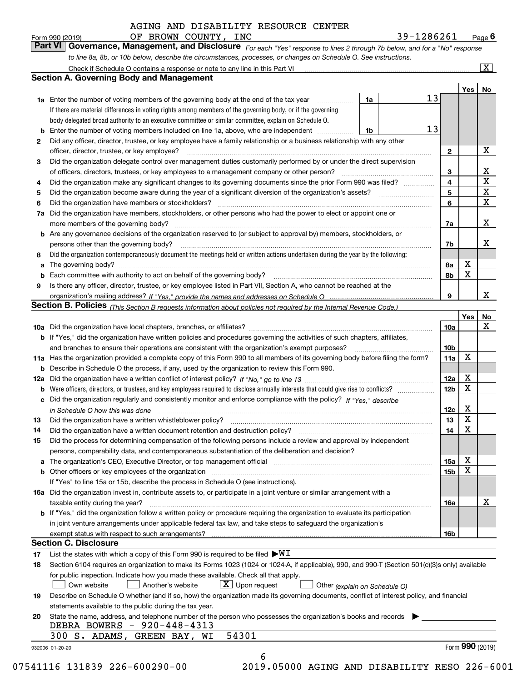|                | OF BROWN COUNTY, INC<br>Form 990 (2019)                                                                                                                                                                                        |    | 39-1286261 |                 |                         | Page $6$                |
|----------------|--------------------------------------------------------------------------------------------------------------------------------------------------------------------------------------------------------------------------------|----|------------|-----------------|-------------------------|-------------------------|
| <b>Part VI</b> | Governance, Management, and Disclosure For each "Yes" response to lines 2 through 7b below, and for a "No" response                                                                                                            |    |            |                 |                         |                         |
|                | to line 8a, 8b, or 10b below, describe the circumstances, processes, or changes on Schedule O. See instructions.                                                                                                               |    |            |                 |                         |                         |
|                | Check if Schedule O contains a response or note to any line in this Part VI [11] [12] [13] Check if Schedule O contains a response or note to any line in this Part VI                                                         |    |            |                 |                         | $\overline{\mathbf{x}}$ |
|                | Section A. Governing Body and Management                                                                                                                                                                                       |    |            |                 |                         |                         |
|                |                                                                                                                                                                                                                                |    |            |                 | Yes                     | No                      |
|                | <b>1a</b> Enter the number of voting members of the governing body at the end of the tax year                                                                                                                                  | 1a | 13         |                 |                         |                         |
|                | If there are material differences in voting rights among members of the governing body, or if the governing                                                                                                                    |    |            |                 |                         |                         |
|                | body delegated broad authority to an executive committee or similar committee, explain on Schedule O.                                                                                                                          |    |            |                 |                         |                         |
|                | Enter the number of voting members included on line 1a, above, who are independent                                                                                                                                             | 1b | 13         |                 |                         |                         |
| 2              | Did any officer, director, trustee, or key employee have a family relationship or a business relationship with any other                                                                                                       |    |            |                 |                         |                         |
|                | officer, director, trustee, or key employee?                                                                                                                                                                                   |    |            | $\mathbf{2}$    |                         | х                       |
| 3              | Did the organization delegate control over management duties customarily performed by or under the direct supervision                                                                                                          |    |            |                 |                         |                         |
|                | of officers, directors, trustees, or key employees to a management company or other person?                                                                                                                                    |    |            | 3               |                         | x                       |
| 4              | Did the organization make any significant changes to its governing documents since the prior Form 990 was filed?                                                                                                               |    |            | $\overline{4}$  |                         | $\mathbf X$             |
| 5              | Did the organization become aware during the year of a significant diversion of the organization's assets?                                                                                                                     |    |            | 5               |                         | X<br>$\mathbf X$        |
| 6              | Did the organization have members or stockholders?                                                                                                                                                                             |    |            | 6               |                         |                         |
| 7a             | Did the organization have members, stockholders, or other persons who had the power to elect or appoint one or                                                                                                                 |    |            |                 |                         |                         |
|                | more members of the governing body?                                                                                                                                                                                            |    |            | 7a              |                         | x                       |
| b              | Are any governance decisions of the organization reserved to (or subject to approval by) members, stockholders, or                                                                                                             |    |            | 7b              |                         | х                       |
| 8              | persons other than the governing body?<br>Did the organization contemporaneously document the meetings held or written actions undertaken during the year by the following:                                                    |    |            |                 |                         |                         |
| a              |                                                                                                                                                                                                                                |    |            | 8a              | X                       |                         |
|                | Each committee with authority to act on behalf of the governing body?                                                                                                                                                          |    |            | 8b              | $\mathbf X$             |                         |
| 9              | Is there any officer, director, trustee, or key employee listed in Part VII, Section A, who cannot be reached at the                                                                                                           |    |            |                 |                         |                         |
|                |                                                                                                                                                                                                                                |    |            | 9               |                         | х                       |
|                | Section B. Policies <sub>(This Section B requests information about policies not required by the Internal Revenue Code.)</sub>                                                                                                 |    |            |                 |                         |                         |
|                |                                                                                                                                                                                                                                |    |            |                 | Yes                     | No                      |
|                |                                                                                                                                                                                                                                |    |            | <b>10a</b>      |                         | х                       |
|                | <b>b</b> If "Yes," did the organization have written policies and procedures governing the activities of such chapters, affiliates,                                                                                            |    |            |                 |                         |                         |
|                | and branches to ensure their operations are consistent with the organization's exempt purposes?                                                                                                                                |    |            | 10 <sub>b</sub> |                         |                         |
|                | 11a Has the organization provided a complete copy of this Form 990 to all members of its governing body before filing the form?                                                                                                |    |            | 11a             | $\mathbf X$             |                         |
| b              | Describe in Schedule O the process, if any, used by the organization to review this Form 990.                                                                                                                                  |    |            |                 |                         |                         |
| 12a            |                                                                                                                                                                                                                                |    |            | 12a             | х                       |                         |
| b              | Were officers, directors, or trustees, and key employees required to disclose annually interests that could give rise to conflicts?                                                                                            |    |            | 12 <sub>b</sub> | X                       |                         |
| с              | Did the organization regularly and consistently monitor and enforce compliance with the policy? If "Yes," describe                                                                                                             |    |            |                 |                         |                         |
|                |                                                                                                                                                                                                                                |    |            | 12c             | х                       |                         |
| 13             | Did the organization have a written whistleblower policy?                                                                                                                                                                      |    |            | 13              | $\overline{\textbf{X}}$ |                         |
| 14             | Did the organization have a written document retention and destruction policy?                                                                                                                                                 |    |            | 14              | X                       |                         |
| 15             | Did the process for determining compensation of the following persons include a review and approval by independent                                                                                                             |    |            |                 |                         |                         |
|                | persons, comparability data, and contemporaneous substantiation of the deliberation and decision?                                                                                                                              |    |            |                 |                         |                         |
| а              | The organization's CEO, Executive Director, or top management official manufactured contains and contained and the Director, or top management official manufactured and contain an account of the state of the state of the s |    |            | 15a             | х<br>X                  |                         |
| b              | Other officers or key employees of the organization                                                                                                                                                                            |    |            | 15b             |                         |                         |
|                | If "Yes" to line 15a or 15b, describe the process in Schedule O (see instructions).                                                                                                                                            |    |            |                 |                         |                         |
|                | 16a Did the organization invest in, contribute assets to, or participate in a joint venture or similar arrangement with a                                                                                                      |    |            |                 |                         | х                       |
|                | taxable entity during the year?<br>b If "Yes," did the organization follow a written policy or procedure requiring the organization to evaluate its participation                                                              |    |            | 16a             |                         |                         |
|                | in joint venture arrangements under applicable federal tax law, and take steps to safeguard the organization's                                                                                                                 |    |            |                 |                         |                         |
|                | exempt status with respect to such arrangements?                                                                                                                                                                               |    |            | 16b             |                         |                         |
|                | Section C. Disclosure                                                                                                                                                                                                          |    |            |                 |                         |                         |
| 17             | List the states with which a copy of this Form 990 is required to be filed $\blacktriangleright\!\!\mathsf{W}\mathbf{I}$                                                                                                       |    |            |                 |                         |                         |
| 18             | Section 6104 requires an organization to make its Forms 1023 (1024 or 1024-A, if applicable), 990, and 990-T (Section 501(c)(3)s only) available                                                                               |    |            |                 |                         |                         |
|                | for public inspection. Indicate how you made these available. Check all that apply.                                                                                                                                            |    |            |                 |                         |                         |
|                | $ \mathbf{X} $ Upon request<br>Own website<br>Another's website<br>Other (explain on Schedule O)                                                                                                                               |    |            |                 |                         |                         |

**19** Describe on Schedule O whether (and if so, how) the organization made its governing documents, conflict of interest policy, and financial statements available to the public during the tax year.

6

|  |                                   | 20 State the name, address, and telephone number of the person who possesses the organization's books and records |  |
|--|-----------------------------------|-------------------------------------------------------------------------------------------------------------------|--|
|  | DEBRA BOWERS - 920-448-4313       |                                                                                                                   |  |
|  | 300 S. ADAMS, GREEN BAY, WI 54301 |                                                                                                                   |  |

932006 01-20-20

07541116 131839 226-600290-00 2019.05000 AGING AND DISABILITY RESO 226-6001

Form (2019) **990**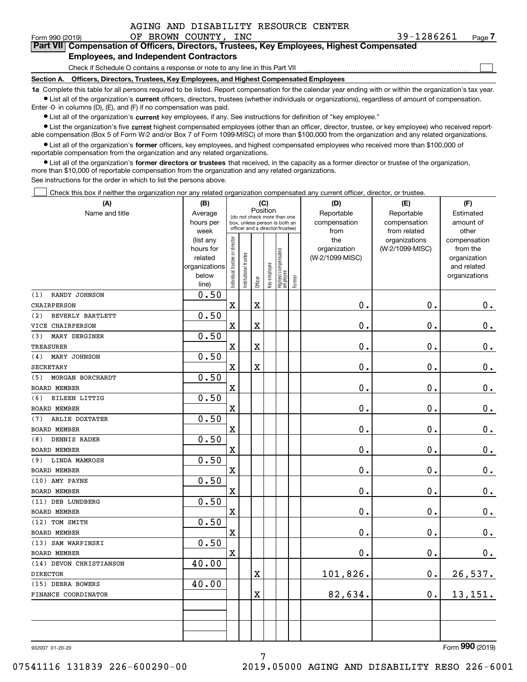|  | AGING AND DISABILITY RESOURCE CENTER |  |
|--|--------------------------------------|--|
|--|--------------------------------------|--|

 $\mathcal{L}^{\text{max}}$ 

| Form 990 (2019) |                                               |  | OF BROWN COUNTY, INC | 39-1286261                                                                                 | Page $\prime$ |
|-----------------|-----------------------------------------------|--|----------------------|--------------------------------------------------------------------------------------------|---------------|
|                 |                                               |  |                      | Part VII Compensation of Officers, Directors, Trustees, Key Employees, Highest Compensated |               |
|                 | <b>Employees, and Independent Contractors</b> |  |                      |                                                                                            |               |

Check if Schedule O contains a response or note to any line in this Part VII

**Section A. Officers, Directors, Trustees, Key Employees, and Highest Compensated Employees**

**1a**  Complete this table for all persons required to be listed. Report compensation for the calendar year ending with or within the organization's tax year. **•** List all of the organization's current officers, directors, trustees (whether individuals or organizations), regardless of amount of compensation.

Enter -0- in columns (D), (E), and (F) if no compensation was paid.

 $\bullet$  List all of the organization's  $\,$ current key employees, if any. See instructions for definition of "key employee."

**•** List the organization's five current highest compensated employees (other than an officer, director, trustee, or key employee) who received reportable compensation (Box 5 of Form W-2 and/or Box 7 of Form 1099-MISC) of more than \$100,000 from the organization and any related organizations.

**•** List all of the organization's former officers, key employees, and highest compensated employees who received more than \$100,000 of reportable compensation from the organization and any related organizations.

**former directors or trustees**  ¥ List all of the organization's that received, in the capacity as a former director or trustee of the organization, more than \$10,000 of reportable compensation from the organization and any related organizations.

See instructions for the order in which to list the persons above.

Check this box if neither the organization nor any related organization compensated any current officer, director, or trustee.  $\mathcal{L}^{\text{max}}$ 

| (A)                     | (B)               |                               |                                                                  | (C)         |              |                                   |        | (D)             | (E)                           | (F)                   |
|-------------------------|-------------------|-------------------------------|------------------------------------------------------------------|-------------|--------------|-----------------------------------|--------|-----------------|-------------------------------|-----------------------|
| Name and title          | Average           |                               | (do not check more than one                                      | Position    |              |                                   |        | Reportable      | Reportable                    | Estimated             |
|                         | hours per         |                               | box, unless person is both an<br>officer and a director/trustee) |             |              |                                   |        | compensation    | compensation                  | amount of             |
|                         | week<br>(list any |                               |                                                                  |             |              |                                   |        | from<br>the     | from related<br>organizations | other<br>compensation |
|                         | hours for         |                               |                                                                  |             |              |                                   |        | organization    | (W-2/1099-MISC)               | from the              |
|                         | related           |                               |                                                                  |             |              |                                   |        | (W-2/1099-MISC) |                               | organization          |
|                         | organizations     |                               |                                                                  |             |              |                                   |        |                 |                               | and related           |
|                         | below             | ndividual trustee or director | nstitutional trustee                                             |             | Key employee | Highest compensated<br>  employee | Former |                 |                               | organizations         |
|                         | line)             |                               |                                                                  | Officer     |              |                                   |        |                 |                               |                       |
| RANDY JOHNSON<br>(1)    | 0.50              |                               |                                                                  |             |              |                                   |        |                 |                               |                       |
| CHAIRPERSON             |                   | $\mathbf x$                   |                                                                  | $\mathbf X$ |              |                                   |        | $\mathbf 0$ .   | $\mathbf 0$ .                 | $0_{.}$               |
| BEVERLY BARTLETT<br>(2) | 0.50              |                               |                                                                  |             |              |                                   |        |                 |                               |                       |
| VICE CHAIRPERSON        |                   | $\mathbf X$                   |                                                                  | X           |              |                                   |        | $\mathbf 0$ .   | 0.                            | $\mathbf 0$ .         |
| (3)<br>MARY DERGINER    | 0.50              |                               |                                                                  |             |              |                                   |        |                 |                               |                       |
| <b>TREASURER</b>        |                   | $\mathbf X$                   |                                                                  | X           |              |                                   |        | $\mathbf 0$ .   | $\mathbf 0$ .                 | $0_{.}$               |
| (4)<br>MARY JOHNSON     | 0.50              |                               |                                                                  |             |              |                                   |        |                 |                               |                       |
| <b>SECRETARY</b>        |                   | $\mathbf X$                   |                                                                  | X           |              |                                   |        | $\mathbf 0$ .   | 0.                            | $\mathbf 0$ .         |
| MORGAN BORCHARDT<br>(5) | 0.50              |                               |                                                                  |             |              |                                   |        |                 |                               |                       |
| <b>BOARD MEMBER</b>     |                   | $\mathbf X$                   |                                                                  |             |              |                                   |        | $\mathbf 0$ .   | $\mathbf 0$ .                 | $0_{.}$               |
| EILEEN LITTIG<br>(6)    | 0.50              |                               |                                                                  |             |              |                                   |        |                 |                               |                       |
| <b>BOARD MEMBER</b>     |                   | $\mathbf X$                   |                                                                  |             |              |                                   |        | $\mathbf 0$ .   | $\mathbf 0$ .                 | $\mathbf 0$ .         |
| (7)<br>ARLIE DOXTATER   | 0.50              |                               |                                                                  |             |              |                                   |        |                 |                               |                       |
| <b>BOARD MEMBER</b>     |                   | $\mathbf x$                   |                                                                  |             |              |                                   |        | 0.              | $\mathbf 0$ .                 | $0_{.}$               |
| DENNIS RADER<br>(8)     | 0.50              |                               |                                                                  |             |              |                                   |        |                 |                               |                       |
| <b>BOARD MEMBER</b>     |                   | $\mathbf X$                   |                                                                  |             |              |                                   |        | $\mathbf 0$ .   | 0.                            | $\mathbf 0$ .         |
| (9) LINDA MAMROSH       | 0.50              |                               |                                                                  |             |              |                                   |        |                 |                               |                       |
| <b>BOARD MEMBER</b>     |                   | $\mathbf x$                   |                                                                  |             |              |                                   |        | $\mathbf 0$ .   | 0.                            | $0_{.}$               |
| (10) AMY PAYNE          | 0.50              |                               |                                                                  |             |              |                                   |        |                 |                               |                       |
| <b>BOARD MEMBER</b>     |                   | $\mathbf X$                   |                                                                  |             |              |                                   |        | $\mathbf 0$ .   | 0.                            | $\mathbf 0$ .         |
| (11) DEB LUNDBERG       | 0.50              |                               |                                                                  |             |              |                                   |        |                 |                               |                       |
| <b>BOARD MEMBER</b>     |                   | $\mathbf X$                   |                                                                  |             |              |                                   |        | $\mathbf 0$ .   | $\mathbf 0$ .                 | $\mathbf 0$ .         |
| (12) TOM SMITH          | 0.50              |                               |                                                                  |             |              |                                   |        |                 |                               |                       |
| <b>BOARD MEMBER</b>     |                   | $\mathbf X$                   |                                                                  |             |              |                                   |        | $\mathbf 0$ .   | 0.                            | $\mathbf 0$ .         |
| (13) SAM WARPINSKI      | 0.50              |                               |                                                                  |             |              |                                   |        |                 |                               |                       |
| <b>BOARD MEMBER</b>     |                   | $\mathbf x$                   |                                                                  |             |              |                                   |        | $\mathbf 0$ .   | 0.                            | 0.                    |
| (14) DEVON CHRISTIANSON | 40.00             |                               |                                                                  |             |              |                                   |        |                 |                               |                       |
| <b>DIRECTOR</b>         |                   |                               |                                                                  | X           |              |                                   |        | 101,826.        | 0.                            | 26,537.               |
| (15) DEBRA BOWERS       | 40.00             |                               |                                                                  |             |              |                                   |        |                 |                               |                       |
| FINANCE COORDINATOR     |                   |                               |                                                                  | X           |              |                                   |        | 82,634.         | $\mathbf 0$ .                 | 13,151.               |
|                         |                   |                               |                                                                  |             |              |                                   |        |                 |                               |                       |
|                         |                   |                               |                                                                  |             |              |                                   |        |                 |                               |                       |
|                         |                   |                               |                                                                  |             |              |                                   |        |                 |                               |                       |
|                         |                   |                               |                                                                  |             |              |                                   |        |                 |                               |                       |

932007 01-20-20

Form (2019) **990**

7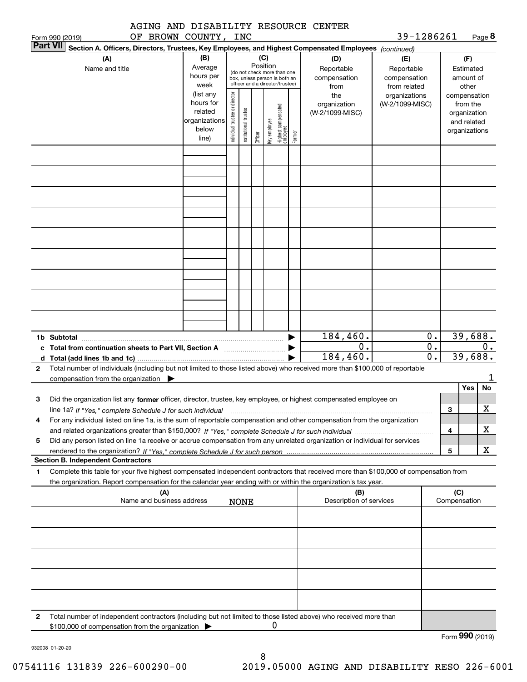|  |                                                                                                                                                                                                                                                                                                                                                             | AGING AND DISABILITY RESOURCE CENTER |  |
|--|-------------------------------------------------------------------------------------------------------------------------------------------------------------------------------------------------------------------------------------------------------------------------------------------------------------------------------------------------------------|--------------------------------------|--|
|  | $\mathcal{L}$ $\mathcal{L}$ $\mathcal{L}$ $\mathcal{L}$ $\mathcal{L}$ $\mathcal{L}$ $\mathcal{L}$ $\mathcal{L}$ $\mathcal{L}$ $\mathcal{L}$ $\mathcal{L}$ $\mathcal{L}$ $\mathcal{L}$ $\mathcal{L}$ $\mathcal{L}$ $\mathcal{L}$ $\mathcal{L}$ $\mathcal{L}$ $\mathcal{L}$ $\mathcal{L}$ $\mathcal{L}$ $\mathcal{L}$ $\mathcal{L}$ $\mathcal{L}$ $\mathcal{$ |                                      |  |

| 39-1286261 | Page 8 |
|------------|--------|
|------------|--------|

|                                                                                   | Form 990 (2019) | OF BROWN COUNTY,                                                                                                                                                                                                                                                     |                                                                      |                               | INC                                                                                             |         |                 |                                  |        |                                           | 39-1286261                                        |                                                       |                                                                          | Page 8 |
|-----------------------------------------------------------------------------------|-----------------|----------------------------------------------------------------------------------------------------------------------------------------------------------------------------------------------------------------------------------------------------------------------|----------------------------------------------------------------------|-------------------------------|-------------------------------------------------------------------------------------------------|---------|-----------------|----------------------------------|--------|-------------------------------------------|---------------------------------------------------|-------------------------------------------------------|--------------------------------------------------------------------------|--------|
|                                                                                   | <b>Part VII</b> | Section A. Officers, Directors, Trustees, Key Employees, and Highest Compensated Employees (continued)                                                                                                                                                               |                                                                      |                               |                                                                                                 |         |                 |                                  |        |                                           |                                                   |                                                       |                                                                          |        |
|                                                                                   |                 | (A)<br>Name and title                                                                                                                                                                                                                                                | (B)<br>Average<br>hours per<br>week                                  |                               | (do not check more than one<br>box, unless person is both an<br>officer and a director/trustee) |         | (C)<br>Position |                                  |        | (D)<br>Reportable<br>compensation<br>from | (E)<br>Reportable<br>compensation<br>from related |                                                       | (F)<br>Estimated<br>amount of<br>other                                   |        |
|                                                                                   |                 |                                                                                                                                                                                                                                                                      | (list any<br>hours for<br>related<br>organizations<br>below<br>line) | ndividual trustee or director | nstitutional trustee                                                                            | Officer | Key employee    | Highest compensated<br> employee | Former | the<br>organization<br>(W-2/1099-MISC)    | organizations<br>(W-2/1099-MISC)                  |                                                       | compensation<br>from the<br>organization<br>and related<br>organizations |        |
|                                                                                   |                 |                                                                                                                                                                                                                                                                      |                                                                      |                               |                                                                                                 |         |                 |                                  |        |                                           |                                                   |                                                       |                                                                          |        |
|                                                                                   |                 |                                                                                                                                                                                                                                                                      |                                                                      |                               |                                                                                                 |         |                 |                                  |        |                                           |                                                   |                                                       |                                                                          |        |
|                                                                                   |                 |                                                                                                                                                                                                                                                                      |                                                                      |                               |                                                                                                 |         |                 |                                  |        |                                           |                                                   |                                                       |                                                                          |        |
|                                                                                   |                 |                                                                                                                                                                                                                                                                      |                                                                      |                               |                                                                                                 |         |                 |                                  |        |                                           |                                                   |                                                       |                                                                          |        |
|                                                                                   |                 |                                                                                                                                                                                                                                                                      |                                                                      |                               |                                                                                                 |         |                 |                                  |        |                                           |                                                   |                                                       |                                                                          |        |
|                                                                                   |                 |                                                                                                                                                                                                                                                                      |                                                                      |                               |                                                                                                 |         |                 |                                  |        |                                           |                                                   |                                                       |                                                                          |        |
|                                                                                   |                 |                                                                                                                                                                                                                                                                      |                                                                      |                               |                                                                                                 |         |                 |                                  |        |                                           |                                                   |                                                       |                                                                          |        |
|                                                                                   |                 |                                                                                                                                                                                                                                                                      |                                                                      |                               |                                                                                                 |         |                 |                                  |        |                                           |                                                   |                                                       |                                                                          |        |
|                                                                                   | 1b Subtotal     | c Total from continuation sheets to Part VII, Section A <b>manual</b> Total from continuation sheets                                                                                                                                                                 |                                                                      |                               |                                                                                                 |         |                 |                                  |        | 184,460.<br>0.<br>184,460.                |                                                   | $\mathbf 0$ .<br>$\overline{0}$ .<br>$\overline{0}$ . | 39,688.<br>39,688.                                                       | 0.     |
| $\mathbf{2}$                                                                      |                 | Total number of individuals (including but not limited to those listed above) who received more than \$100,000 of reportable<br>compensation from the organization $\blacktriangleright$                                                                             |                                                                      |                               |                                                                                                 |         |                 |                                  |        |                                           |                                                   |                                                       |                                                                          | 1      |
|                                                                                   |                 |                                                                                                                                                                                                                                                                      |                                                                      |                               |                                                                                                 |         |                 |                                  |        |                                           |                                                   |                                                       | Yes                                                                      | No     |
| 3                                                                                 |                 | Did the organization list any former officer, director, trustee, key employee, or highest compensated employee on<br>line 1a? If "Yes," complete Schedule J for such individual manufactured contained and the 1a? If "Yes," complete Schedule J for such individual |                                                                      |                               |                                                                                                 |         |                 |                                  |        |                                           |                                                   | 3                                                     |                                                                          | х      |
|                                                                                   |                 | For any individual listed on line 1a, is the sum of reportable compensation and other compensation from the organization                                                                                                                                             |                                                                      |                               |                                                                                                 |         |                 |                                  |        |                                           |                                                   | 4                                                     |                                                                          | х      |
| 5                                                                                 |                 | Did any person listed on line 1a receive or accrue compensation from any unrelated organization or individual for services                                                                                                                                           |                                                                      |                               |                                                                                                 |         |                 |                                  |        |                                           |                                                   | 5                                                     |                                                                          | х      |
|                                                                                   |                 | <b>Section B. Independent Contractors</b>                                                                                                                                                                                                                            |                                                                      |                               |                                                                                                 |         |                 |                                  |        |                                           |                                                   |                                                       |                                                                          |        |
| 1.                                                                                |                 | Complete this table for your five highest compensated independent contractors that received more than \$100,000 of compensation from<br>the organization. Report compensation for the calendar year ending with or within the organization's tax year.               |                                                                      |                               |                                                                                                 |         |                 |                                  |        |                                           |                                                   |                                                       |                                                                          |        |
| (A)<br>(B)<br>Name and business address<br>Description of services<br><b>NONE</b> |                 |                                                                                                                                                                                                                                                                      |                                                                      |                               |                                                                                                 |         |                 |                                  |        |                                           |                                                   | (C)<br>Compensation                                   |                                                                          |        |
|                                                                                   |                 |                                                                                                                                                                                                                                                                      |                                                                      |                               |                                                                                                 |         |                 |                                  |        |                                           |                                                   |                                                       |                                                                          |        |
|                                                                                   |                 |                                                                                                                                                                                                                                                                      |                                                                      |                               |                                                                                                 |         |                 |                                  |        |                                           |                                                   |                                                       |                                                                          |        |
|                                                                                   |                 |                                                                                                                                                                                                                                                                      |                                                                      |                               |                                                                                                 |         |                 |                                  |        |                                           |                                                   |                                                       |                                                                          |        |
|                                                                                   |                 |                                                                                                                                                                                                                                                                      |                                                                      |                               |                                                                                                 |         |                 |                                  |        |                                           |                                                   |                                                       |                                                                          |        |
| 2                                                                                 |                 | Total number of independent contractors (including but not limited to those listed above) who received more than<br>\$100,000 of compensation from the organization                                                                                                  |                                                                      |                               |                                                                                                 |         | 0               |                                  |        |                                           |                                                   |                                                       |                                                                          |        |

Form (2019) **990**

932008 01-20-20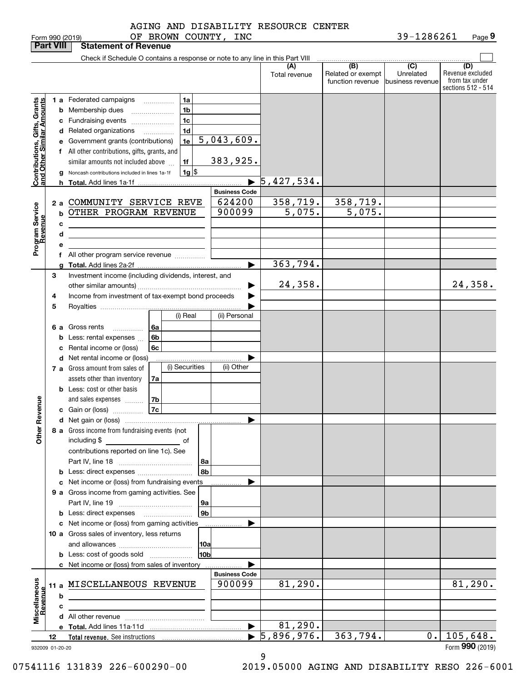|                                                           | <b>Part VIII</b> |    | <b>Statement of Revenue</b>                                                   |                |                                |                      |                                              |                                                 |                                                                 |
|-----------------------------------------------------------|------------------|----|-------------------------------------------------------------------------------|----------------|--------------------------------|----------------------|----------------------------------------------|-------------------------------------------------|-----------------------------------------------------------------|
|                                                           |                  |    | Check if Schedule O contains a response or note to any line in this Part VIII |                |                                |                      |                                              |                                                 |                                                                 |
|                                                           |                  |    |                                                                               |                |                                | (A)<br>Total revenue | (B)<br>Related or exempt<br>function revenue | $\overline{C}$<br>Unrelated<br>business revenue | (D)<br>Revenue excluded<br>from tax under<br>sections 512 - 514 |
|                                                           |                  |    | 1 a Federated campaigns<br>$\overline{\phantom{a}}$                           | 1a             |                                |                      |                                              |                                                 |                                                                 |
|                                                           |                  |    | <b>b</b> Membership dues                                                      | 1 <sub>b</sub> |                                |                      |                                              |                                                 |                                                                 |
|                                                           |                  |    | c Fundraising events                                                          | 1 <sub>c</sub> |                                |                      |                                              |                                                 |                                                                 |
|                                                           |                  |    | d Related organizations<br>.                                                  | 1 <sub>d</sub> |                                |                      |                                              |                                                 |                                                                 |
|                                                           |                  |    | e Government grants (contributions)                                           | 1e             | 5,043,609.                     |                      |                                              |                                                 |                                                                 |
|                                                           |                  |    | f All other contributions, gifts, grants, and                                 |                |                                |                      |                                              |                                                 |                                                                 |
|                                                           |                  |    | similar amounts not included above                                            | 1f             | 383,925.                       |                      |                                              |                                                 |                                                                 |
|                                                           |                  |    | Noncash contributions included in lines 1a-1f                                 | $1g$ \$        |                                |                      |                                              |                                                 |                                                                 |
| Contributions, Gifts, Grants<br>and Other Similar Amounts |                  | h. |                                                                               |                | $\blacktriangleright$          | 5,427,534.           |                                              |                                                 |                                                                 |
|                                                           |                  |    |                                                                               |                | <b>Business Code</b>           |                      |                                              |                                                 |                                                                 |
|                                                           | 2a               |    | COMMUNITY SERVICE REVE                                                        |                | 624200                         | 358,719.             | 358,719.                                     |                                                 |                                                                 |
| Program Service<br>Revenue                                |                  | b  | OTHER PROGRAM REVENUE                                                         |                | 900099                         | 5,075.               | $\overline{5,075}$ .                         |                                                 |                                                                 |
|                                                           |                  | с  |                                                                               |                |                                |                      |                                              |                                                 |                                                                 |
|                                                           |                  | d  |                                                                               |                |                                |                      |                                              |                                                 |                                                                 |
|                                                           |                  | е  |                                                                               |                |                                |                      |                                              |                                                 |                                                                 |
|                                                           |                  |    | f All other program service revenue                                           |                |                                |                      |                                              |                                                 |                                                                 |
|                                                           |                  |    |                                                                               |                | ь                              | 363,794.             |                                              |                                                 |                                                                 |
|                                                           | 3                |    | Investment income (including dividends, interest, and                         |                |                                |                      |                                              |                                                 |                                                                 |
|                                                           |                  |    |                                                                               |                |                                | 24, 358.             |                                              |                                                 | 24,358.                                                         |
|                                                           | 4                |    | Income from investment of tax-exempt bond proceeds                            |                |                                |                      |                                              |                                                 |                                                                 |
|                                                           | 5                |    |                                                                               |                |                                |                      |                                              |                                                 |                                                                 |
|                                                           |                  |    |                                                                               | (i) Real       | (ii) Personal                  |                      |                                              |                                                 |                                                                 |
|                                                           |                  |    | 6 a Gross rents<br>6а<br>.                                                    |                |                                |                      |                                              |                                                 |                                                                 |
|                                                           |                  | b  | 6b<br>Less: rental expenses                                                   |                |                                |                      |                                              |                                                 |                                                                 |
|                                                           |                  | c  | 6c<br>Rental income or (loss)                                                 |                |                                |                      |                                              |                                                 |                                                                 |
|                                                           |                  |    | d Net rental income or (loss)                                                 |                |                                |                      |                                              |                                                 |                                                                 |
|                                                           |                  |    | 7 a Gross amount from sales of                                                | (i) Securities | (ii) Other                     |                      |                                              |                                                 |                                                                 |
|                                                           |                  |    | assets other than inventory<br>7a                                             |                |                                |                      |                                              |                                                 |                                                                 |
|                                                           |                  |    | <b>b</b> Less: cost or other basis                                            |                |                                |                      |                                              |                                                 |                                                                 |
| Revenue                                                   |                  |    | 7b<br>and sales expenses<br>7c                                                |                |                                |                      |                                              |                                                 |                                                                 |
|                                                           |                  |    | c Gain or (loss)                                                              |                | ▶                              |                      |                                              |                                                 |                                                                 |
|                                                           |                  |    | 8 a Gross income from fundraising events (not                                 |                |                                |                      |                                              |                                                 |                                                                 |
| Other                                                     |                  |    | including \$                                                                  |                |                                |                      |                                              |                                                 |                                                                 |
|                                                           |                  |    | contributions reported on line 1c). See                                       |                |                                |                      |                                              |                                                 |                                                                 |
|                                                           |                  |    |                                                                               | 8a             |                                |                      |                                              |                                                 |                                                                 |
|                                                           |                  |    | <b>b</b> Less: direct expenses <i></i>                                        | 8b             |                                |                      |                                              |                                                 |                                                                 |
|                                                           |                  |    | c Net income or (loss) from fundraising events                                |                |                                |                      |                                              |                                                 |                                                                 |
|                                                           |                  |    | 9 a Gross income from gaming activities. See                                  |                |                                |                      |                                              |                                                 |                                                                 |
|                                                           |                  |    |                                                                               | 9a             |                                |                      |                                              |                                                 |                                                                 |
|                                                           |                  |    | <b>b</b> Less: direct expenses <b>manually</b>                                | 9 <sub>b</sub> |                                |                      |                                              |                                                 |                                                                 |
|                                                           |                  |    | c Net income or (loss) from gaming activities                                 |                |                                |                      |                                              |                                                 |                                                                 |
|                                                           |                  |    | 10 a Gross sales of inventory, less returns                                   |                |                                |                      |                                              |                                                 |                                                                 |
|                                                           |                  |    |                                                                               | 10a            |                                |                      |                                              |                                                 |                                                                 |
|                                                           |                  |    | <b>b</b> Less: cost of goods sold                                             | 10b            |                                |                      |                                              |                                                 |                                                                 |
|                                                           |                  |    | c Net income or (loss) from sales of inventory                                |                |                                |                      |                                              |                                                 |                                                                 |
|                                                           |                  |    |                                                                               |                | <b>Business Code</b><br>900099 | 81, 290.             |                                              |                                                 | 81,290.                                                         |
|                                                           |                  |    | 11 a MISCELLANEOUS REVENUE                                                    |                |                                |                      |                                              |                                                 |                                                                 |
|                                                           |                  | b  | the control of the control of the control of the control of the control of    |                |                                |                      |                                              |                                                 |                                                                 |
| Miscellaneous<br>Revenue                                  |                  | c  |                                                                               |                |                                |                      |                                              |                                                 |                                                                 |
|                                                           |                  |    |                                                                               |                | $\blacktriangleright$          | 81,290.              |                                              |                                                 |                                                                 |
|                                                           | 12               |    |                                                                               |                |                                | 5,896,976.           | 363,794.                                     |                                                 | $0.$   105,648.                                                 |
| 932009 01-20-20                                           |                  |    |                                                                               |                |                                |                      |                                              |                                                 | Form 990 (2019)                                                 |

9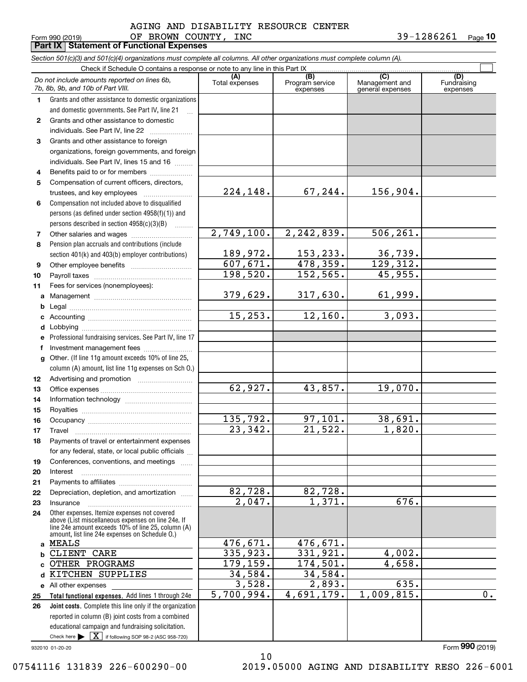#### Form 990 (2019) Page **Part IX Statement of Functional Expenses** OF BROWN COUNTY, INC  $39-1286261$ AGING AND DISABILITY RESOURCE CENTER

**10**

|              | <b>1 GILIA</b><br>Statement of Fanotional Experience                                                                       |                       |                                    |                                           |                                |
|--------------|----------------------------------------------------------------------------------------------------------------------------|-----------------------|------------------------------------|-------------------------------------------|--------------------------------|
|              | Section 501(c)(3) and 501(c)(4) organizations must complete all columns. All other organizations must complete column (A). |                       |                                    |                                           |                                |
|              | Check if Schedule O contains a response or note to any line in this Part IX                                                |                       |                                    |                                           |                                |
|              | Do not include amounts reported on lines 6b,<br>7b, 8b, 9b, and 10b of Part VIII.                                          | (A)<br>Total expenses | (B)<br>Program service<br>expenses | (C)<br>Management and<br>general expenses | (D)<br>Fundraising<br>expenses |
| 1.           | Grants and other assistance to domestic organizations                                                                      |                       |                                    |                                           |                                |
|              | and domestic governments. See Part IV, line 21                                                                             |                       |                                    |                                           |                                |
| $\mathbf{2}$ | Grants and other assistance to domestic                                                                                    |                       |                                    |                                           |                                |
|              | individuals. See Part IV, line 22                                                                                          |                       |                                    |                                           |                                |
| 3            | Grants and other assistance to foreign                                                                                     |                       |                                    |                                           |                                |
|              | organizations, foreign governments, and foreign                                                                            |                       |                                    |                                           |                                |
|              | individuals. See Part IV, lines 15 and 16                                                                                  |                       |                                    |                                           |                                |
|              |                                                                                                                            |                       |                                    |                                           |                                |
| 4            | Benefits paid to or for members                                                                                            |                       |                                    |                                           |                                |
| 5            | Compensation of current officers, directors,                                                                               |                       |                                    |                                           |                                |
|              |                                                                                                                            | 224,148.              | 67,244.                            | 156,904.                                  |                                |
| 6            | Compensation not included above to disqualified                                                                            |                       |                                    |                                           |                                |
|              | persons (as defined under section 4958(f)(1)) and                                                                          |                       |                                    |                                           |                                |
|              | persons described in section 4958(c)(3)(B)                                                                                 |                       |                                    |                                           |                                |
| 7            |                                                                                                                            | 2,749,100.            | 2,242,839.                         | 506, 261.                                 |                                |
| 8            | Pension plan accruals and contributions (include                                                                           |                       |                                    |                                           |                                |
|              | section 401(k) and 403(b) employer contributions)                                                                          | 189,972.              | 153,233.                           | <u>36,739.</u>                            |                                |
| 9            |                                                                                                                            | 607,671.              | 478,359.                           | 129,312.                                  |                                |
| 10           |                                                                                                                            | 198,520.              | 152,565.                           | 45,955.                                   |                                |
| 11           | Fees for services (nonemployees):                                                                                          |                       |                                    |                                           |                                |
| a            |                                                                                                                            | 379,629.              | 317,630.                           | 61,999.                                   |                                |
| b            |                                                                                                                            |                       |                                    |                                           |                                |
| c            |                                                                                                                            | 15, 253.              | 12,160.                            | 3,093.                                    |                                |
| d            |                                                                                                                            |                       |                                    |                                           |                                |
|              | Professional fundraising services. See Part IV, line 17                                                                    |                       |                                    |                                           |                                |
| е            |                                                                                                                            |                       |                                    |                                           |                                |
| f            | Investment management fees                                                                                                 |                       |                                    |                                           |                                |
| g            | Other. (If line 11g amount exceeds 10% of line 25,                                                                         |                       |                                    |                                           |                                |
|              | column (A) amount, list line 11g expenses on Sch O.)                                                                       |                       |                                    |                                           |                                |
| 12           |                                                                                                                            |                       |                                    |                                           |                                |
| 13           |                                                                                                                            | $\overline{62,927}$ . | 43,857.                            | 19,070.                                   |                                |
| 14           |                                                                                                                            |                       |                                    |                                           |                                |
| 15           |                                                                                                                            |                       |                                    |                                           |                                |
| 16           |                                                                                                                            | 135,792.              | <u>97,101.</u>                     | 38,691.                                   |                                |
| 17           | Travel                                                                                                                     | 23,342.               | 21,522.                            | 1,820.                                    |                                |
| 18           | Payments of travel or entertainment expenses                                                                               |                       |                                    |                                           |                                |
|              | for any federal, state, or local public officials                                                                          |                       |                                    |                                           |                                |
| 19           | Conferences, conventions, and meetings                                                                                     |                       |                                    |                                           |                                |
| 20           | Interest                                                                                                                   |                       |                                    |                                           |                                |
| 21           |                                                                                                                            |                       |                                    |                                           |                                |
| 22           | Depreciation, depletion, and amortization                                                                                  | 82, 728.              |                                    |                                           |                                |
| 23           | Insurance                                                                                                                  | 2,047.                | $\frac{82,728.}{1,371.}$           | 676.                                      |                                |
| 24           | Other expenses. Itemize expenses not covered                                                                               |                       |                                    |                                           |                                |
|              | above (List miscellaneous expenses on line 24e. If                                                                         |                       |                                    |                                           |                                |
|              | line 24e amount exceeds 10% of line 25, column (A)<br>amount, list line 24e expenses on Schedule O.)                       |                       |                                    |                                           |                                |
| a            | <b>MEALS</b>                                                                                                               | <u>476,671.</u>       | <u>476,671.</u>                    |                                           |                                |
|              | CLIENT CARE                                                                                                                | 335,923.              | 331,921.                           | 4,002.                                    |                                |
|              | OTHER PROGRAMS                                                                                                             | 179,159.              | 174,501.                           | 4,658.                                    |                                |
|              | KITCHEN SUPPLIES                                                                                                           | 34,584.               | 34,584.                            |                                           |                                |
|              | e All other expenses                                                                                                       | 3,528.                | 2,893.                             | 635.                                      |                                |
| 25           | Total functional expenses. Add lines 1 through 24e                                                                         | 5,700,994.            | 4,691,179.                         | 1,009,815.                                | $0$ .                          |
| 26           | Joint costs. Complete this line only if the organization                                                                   |                       |                                    |                                           |                                |
|              | reported in column (B) joint costs from a combined                                                                         |                       |                                    |                                           |                                |
|              | educational campaign and fundraising solicitation.                                                                         |                       |                                    |                                           |                                |
|              | Check here $\blacktriangleright \boxed{\mathbf{X}}$ if following SOP 98-2 (ASC 958-720)                                    |                       |                                    |                                           |                                |
|              |                                                                                                                            |                       |                                    |                                           |                                |

10

932010 01-20-20

07541116 131839 226-600290-00 2019.05000 AGING AND DISABILITY RESO 226-6001

Form (2019) **990**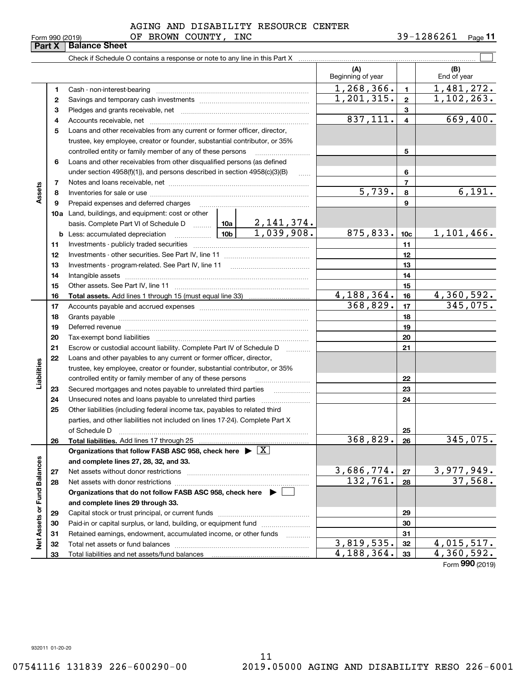#### Form 990 (2019) OF BROWN COUNTY,INC 39-1286261 <sub>Page</sub> AGING AND DISABILITY RESOURCE CENTER

|                             |    |                                                                                                                                                                                                                                |                      |                     | (A)<br>Beginning of year |                | (B)<br>End of year           |
|-----------------------------|----|--------------------------------------------------------------------------------------------------------------------------------------------------------------------------------------------------------------------------------|----------------------|---------------------|--------------------------|----------------|------------------------------|
|                             | 1  |                                                                                                                                                                                                                                |                      |                     | 1, 268, 366.             | $\mathbf{1}$   | 1,481,272.                   |
|                             | 2  |                                                                                                                                                                                                                                |                      |                     | 1,201,315.               | $\mathbf{2}$   | 1,102,263.                   |
|                             | 3  |                                                                                                                                                                                                                                |                      |                     |                          | 3              |                              |
|                             | 4  |                                                                                                                                                                                                                                |                      |                     | 837,111.                 | 4              | 669,400.                     |
|                             | 5  | Loans and other receivables from any current or former officer, director,                                                                                                                                                      |                      |                     |                          |                |                              |
|                             |    | trustee, key employee, creator or founder, substantial contributor, or 35%                                                                                                                                                     |                      |                     |                          |                |                              |
|                             |    | controlled entity or family member of any of these persons                                                                                                                                                                     |                      |                     |                          | 5              |                              |
|                             | 6  | Loans and other receivables from other disqualified persons (as defined                                                                                                                                                        |                      |                     |                          |                |                              |
|                             |    | under section 4958(f)(1)), and persons described in section 4958(c)(3)(B)                                                                                                                                                      |                      | $\sim$              |                          | 6              |                              |
|                             | 7  |                                                                                                                                                                                                                                |                      |                     |                          | $\overline{7}$ |                              |
| Assets                      | 8  |                                                                                                                                                                                                                                | $\overline{5,739}$ . | 8                   | 6,191.                   |                |                              |
|                             | 9  | Prepaid expenses and deferred charges                                                                                                                                                                                          |                      |                     |                          | 9              |                              |
|                             |    | 10a Land, buildings, and equipment: cost or other                                                                                                                                                                              |                      |                     |                          |                |                              |
|                             |    |                                                                                                                                                                                                                                |                      |                     |                          |                |                              |
|                             |    |                                                                                                                                                                                                                                | 875, 833.            | 10 <sub>c</sub>     | 1,101,466.               |                |                              |
|                             | 11 |                                                                                                                                                                                                                                |                      |                     | 11                       |                |                              |
|                             | 12 |                                                                                                                                                                                                                                |                      |                     | 12                       |                |                              |
|                             | 13 |                                                                                                                                                                                                                                |                      |                     |                          | 13             |                              |
|                             | 14 |                                                                                                                                                                                                                                |                      |                     |                          | 14             |                              |
|                             | 15 |                                                                                                                                                                                                                                |                      |                     |                          | 15             |                              |
|                             | 16 |                                                                                                                                                                                                                                |                      |                     | 4, 188, 364.             | 16             | 4,360,592.                   |
|                             | 17 |                                                                                                                                                                                                                                |                      |                     | 368,829.                 | 17             | 345,075.                     |
|                             | 18 |                                                                                                                                                                                                                                |                      | 18                  |                          |                |                              |
|                             | 19 | Deferred revenue material contracts and a contract of the contract of the contract of the contract of the contract of the contract of the contract of the contract of the contract of the contract of the contract of the cont |                      | 19                  |                          |                |                              |
|                             | 20 |                                                                                                                                                                                                                                |                      |                     |                          | 20             |                              |
|                             | 21 | Escrow or custodial account liability. Complete Part IV of Schedule D                                                                                                                                                          |                      | 1.1.1.1.1.1.1.1.1.1 |                          | 21             |                              |
|                             | 22 | Loans and other payables to any current or former officer, director,                                                                                                                                                           |                      |                     |                          |                |                              |
|                             |    | trustee, key employee, creator or founder, substantial contributor, or 35%                                                                                                                                                     |                      |                     |                          |                |                              |
| Liabilities                 |    | controlled entity or family member of any of these persons                                                                                                                                                                     |                      |                     |                          | 22             |                              |
|                             | 23 | Secured mortgages and notes payable to unrelated third parties                                                                                                                                                                 |                      | .                   |                          | 23             |                              |
|                             | 24 |                                                                                                                                                                                                                                |                      |                     |                          | 24             |                              |
|                             | 25 | Other liabilities (including federal income tax, payables to related third                                                                                                                                                     |                      |                     |                          |                |                              |
|                             |    | parties, and other liabilities not included on lines 17-24). Complete Part X                                                                                                                                                   |                      |                     |                          |                |                              |
|                             |    | of Schedule D                                                                                                                                                                                                                  |                      |                     |                          | 25             |                              |
|                             | 26 | Total liabilities. Add lines 17 through 25                                                                                                                                                                                     |                      |                     | 368,829.                 | 26             | 345,075.                     |
|                             |    | Organizations that follow FASB ASC 958, check here $\blacktriangleright \boxed{X}$                                                                                                                                             |                      |                     |                          |                |                              |
|                             |    | and complete lines 27, 28, 32, and 33.                                                                                                                                                                                         |                      |                     |                          |                |                              |
|                             | 27 | Net assets without donor restrictions                                                                                                                                                                                          |                      |                     | 3,686,774.               | 27             | $\frac{3,977,949.}{37,568.}$ |
|                             | 28 |                                                                                                                                                                                                                                |                      |                     | 132,761.                 | 28             |                              |
|                             |    | Organizations that do not follow FASB ASC 958, check here $\blacktriangleright$                                                                                                                                                |                      |                     |                          |                |                              |
| Net Assets or Fund Balances |    | and complete lines 29 through 33.                                                                                                                                                                                              |                      |                     |                          |                |                              |
|                             | 29 |                                                                                                                                                                                                                                |                      |                     |                          | 29             |                              |
|                             | 30 | Paid-in or capital surplus, or land, building, or equipment fund                                                                                                                                                               |                      |                     |                          | 30             |                              |
|                             | 31 | Retained earnings, endowment, accumulated income, or other funds                                                                                                                                                               |                      |                     |                          | 31             |                              |
|                             | 32 |                                                                                                                                                                                                                                |                      |                     | 3,819,535.               | 32             | 4,015,517.                   |
|                             | 33 |                                                                                                                                                                                                                                |                      |                     | 4,188,364.               | 33             | 4,360,592.                   |

Form (2019) **990**

932011 01-20-20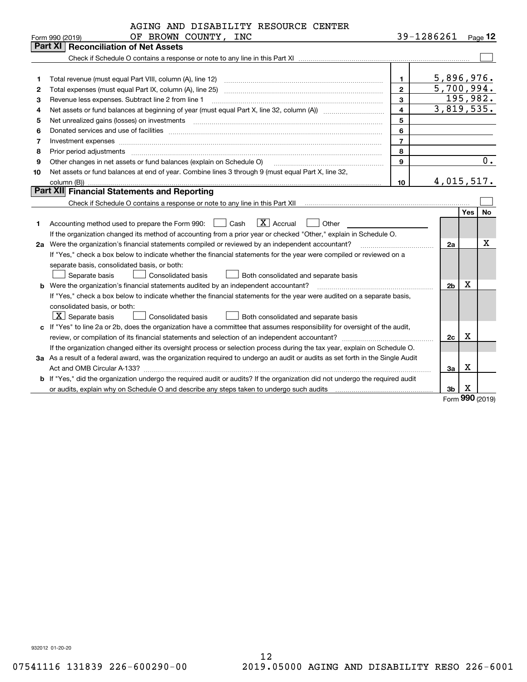| 39-1286261<br>OF BROWN COUNTY, INC<br>Form 990 (2019)<br><b>Part XI   Reconciliation of Net Assets</b><br>1.<br>1<br>$\overline{2}$<br>Total expenses (must equal Part IX, column (A), line 25)<br>2<br>3<br>Revenue less expenses. Subtract line 2 from line 1<br>з<br>$\overline{\mathbf{4}}$<br>4<br>5<br>Net unrealized gains (losses) on investments [11] matter continuum matter is a set of the state of the state o<br>5<br>6<br>Donated services and use of facilities [111] processes and the service of facilities [11] processes and use of facilities [11] processes and the service of facilities [11] processes and the service of the service of the se<br>6 | Page $12$<br><u>5,896,976.</u><br>5,700,994.<br>195,982.<br>3,819,535.<br>$\overline{0}$ . |
|------------------------------------------------------------------------------------------------------------------------------------------------------------------------------------------------------------------------------------------------------------------------------------------------------------------------------------------------------------------------------------------------------------------------------------------------------------------------------------------------------------------------------------------------------------------------------------------------------------------------------------------------------------------------------|--------------------------------------------------------------------------------------------|
|                                                                                                                                                                                                                                                                                                                                                                                                                                                                                                                                                                                                                                                                              |                                                                                            |
|                                                                                                                                                                                                                                                                                                                                                                                                                                                                                                                                                                                                                                                                              |                                                                                            |
|                                                                                                                                                                                                                                                                                                                                                                                                                                                                                                                                                                                                                                                                              |                                                                                            |
|                                                                                                                                                                                                                                                                                                                                                                                                                                                                                                                                                                                                                                                                              |                                                                                            |
|                                                                                                                                                                                                                                                                                                                                                                                                                                                                                                                                                                                                                                                                              |                                                                                            |
|                                                                                                                                                                                                                                                                                                                                                                                                                                                                                                                                                                                                                                                                              |                                                                                            |
|                                                                                                                                                                                                                                                                                                                                                                                                                                                                                                                                                                                                                                                                              |                                                                                            |
|                                                                                                                                                                                                                                                                                                                                                                                                                                                                                                                                                                                                                                                                              |                                                                                            |
|                                                                                                                                                                                                                                                                                                                                                                                                                                                                                                                                                                                                                                                                              |                                                                                            |
|                                                                                                                                                                                                                                                                                                                                                                                                                                                                                                                                                                                                                                                                              |                                                                                            |
| $\overline{7}$<br>7<br>Investment expenses www.communication.com/www.communication.com/www.communication.com/www.com                                                                                                                                                                                                                                                                                                                                                                                                                                                                                                                                                         |                                                                                            |
| 8<br>8<br>Prior period adjustments                                                                                                                                                                                                                                                                                                                                                                                                                                                                                                                                                                                                                                           |                                                                                            |
| 9<br>Other changes in net assets or fund balances (explain on Schedule O)<br>9                                                                                                                                                                                                                                                                                                                                                                                                                                                                                                                                                                                               |                                                                                            |
| Net assets or fund balances at end of year. Combine lines 3 through 9 (must equal Part X, line 32,<br>10                                                                                                                                                                                                                                                                                                                                                                                                                                                                                                                                                                     |                                                                                            |
| 4,015,517.<br>10<br>column (B))                                                                                                                                                                                                                                                                                                                                                                                                                                                                                                                                                                                                                                              |                                                                                            |
| <b>Part XII</b> Financial Statements and Reporting                                                                                                                                                                                                                                                                                                                                                                                                                                                                                                                                                                                                                           |                                                                                            |
|                                                                                                                                                                                                                                                                                                                                                                                                                                                                                                                                                                                                                                                                              |                                                                                            |
|                                                                                                                                                                                                                                                                                                                                                                                                                                                                                                                                                                                                                                                                              | Yes l<br><b>No</b>                                                                         |
| $\boxed{\mathbf{X}}$ Accrual<br>Accounting method used to prepare the Form 990: <u>II</u> Cash<br>Other<br>1                                                                                                                                                                                                                                                                                                                                                                                                                                                                                                                                                                 |                                                                                            |
| If the organization changed its method of accounting from a prior year or checked "Other," explain in Schedule O.                                                                                                                                                                                                                                                                                                                                                                                                                                                                                                                                                            |                                                                                            |
| 2a Were the organization's financial statements compiled or reviewed by an independent accountant?<br>2a                                                                                                                                                                                                                                                                                                                                                                                                                                                                                                                                                                     | x                                                                                          |
| If "Yes," check a box below to indicate whether the financial statements for the year were compiled or reviewed on a                                                                                                                                                                                                                                                                                                                                                                                                                                                                                                                                                         |                                                                                            |
| separate basis, consolidated basis, or both:                                                                                                                                                                                                                                                                                                                                                                                                                                                                                                                                                                                                                                 |                                                                                            |
| Separate basis<br><b>Consolidated basis</b><br>Both consolidated and separate basis                                                                                                                                                                                                                                                                                                                                                                                                                                                                                                                                                                                          |                                                                                            |
| 2 <sub>b</sub><br><b>b</b> Were the organization's financial statements audited by an independent accountant?                                                                                                                                                                                                                                                                                                                                                                                                                                                                                                                                                                | х                                                                                          |
| If "Yes," check a box below to indicate whether the financial statements for the year were audited on a separate basis,                                                                                                                                                                                                                                                                                                                                                                                                                                                                                                                                                      |                                                                                            |
| consolidated basis, or both:                                                                                                                                                                                                                                                                                                                                                                                                                                                                                                                                                                                                                                                 |                                                                                            |
| $X$ Separate basis<br>Consolidated basis<br>Both consolidated and separate basis                                                                                                                                                                                                                                                                                                                                                                                                                                                                                                                                                                                             |                                                                                            |
| c If "Yes" to line 2a or 2b, does the organization have a committee that assumes responsibility for oversight of the audit,                                                                                                                                                                                                                                                                                                                                                                                                                                                                                                                                                  |                                                                                            |
| 2c                                                                                                                                                                                                                                                                                                                                                                                                                                                                                                                                                                                                                                                                           | X                                                                                          |
| If the organization changed either its oversight process or selection process during the tax year, explain on Schedule O.                                                                                                                                                                                                                                                                                                                                                                                                                                                                                                                                                    |                                                                                            |
| 3a As a result of a federal award, was the organization required to undergo an audit or audits as set forth in the Single Audit                                                                                                                                                                                                                                                                                                                                                                                                                                                                                                                                              |                                                                                            |
| 3a                                                                                                                                                                                                                                                                                                                                                                                                                                                                                                                                                                                                                                                                           | х                                                                                          |
| b If "Yes," did the organization undergo the required audit or audits? If the organization did not undergo the required audit                                                                                                                                                                                                                                                                                                                                                                                                                                                                                                                                                |                                                                                            |
| 3 <sub>b</sub><br>or audits, explain why on Schedule O and describe any steps taken to undergo such audits manuming contains an                                                                                                                                                                                                                                                                                                                                                                                                                                                                                                                                              | x<br>nnn                                                                                   |

Form (2019) **990**

932012 01-20-20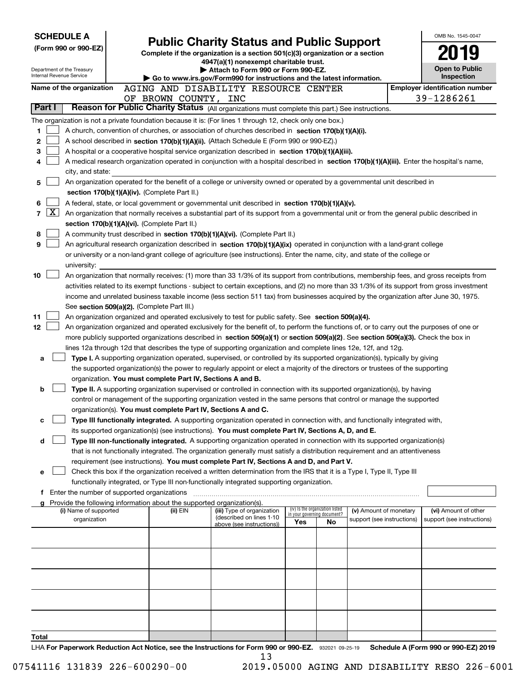|                 |              | <b>SCHEDULE A</b>                           |                                                                        |                                                                                                                                                                                                                                                                                        |        |                                                                |                                                      | OMB No. 1545-0047                                                        |
|-----------------|--------------|---------------------------------------------|------------------------------------------------------------------------|----------------------------------------------------------------------------------------------------------------------------------------------------------------------------------------------------------------------------------------------------------------------------------------|--------|----------------------------------------------------------------|------------------------------------------------------|--------------------------------------------------------------------------|
|                 |              | (Form 990 or 990-EZ)                        |                                                                        | <b>Public Charity Status and Public Support</b>                                                                                                                                                                                                                                        |        |                                                                |                                                      |                                                                          |
|                 |              |                                             |                                                                        | Complete if the organization is a section 501(c)(3) organization or a section<br>4947(a)(1) nonexempt charitable trust.                                                                                                                                                                |        |                                                                |                                                      |                                                                          |
|                 |              | Department of the Treasury                  |                                                                        | Attach to Form 990 or Form 990-EZ.                                                                                                                                                                                                                                                     |        |                                                                |                                                      | <b>Open to Public</b>                                                    |
|                 |              | Internal Revenue Service                    |                                                                        | Go to www.irs.gov/Form990 for instructions and the latest information.                                                                                                                                                                                                                 |        |                                                                |                                                      | Inspection                                                               |
|                 |              | Name of the organization                    |                                                                        | AGING AND DISABILITY RESOURCE CENTER                                                                                                                                                                                                                                                   |        |                                                                |                                                      | <b>Employer identification number</b>                                    |
|                 | Part I       |                                             | OF BROWN COUNTY, INC                                                   | Reason for Public Charity Status (All organizations must complete this part.) See instructions.                                                                                                                                                                                        |        |                                                                |                                                      | 39-1286261                                                               |
|                 |              |                                             |                                                                        |                                                                                                                                                                                                                                                                                        |        |                                                                |                                                      |                                                                          |
|                 |              |                                             |                                                                        | The organization is not a private foundation because it is: (For lines 1 through 12, check only one box.)                                                                                                                                                                              |        |                                                                |                                                      |                                                                          |
| 1<br>2          |              |                                             |                                                                        | A church, convention of churches, or association of churches described in section 170(b)(1)(A)(i).                                                                                                                                                                                     |        |                                                                |                                                      |                                                                          |
| з               |              |                                             |                                                                        | A school described in section 170(b)(1)(A)(ii). (Attach Schedule E (Form 990 or 990-EZ).)<br>A hospital or a cooperative hospital service organization described in section 170(b)(1)(A)(iii).                                                                                         |        |                                                                |                                                      |                                                                          |
| 4               |              |                                             |                                                                        | A medical research organization operated in conjunction with a hospital described in section 170(b)(1)(A)(iii). Enter the hospital's name,                                                                                                                                             |        |                                                                |                                                      |                                                                          |
|                 |              | city, and state:                            |                                                                        |                                                                                                                                                                                                                                                                                        |        |                                                                |                                                      |                                                                          |
| 5               |              |                                             |                                                                        | An organization operated for the benefit of a college or university owned or operated by a governmental unit described in                                                                                                                                                              |        |                                                                |                                                      |                                                                          |
|                 |              |                                             | section 170(b)(1)(A)(iv). (Complete Part II.)                          |                                                                                                                                                                                                                                                                                        |        |                                                                |                                                      |                                                                          |
| 6               |              |                                             |                                                                        | A federal, state, or local government or governmental unit described in section 170(b)(1)(A)(v).                                                                                                                                                                                       |        |                                                                |                                                      |                                                                          |
| 7               | $\mathbf{X}$ |                                             |                                                                        | An organization that normally receives a substantial part of its support from a governmental unit or from the general public described in                                                                                                                                              |        |                                                                |                                                      |                                                                          |
|                 |              |                                             | section 170(b)(1)(A)(vi). (Complete Part II.)                          |                                                                                                                                                                                                                                                                                        |        |                                                                |                                                      |                                                                          |
| 8               |              |                                             |                                                                        | A community trust described in section 170(b)(1)(A)(vi). (Complete Part II.)                                                                                                                                                                                                           |        |                                                                |                                                      |                                                                          |
| 9               |              |                                             |                                                                        | An agricultural research organization described in section 170(b)(1)(A)(ix) operated in conjunction with a land-grant college                                                                                                                                                          |        |                                                                |                                                      |                                                                          |
|                 |              |                                             |                                                                        | or university or a non-land-grant college of agriculture (see instructions). Enter the name, city, and state of the college or                                                                                                                                                         |        |                                                                |                                                      |                                                                          |
|                 |              | university:                                 |                                                                        |                                                                                                                                                                                                                                                                                        |        |                                                                |                                                      |                                                                          |
| 10              |              |                                             |                                                                        | An organization that normally receives: (1) more than 33 1/3% of its support from contributions, membership fees, and gross receipts from                                                                                                                                              |        |                                                                |                                                      |                                                                          |
|                 |              |                                             |                                                                        | activities related to its exempt functions - subject to certain exceptions, and (2) no more than 33 1/3% of its support from gross investment<br>income and unrelated business taxable income (less section 511 tax) from businesses acquired by the organization after June 30, 1975. |        |                                                                |                                                      |                                                                          |
|                 |              |                                             | See section 509(a)(2). (Complete Part III.)                            |                                                                                                                                                                                                                                                                                        |        |                                                                |                                                      |                                                                          |
| 11              |              |                                             |                                                                        | An organization organized and operated exclusively to test for public safety. See section 509(a)(4).                                                                                                                                                                                   |        |                                                                |                                                      |                                                                          |
| 12 <sub>2</sub> |              |                                             |                                                                        | An organization organized and operated exclusively for the benefit of, to perform the functions of, or to carry out the purposes of one or                                                                                                                                             |        |                                                                |                                                      |                                                                          |
|                 |              |                                             |                                                                        | more publicly supported organizations described in section 509(a)(1) or section 509(a)(2). See section 509(a)(3). Check the box in                                                                                                                                                     |        |                                                                |                                                      |                                                                          |
|                 |              |                                             |                                                                        | lines 12a through 12d that describes the type of supporting organization and complete lines 12e, 12f, and 12g.                                                                                                                                                                         |        |                                                                |                                                      |                                                                          |
| а               |              |                                             |                                                                        | Type I. A supporting organization operated, supervised, or controlled by its supported organization(s), typically by giving                                                                                                                                                            |        |                                                                |                                                      |                                                                          |
|                 |              |                                             |                                                                        | the supported organization(s) the power to regularly appoint or elect a majority of the directors or trustees of the supporting                                                                                                                                                        |        |                                                                |                                                      |                                                                          |
|                 |              |                                             | organization. You must complete Part IV, Sections A and B.             |                                                                                                                                                                                                                                                                                        |        |                                                                |                                                      |                                                                          |
| b               |              |                                             |                                                                        | Type II. A supporting organization supervised or controlled in connection with its supported organization(s), by having                                                                                                                                                                |        |                                                                |                                                      |                                                                          |
|                 |              |                                             |                                                                        | control or management of the supporting organization vested in the same persons that control or manage the supported                                                                                                                                                                   |        |                                                                |                                                      |                                                                          |
|                 |              |                                             | organization(s). You must complete Part IV, Sections A and C.          |                                                                                                                                                                                                                                                                                        |        |                                                                |                                                      |                                                                          |
| с               |              |                                             |                                                                        | Type III functionally integrated. A supporting organization operated in connection with, and functionally integrated with,<br>its supported organization(s) (see instructions). You must complete Part IV, Sections A, D, and E.                                                       |        |                                                                |                                                      |                                                                          |
| d               |              |                                             |                                                                        | Type III non-functionally integrated. A supporting organization operated in connection with its supported organization(s)                                                                                                                                                              |        |                                                                |                                                      |                                                                          |
|                 |              |                                             |                                                                        | that is not functionally integrated. The organization generally must satisfy a distribution requirement and an attentiveness                                                                                                                                                           |        |                                                                |                                                      |                                                                          |
|                 |              |                                             |                                                                        | requirement (see instructions). You must complete Part IV, Sections A and D, and Part V.                                                                                                                                                                                               |        |                                                                |                                                      |                                                                          |
| е               |              |                                             |                                                                        | Check this box if the organization received a written determination from the IRS that it is a Type I, Type II, Type III                                                                                                                                                                |        |                                                                |                                                      |                                                                          |
|                 |              |                                             |                                                                        | functionally integrated, or Type III non-functionally integrated supporting organization.                                                                                                                                                                                              |        |                                                                |                                                      |                                                                          |
|                 |              | Enter the number of supported organizations |                                                                        |                                                                                                                                                                                                                                                                                        |        |                                                                |                                                      |                                                                          |
|                 |              |                                             | Provide the following information about the supported organization(s). |                                                                                                                                                                                                                                                                                        |        |                                                                |                                                      |                                                                          |
|                 |              | (i) Name of supported<br>organization       | (ii) EIN                                                               | (iii) Type of organization<br>(described on lines 1-10                                                                                                                                                                                                                                 |        | (iv) Is the organization listed<br>in your governing document? | (v) Amount of monetary<br>support (see instructions) | (vi) Amount of other<br>support (see instructions)                       |
|                 |              |                                             |                                                                        | above (see instructions))                                                                                                                                                                                                                                                              | Yes    | No                                                             |                                                      |                                                                          |
|                 |              |                                             |                                                                        |                                                                                                                                                                                                                                                                                        |        |                                                                |                                                      |                                                                          |
|                 |              |                                             |                                                                        |                                                                                                                                                                                                                                                                                        |        |                                                                |                                                      |                                                                          |
|                 |              |                                             |                                                                        |                                                                                                                                                                                                                                                                                        |        |                                                                |                                                      |                                                                          |
|                 |              |                                             |                                                                        |                                                                                                                                                                                                                                                                                        |        |                                                                |                                                      |                                                                          |
|                 |              |                                             |                                                                        |                                                                                                                                                                                                                                                                                        |        |                                                                |                                                      |                                                                          |
|                 |              |                                             |                                                                        |                                                                                                                                                                                                                                                                                        |        |                                                                |                                                      |                                                                          |
|                 |              |                                             |                                                                        |                                                                                                                                                                                                                                                                                        |        |                                                                |                                                      |                                                                          |
|                 |              |                                             |                                                                        |                                                                                                                                                                                                                                                                                        |        |                                                                |                                                      |                                                                          |
|                 |              |                                             |                                                                        |                                                                                                                                                                                                                                                                                        |        |                                                                |                                                      |                                                                          |
| Total           |              |                                             | ومالق وبروز                                                            | $000 -$                                                                                                                                                                                                                                                                                | 000 EZ |                                                                |                                                      | $A / F_{\text{a} \text{min}}$ , 000 $A$ <sub>22</sub> , 000 $E$ 7), 0040 |

LHA For Paperwork Reduction Act Notice, see the Instructions for Form 990 or 990-EZ. 932021 09-25-19 Schedule A (Form 990 or 990-EZ) 2019 13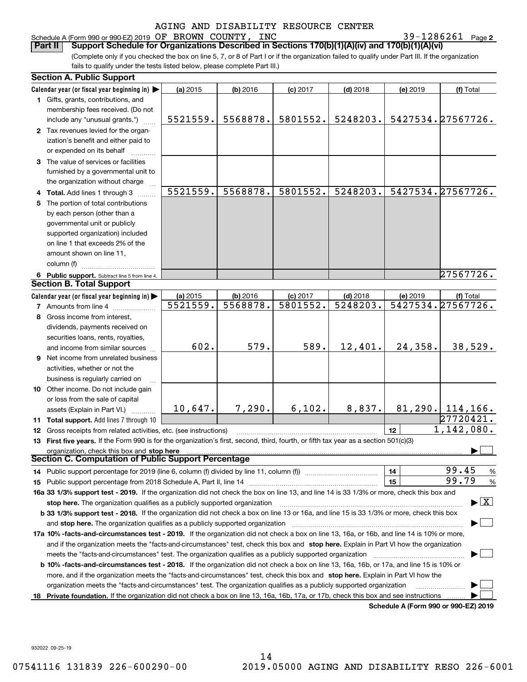#### Schedule A (Form 990 or 990-EZ) 2019 Page OF BROWN COUNTY, INC 39-1286261

**2**

(Complete only if you checked the box on line 5, 7, or 8 of Part I or if the organization failed to qualify under Part III. If the organization fails to qualify under the tests listed below, please complete Part III.) **Part II Support Schedule for Organizations Described in Sections 170(b)(1)(A)(iv) and 170(b)(1)(A)(vi)**

|    | <b>Section A. Public Support</b>                                                                                                               |                      |                      |                        |                                      |          |                                          |
|----|------------------------------------------------------------------------------------------------------------------------------------------------|----------------------|----------------------|------------------------|--------------------------------------|----------|------------------------------------------|
|    | Calendar year (or fiscal year beginning in)                                                                                                    | (a) 2015             | (b) 2016             | $(c)$ 2017             | $(d)$ 2018                           | (e) 2019 | (f) Total                                |
|    | 1 Gifts, grants, contributions, and                                                                                                            |                      |                      |                        |                                      |          |                                          |
|    | membership fees received. (Do not                                                                                                              |                      |                      |                        |                                      |          |                                          |
|    | include any "unusual grants.")                                                                                                                 | 5521559.             | 5568878.             | 5801552.               | 5248203.                             |          | 5427534.27567726.                        |
|    | 2 Tax revenues levied for the organ-                                                                                                           |                      |                      |                        |                                      |          |                                          |
|    | ization's benefit and either paid to                                                                                                           |                      |                      |                        |                                      |          |                                          |
|    | or expended on its behalf                                                                                                                      |                      |                      |                        |                                      |          |                                          |
|    | 3 The value of services or facilities                                                                                                          |                      |                      |                        |                                      |          |                                          |
|    | furnished by a governmental unit to                                                                                                            |                      |                      |                        |                                      |          |                                          |
|    | the organization without charge                                                                                                                |                      |                      |                        |                                      |          |                                          |
|    | 4 Total. Add lines 1 through 3                                                                                                                 | 5521559.             | 5568878.             | 5801552.               | 5248203.                             |          | 5427534.27567726.                        |
| 5. | The portion of total contributions                                                                                                             |                      |                      |                        |                                      |          |                                          |
|    | by each person (other than a                                                                                                                   |                      |                      |                        |                                      |          |                                          |
|    | governmental unit or publicly                                                                                                                  |                      |                      |                        |                                      |          |                                          |
|    | supported organization) included                                                                                                               |                      |                      |                        |                                      |          |                                          |
|    | on line 1 that exceeds 2% of the                                                                                                               |                      |                      |                        |                                      |          |                                          |
|    | amount shown on line 11,                                                                                                                       |                      |                      |                        |                                      |          |                                          |
|    | column (f)                                                                                                                                     |                      |                      |                        |                                      |          |                                          |
|    |                                                                                                                                                |                      |                      |                        |                                      |          | 27567726.                                |
|    | 6 Public support. Subtract line 5 from line 4.<br><b>Section B. Total Support</b>                                                              |                      |                      |                        |                                      |          |                                          |
|    |                                                                                                                                                |                      |                      |                        |                                      |          |                                          |
|    | Calendar year (or fiscal year beginning in) $\blacktriangleright$                                                                              | (a) 2015<br>5521559. | (b) 2016<br>5568878. | $(c)$ 2017<br>5801552. | $(d)$ 2018<br>$\overline{5248203}$ . | (e) 2019 | (f) Total<br>5427534.27567726.           |
|    | <b>7</b> Amounts from line 4                                                                                                                   |                      |                      |                        |                                      |          |                                          |
|    | 8 Gross income from interest.                                                                                                                  |                      |                      |                        |                                      |          |                                          |
|    | dividends, payments received on                                                                                                                |                      |                      |                        |                                      |          |                                          |
|    | securities loans, rents, royalties,                                                                                                            |                      |                      |                        |                                      |          |                                          |
|    | and income from similar sources                                                                                                                | 602.                 | 579.                 | 589.                   | 12,401.                              | 24,358.  | 38,529.                                  |
| 9  | Net income from unrelated business                                                                                                             |                      |                      |                        |                                      |          |                                          |
|    | activities, whether or not the                                                                                                                 |                      |                      |                        |                                      |          |                                          |
|    | business is regularly carried on                                                                                                               |                      |                      |                        |                                      |          |                                          |
|    | 10 Other income. Do not include gain                                                                                                           |                      |                      |                        |                                      |          |                                          |
|    | or loss from the sale of capital                                                                                                               |                      |                      |                        |                                      |          |                                          |
|    | assets (Explain in Part VI.)                                                                                                                   | 10,647.              | 7,290.               | 6,102.                 | 8,837.                               |          | $81, 290.$ 114, 166.                     |
|    | 11 Total support. Add lines 7 through 10                                                                                                       |                      |                      |                        |                                      |          | 27720421.                                |
|    | 12 Gross receipts from related activities, etc. (see instructions)                                                                             |                      |                      |                        |                                      | 12       | 1,142,080.                               |
|    | 13 First five years. If the Form 990 is for the organization's first, second, third, fourth, or fifth tax year as a section 501(c)(3)          |                      |                      |                        |                                      |          |                                          |
|    | organization, check this box and stop here                                                                                                     |                      |                      |                        |                                      |          |                                          |
|    | <b>Section C. Computation of Public Support Percentage</b>                                                                                     |                      |                      |                        |                                      |          |                                          |
|    |                                                                                                                                                |                      |                      |                        |                                      | 14       | 99.45<br>$\frac{9}{6}$                   |
|    |                                                                                                                                                |                      |                      |                        |                                      | 15       | 99.79<br>$\frac{9}{6}$                   |
|    | 16a 33 1/3% support test - 2019. If the organization did not check the box on line 13, and line 14 is 33 1/3% or more, check this box and      |                      |                      |                        |                                      |          |                                          |
|    | stop here. The organization qualifies as a publicly supported organization                                                                     |                      |                      |                        |                                      |          | $\blacktriangleright$ $\boxed{\text{X}}$ |
|    | b 33 1/3% support test - 2018. If the organization did not check a box on line 13 or 16a, and line 15 is 33 1/3% or more, check this box       |                      |                      |                        |                                      |          |                                          |
|    | and stop here. The organization qualifies as a publicly supported organization                                                                 |                      |                      |                        |                                      |          |                                          |
|    | 17a 10% -facts-and-circumstances test - 2019. If the organization did not check a box on line 13, 16a, or 16b, and line 14 is 10% or more,     |                      |                      |                        |                                      |          |                                          |
|    | and if the organization meets the "facts-and-circumstances" test, check this box and stop here. Explain in Part VI how the organization        |                      |                      |                        |                                      |          |                                          |
|    | meets the "facts-and-circumstances" test. The organization qualifies as a publicly supported organization                                      |                      |                      |                        |                                      |          |                                          |
|    | <b>b 10% -facts-and-circumstances test - 2018.</b> If the organization did not check a box on line 13, 16a, 16b, or 17a, and line 15 is 10% or |                      |                      |                        |                                      |          |                                          |
|    |                                                                                                                                                |                      |                      |                        |                                      |          |                                          |
|    | more, and if the organization meets the "facts-and-circumstances" test, check this box and stop here. Explain in Part VI how the               |                      |                      |                        |                                      |          |                                          |
|    | organization meets the "facts-and-circumstances" test. The organization qualifies as a publicly supported organization                         |                      |                      |                        |                                      |          |                                          |
|    | 18 Private foundation. If the organization did not check a box on line 13, 16a, 16b, 17a, or 17b, check this box and see instructions          |                      |                      |                        |                                      |          | Schedule A (Form 990 or 990-F7) 2019     |

**Schedule A (Form 990 or 990-EZ) 2019**

932022 09-25-19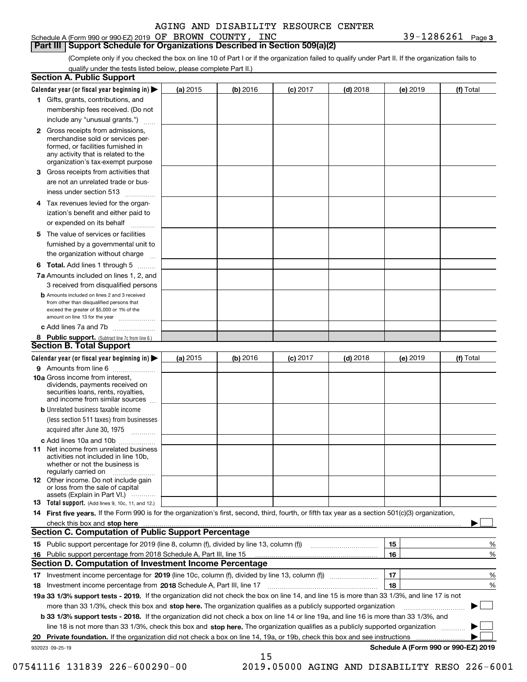|  | Schedule A (Form 990 or 990-EZ) 2019 $OF$ BROWN |  | COUNTY | <b>INC</b> | 1286261 | Page 3 |
|--|-------------------------------------------------|--|--------|------------|---------|--------|
|  |                                                 |  |        |            |         |        |

#### **Part III Support Schedule for Organizations Described in Section 509(a)(2)**

(Complete only if you checked the box on line 10 of Part I or if the organization failed to qualify under Part II. If the organization fails to qualify under the tests listed below, please complete Part II.)

|     | <b>Section A. Public Support</b>                                                                                                                                                                                               |          |          |            |            |          |                                      |
|-----|--------------------------------------------------------------------------------------------------------------------------------------------------------------------------------------------------------------------------------|----------|----------|------------|------------|----------|--------------------------------------|
|     | Calendar year (or fiscal year beginning in) $\blacktriangleright$                                                                                                                                                              | (a) 2015 | (b) 2016 | $(c)$ 2017 | $(d)$ 2018 | (e) 2019 | (f) Total                            |
|     | 1 Gifts, grants, contributions, and                                                                                                                                                                                            |          |          |            |            |          |                                      |
|     | membership fees received. (Do not                                                                                                                                                                                              |          |          |            |            |          |                                      |
|     | include any "unusual grants.")                                                                                                                                                                                                 |          |          |            |            |          |                                      |
|     | <b>2</b> Gross receipts from admissions,<br>merchandise sold or services per-<br>formed, or facilities furnished in<br>any activity that is related to the<br>organization's tax-exempt purpose                                |          |          |            |            |          |                                      |
|     | 3 Gross receipts from activities that<br>are not an unrelated trade or bus-                                                                                                                                                    |          |          |            |            |          |                                      |
|     | iness under section 513                                                                                                                                                                                                        |          |          |            |            |          |                                      |
|     | 4 Tax revenues levied for the organ-<br>ization's benefit and either paid to                                                                                                                                                   |          |          |            |            |          |                                      |
|     | or expended on its behalf<br>.                                                                                                                                                                                                 |          |          |            |            |          |                                      |
|     | 5 The value of services or facilities<br>furnished by a governmental unit to<br>the organization without charge                                                                                                                |          |          |            |            |          |                                      |
|     |                                                                                                                                                                                                                                |          |          |            |            |          |                                      |
|     | <b>6 Total.</b> Add lines 1 through 5<br>7a Amounts included on lines 1, 2, and<br>3 received from disqualified persons                                                                                                        |          |          |            |            |          |                                      |
|     | <b>b</b> Amounts included on lines 2 and 3 received<br>from other than disqualified persons that<br>exceed the greater of \$5,000 or 1% of the<br>amount on line 13 for the year                                               |          |          |            |            |          |                                      |
|     | c Add lines 7a and 7b                                                                                                                                                                                                          |          |          |            |            |          |                                      |
|     | 8 Public support. (Subtract line 7c from line 6.)<br><b>Section B. Total Support</b>                                                                                                                                           |          |          |            |            |          |                                      |
|     | Calendar year (or fiscal year beginning in)                                                                                                                                                                                    | (a) 2015 | (b) 2016 | $(c)$ 2017 | $(d)$ 2018 | (e) 2019 | (f) Total                            |
|     | 9 Amounts from line 6                                                                                                                                                                                                          |          |          |            |            |          |                                      |
|     | 10a Gross income from interest,<br>dividends, payments received on<br>securities loans, rents, royalties,<br>and income from similar sources                                                                                   |          |          |            |            |          |                                      |
|     | <b>b</b> Unrelated business taxable income<br>(less section 511 taxes) from businesses                                                                                                                                         |          |          |            |            |          |                                      |
|     | acquired after June 30, 1975                                                                                                                                                                                                   |          |          |            |            |          |                                      |
|     | c Add lines 10a and 10b<br>11 Net income from unrelated business<br>activities not included in line 10b,<br>whether or not the business is<br>regularly carried on                                                             |          |          |            |            |          |                                      |
|     | 12 Other income. Do not include gain<br>or loss from the sale of capital<br>assets (Explain in Part VI.)                                                                                                                       |          |          |            |            |          |                                      |
|     | 13 Total support. (Add lines 9, 10c, 11, and 12.)                                                                                                                                                                              |          |          |            |            |          |                                      |
|     | 14 First five years. If the Form 990 is for the organization's first, second, third, fourth, or fifth tax year as a section 501(c)(3) organization,                                                                            |          |          |            |            |          |                                      |
|     | check this box and stop here measurements are all the state of the state of the state of the state of the state of the state of the state of the state of the state of the state of the state of the state of the state of the |          |          |            |            |          |                                      |
|     | <b>Section C. Computation of Public Support Percentage</b>                                                                                                                                                                     |          |          |            |            |          |                                      |
|     | 15 Public support percentage for 2019 (line 8, column (f), divided by line 13, column (f))                                                                                                                                     |          |          |            |            | 15       | %                                    |
| 16. | Public support percentage from 2018 Schedule A, Part III, line 15                                                                                                                                                              |          |          |            |            | 16       | %                                    |
|     | <b>Section D. Computation of Investment Income Percentage</b>                                                                                                                                                                  |          |          |            |            |          |                                      |
|     | 17 Investment income percentage for 2019 (line 10c, column (f), divided by line 13, column (f))<br>18 Investment income percentage from 2018 Schedule A, Part III, line 17                                                     |          |          |            |            | 17<br>18 | %<br>%                               |
|     | 19a 33 1/3% support tests - 2019. If the organization did not check the box on line 14, and line 15 is more than 33 1/3%, and line 17 is not                                                                                   |          |          |            |            |          |                                      |
|     | more than 33 1/3%, check this box and stop here. The organization qualifies as a publicly supported organization                                                                                                               |          |          |            |            |          |                                      |
|     | b 33 1/3% support tests - 2018. If the organization did not check a box on line 14 or line 19a, and line 16 is more than 33 1/3%, and                                                                                          |          |          |            |            |          |                                      |
|     | line 18 is not more than 33 1/3%, check this box and stop here. The organization qualifies as a publicly supported organization                                                                                                |          |          |            |            |          |                                      |
|     | 20 Private foundation. If the organization did not check a box on line 14, 19a, or 19b, check this box and see instructions                                                                                                    |          |          |            |            |          | .                                    |
|     | 932023 09-25-19                                                                                                                                                                                                                |          |          |            |            |          | Schedule A (Form 990 or 990-EZ) 2019 |
|     |                                                                                                                                                                                                                                |          | 15       |            |            |          |                                      |

07541116 131839 226-600290-00 2019.05000 AGING AND DISABILITY RESO 226-6001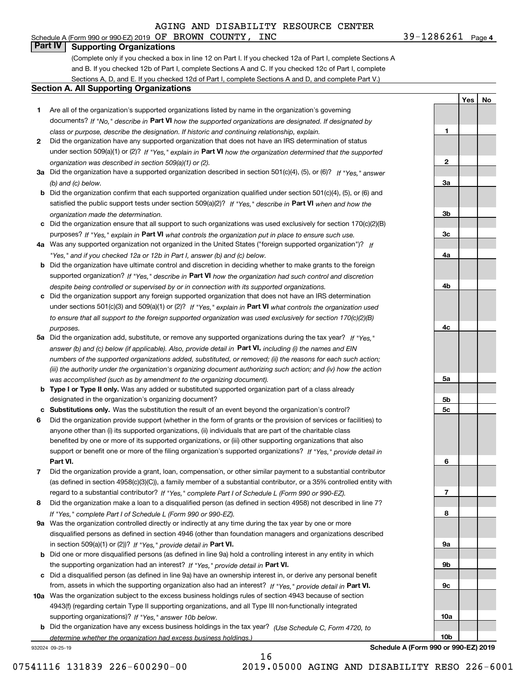# **Part IV Supporting Organizations**

(Complete only if you checked a box in line 12 on Part I. If you checked 12a of Part I, complete Sections A and B. If you checked 12b of Part I, complete Sections A and C. If you checked 12c of Part I, complete Sections A, D, and E. If you checked 12d of Part I, complete Sections A and D, and complete Part V.)

#### **Section A. All Supporting Organizations**

- **1** Are all of the organization's supported organizations listed by name in the organization's governing documents? If "No," describe in **Part VI** how the supported organizations are designated. If designated by *class or purpose, describe the designation. If historic and continuing relationship, explain.*
- **2** Did the organization have any supported organization that does not have an IRS determination of status under section 509(a)(1) or (2)? If "Yes," explain in Part VI how the organization determined that the supported *organization was described in section 509(a)(1) or (2).*
- **3a** Did the organization have a supported organization described in section 501(c)(4), (5), or (6)? If "Yes," answer *(b) and (c) below.*
- **b** Did the organization confirm that each supported organization qualified under section 501(c)(4), (5), or (6) and satisfied the public support tests under section 509(a)(2)? If "Yes," describe in **Part VI** when and how the *organization made the determination.*
- **c**Did the organization ensure that all support to such organizations was used exclusively for section 170(c)(2)(B) purposes? If "Yes," explain in **Part VI** what controls the organization put in place to ensure such use.
- **4a***If* Was any supported organization not organized in the United States ("foreign supported organization")? *"Yes," and if you checked 12a or 12b in Part I, answer (b) and (c) below.*
- **b** Did the organization have ultimate control and discretion in deciding whether to make grants to the foreign supported organization? If "Yes," describe in **Part VI** how the organization had such control and discretion *despite being controlled or supervised by or in connection with its supported organizations.*
- **c** Did the organization support any foreign supported organization that does not have an IRS determination under sections 501(c)(3) and 509(a)(1) or (2)? If "Yes," explain in **Part VI** what controls the organization used *to ensure that all support to the foreign supported organization was used exclusively for section 170(c)(2)(B) purposes.*
- **5a** Did the organization add, substitute, or remove any supported organizations during the tax year? If "Yes," answer (b) and (c) below (if applicable). Also, provide detail in **Part VI,** including (i) the names and EIN *numbers of the supported organizations added, substituted, or removed; (ii) the reasons for each such action; (iii) the authority under the organization's organizing document authorizing such action; and (iv) how the action was accomplished (such as by amendment to the organizing document).*
- **b** Type I or Type II only. Was any added or substituted supported organization part of a class already designated in the organization's organizing document?
- **cSubstitutions only.**  Was the substitution the result of an event beyond the organization's control?
- **6** Did the organization provide support (whether in the form of grants or the provision of services or facilities) to **Part VI.** *If "Yes," provide detail in* support or benefit one or more of the filing organization's supported organizations? anyone other than (i) its supported organizations, (ii) individuals that are part of the charitable class benefited by one or more of its supported organizations, or (iii) other supporting organizations that also
- **7**Did the organization provide a grant, loan, compensation, or other similar payment to a substantial contributor *If "Yes," complete Part I of Schedule L (Form 990 or 990-EZ).* regard to a substantial contributor? (as defined in section 4958(c)(3)(C)), a family member of a substantial contributor, or a 35% controlled entity with
- **8** Did the organization make a loan to a disqualified person (as defined in section 4958) not described in line 7? *If "Yes," complete Part I of Schedule L (Form 990 or 990-EZ).*
- **9a** Was the organization controlled directly or indirectly at any time during the tax year by one or more in section 509(a)(1) or (2))? If "Yes," *provide detail in* <code>Part VI.</code> disqualified persons as defined in section 4946 (other than foundation managers and organizations described
- **b** Did one or more disqualified persons (as defined in line 9a) hold a controlling interest in any entity in which the supporting organization had an interest? If "Yes," provide detail in P**art VI**.
- **c**Did a disqualified person (as defined in line 9a) have an ownership interest in, or derive any personal benefit from, assets in which the supporting organization also had an interest? If "Yes," provide detail in P**art VI.**
- **10a** Was the organization subject to the excess business holdings rules of section 4943 because of section supporting organizations)? If "Yes," answer 10b below. 4943(f) (regarding certain Type II supporting organizations, and all Type III non-functionally integrated
- **b** Did the organization have any excess business holdings in the tax year? (Use Schedule C, Form 4720, to *determine whether the organization had excess business holdings.)*

16

932024 09-25-19

**Schedule A (Form 990 or 990-EZ) 2019**

**23a3b3c4a4b4c5a 5b5c6789a 9b9c10a10b**

**1**

**YesNo**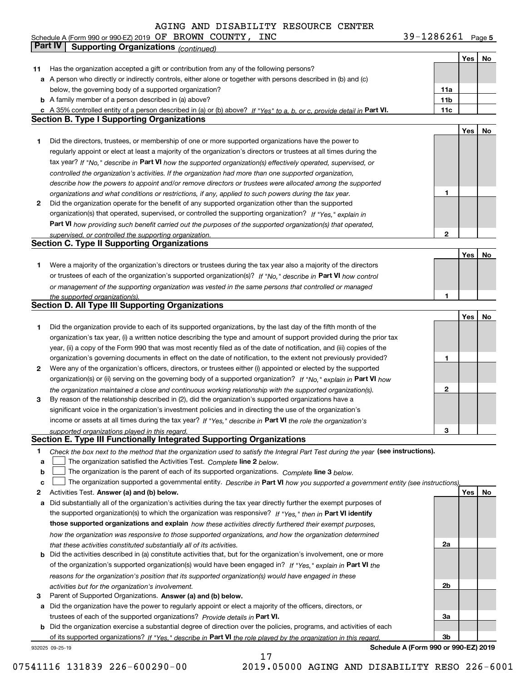#### AGING AND DISABILITY F

**Yes No 11** Has the organization accepted a gift or contribution from any of the following persons? **a** A person who directly or indirectly controls, either alone or together with persons described in (b) and (c) **b** A family member of a person described in (a) above? **c11a11bPart VI. 11c Yes No 1** Did the directors, trustees, or membership of one or more supported organizations have the power to **2** Did the organization operate for the benefit of any supported organization other than the supported tax year? If "No," describe in Part VI how the supported organization(s) effectively operated, supervised, or **12Part VI**  *how providing such benefit carried out the purposes of the supported organization(s) that operated,* **Yes No 1** Were a majority of the organization's directors or trustees during the tax year also a majority of the directors or trustees of each of the organization's supported organization(s)? If "No," describe in **Part VI** how control **1Yes No 1** Did the organization provide to each of its supported organizations, by the last day of the fifth month of the **2** Were any of the organization's officers, directors, or trustees either (i) appointed or elected by the supported **3123**organization(s) or (ii) serving on the governing body of a supported organization? If "No," explain in **Part VI** how income or assets at all times during the tax year? If "Yes," describe in **Part VI** the role the organization's **12Answer (a) and (b) below. Yes No** Activities Test. **3** Parent of Supported Organizations. Answer (a) and (b) below. Check the box next to the method that the organization used to satisfy the Integral Part Test during the year (see instructions). **abclinupy** The organization satisfied the Activities Test. Complete line 2 below. The organization is the parent of each of its supported organizations. *Complete* line 3 *below.* The organization supported a governmental entity. *Describe in* Part **VI** how you supported a government entity (see instructions), **a** Did substantially all of the organization's activities during the tax year directly further the exempt purposes of **b** Did the activities described in (a) constitute activities that, but for the organization's involvement, one or more **a** Did the organization have the power to regularly appoint or elect a majority of the officers, directors, or the supported organization(s) to which the organization was responsive? If "Yes," then in **Part VI identify those supported organizations and explain**  *how these activities directly furthered their exempt purposes,* **2a 2b3a**of the organization's supported organization(s) would have been engaged in? If "Yes," explain in **Part VI** the trustees of each of the supported organizations? *Provide details in* Part VI. *If "Yes" to a, b, or c, provide detail in controlled the organization's activities. If the organization had more than one supported organization, describe how the powers to appoint and/or remove directors or trustees were allocated among the supported organizations and what conditions or restrictions, if any, applied to such powers during the tax year. If "Yes," explain in* organization(s) that operated, supervised, or controlled the supporting organization? *supervised, or controlled the supporting organization. or management of the supporting organization was vested in the same persons that controlled or managed the supported organization(s). the organization maintained a close and continuous working relationship with the supported organization(s). supported organizations played in this regard. how the organization was responsive to those supported organizations, and how the organization determined that these activities constituted substantially all of its activities. reasons for the organization's position that its supported organization(s) would have engaged in these activities but for the organization's involvement.* below, the governing body of a supported organization? A 35% controlled entity of a person described in (a) or (b) above? regularly appoint or elect at least a majority of the organization's directors or trustees at all times during the organization's tax year, (i) a written notice describing the type and amount of support provided during the prior tax year, (ii) a copy of the Form 990 that was most recently filed as of the date of notification, and (iii) copies of the organization's governing documents in effect on the date of notification, to the extent not previously provided? By reason of the relationship described in (2), did the organization's supported organizations have a significant voice in the organization's investment policies and in directing the use of the organization's **Part IV Supporting Organizations** *(continued)* **Section C. Type II Supporting Organizations Section D. All Type III Supporting Organizations Section E. Type III Functionally Integrated Supporting Organizations**  $\mathcal{L}^{\text{max}}$  $\mathcal{L}^{\text{max}}$ 

932025 09-25-19 **b** Did the organization exercise a substantial degree of direction over the policies, programs, and activities of each of its supported organizations? If "Yes," describe in Part VI the role played by the organization in this regard.

17

**Schedule A (Form 990 or 990-EZ) 2019**

**3b**

07541116 131839 226-600290-00 2019.05000 AGING AND DISABILITY RESO 226-6001

|                 |  | ----- |
|-----------------|--|-------|
| RESOURCE CENTER |  |       |

|  |  |  |                                            | c A 35% controlled entity of a person described in (a) or (b) above? If "Yes" to a, b, or c, provide detail in Pa |  |  |  |  |
|--|--|--|--------------------------------------------|-------------------------------------------------------------------------------------------------------------------|--|--|--|--|
|  |  |  | Section B. Type I Supporting Organizations |                                                                                                                   |  |  |  |  |

| Schedule A (Form 990 or 990-EZ) 2019 $~\mathrm{OF}~$ | <b>BROWN</b> | <b>COUNTY</b> | <b>INC</b> | 286261 | Page 5 |
|------------------------------------------------------|--------------|---------------|------------|--------|--------|
|                                                      |              |               |            |        |        |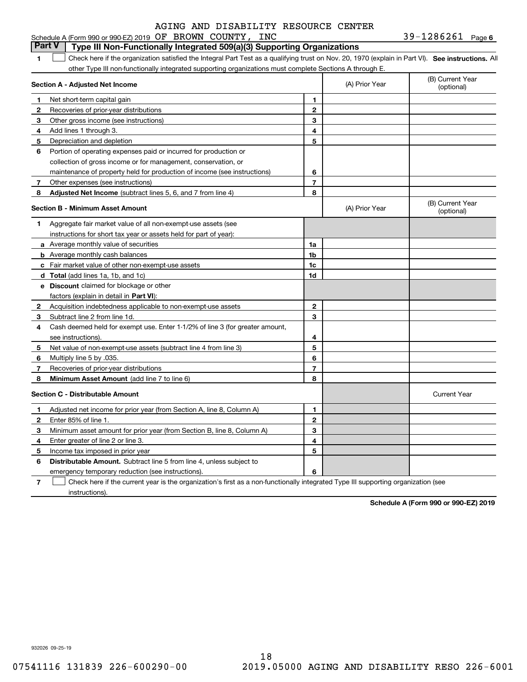#### **1SEP 10. See instructions.** All antegral Part Test as a qualifying trust on Nov. 20, 1970 (explain in Part VI). See instructions. All **Section A - Adjusted Net Income 123** Other gross income (see instructions) **456** Portion of operating expenses paid or incurred for production or **7** Other expenses (see instructions) **8** Adjusted Net Income (subtract lines 5, 6, and 7 from line 4) **8 8 1234567Section B - Minimum Asset Amount 1**Aggregate fair market value of all non-exempt-use assets (see **2**Acquisition indebtedness applicable to non-exempt-use assets **3** Subtract line 2 from line 1d. **4**Cash deemed held for exempt use. Enter 1-1/2% of line 3 (for greater amount, **5** Net value of non-exempt-use assets (subtract line 4 from line 3) **678a** Average monthly value of securities **b** Average monthly cash balances **c**Fair market value of other non-exempt-use assets **dTotal**  (add lines 1a, 1b, and 1c) **eDiscount** claimed for blockage or other **1a1b1c1d2345678**factors (explain in detail in **Part VI**): **Minimum Asset Amount**  (add line 7 to line 6) **Section C - Distributable Amount 123456123456Distributable Amount.** Subtract line 5 from line 4, unless subject to Schedule A (Form 990 or 990-EZ) 2019 Page OF BROWN COUNTY, INC 39-1286261 other Type III non-functionally integrated supporting organizations must complete Sections A through E. (B) Current Year (optional)(A) Prior Year Net short-term capital gain Recoveries of prior-year distributions Add lines 1 through 3. Depreciation and depletion collection of gross income or for management, conservation, or maintenance of property held for production of income (see instructions) (B) Current Year (optional)(A) Prior Year instructions for short tax year or assets held for part of year): see instructions). Multiply line 5 by .035. Recoveries of prior-year distributions Current Year Adjusted net income for prior year (from Section A, line 8, Column A) Enter 85% of line 1. Minimum asset amount for prior year (from Section B, line 8, Column A) Enter greater of line 2 or line 3. Income tax imposed in prior year emergency temporary reduction (see instructions). **Part V Type III Non-Functionally Integrated 509(a)(3) Supporting Organizations**   $\mathcal{L}^{\text{max}}$

**7**Check here if the current year is the organization's first as a non-functionally integrated Type III supporting organization (see instructions). $\mathcal{L}^{\text{max}}$ 

**Schedule A (Form 990 or 990-EZ) 2019**

932026 09-25-19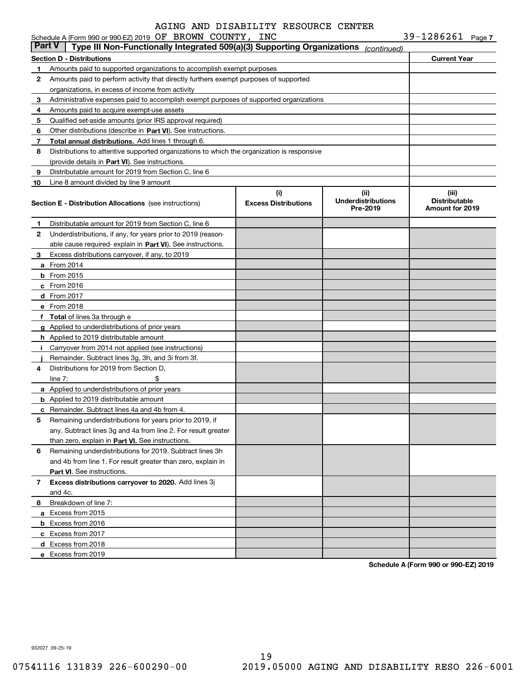|               | Schedule A (Form 990 or 990-EZ) 2019 OF BROWN COUNTY,                                      | INC                         |                                       | $39 - 1286261$ Page 7                          |  |
|---------------|--------------------------------------------------------------------------------------------|-----------------------------|---------------------------------------|------------------------------------------------|--|
| <b>Part V</b> | Type III Non-Functionally Integrated 509(a)(3) Supporting Organizations                    |                             | (continued)                           |                                                |  |
|               | Section D - Distributions                                                                  |                             |                                       | <b>Current Year</b>                            |  |
| 1.            | Amounts paid to supported organizations to accomplish exempt purposes                      |                             |                                       |                                                |  |
| 2             | Amounts paid to perform activity that directly furthers exempt purposes of supported       |                             |                                       |                                                |  |
|               | organizations, in excess of income from activity                                           |                             |                                       |                                                |  |
| 3             | Administrative expenses paid to accomplish exempt purposes of supported organizations      |                             |                                       |                                                |  |
| 4             | Amounts paid to acquire exempt-use assets                                                  |                             |                                       |                                                |  |
| 5             | Qualified set-aside amounts (prior IRS approval required)                                  |                             |                                       |                                                |  |
| 6             | Other distributions (describe in Part VI). See instructions.                               |                             |                                       |                                                |  |
| 7             | Total annual distributions. Add lines 1 through 6.                                         |                             |                                       |                                                |  |
| 8             | Distributions to attentive supported organizations to which the organization is responsive |                             |                                       |                                                |  |
|               | (provide details in Part VI). See instructions.                                            |                             |                                       |                                                |  |
| 9             | Distributable amount for 2019 from Section C, line 6                                       |                             |                                       |                                                |  |
| 10            | Line 8 amount divided by line 9 amount                                                     |                             |                                       |                                                |  |
|               |                                                                                            | (i)                         | (ii)                                  | (iii)                                          |  |
|               | <b>Section E - Distribution Allocations</b> (see instructions)                             | <b>Excess Distributions</b> | <b>Underdistributions</b><br>Pre-2019 | <b>Distributable</b><br><b>Amount for 2019</b> |  |
|               |                                                                                            |                             |                                       |                                                |  |
| 1             | Distributable amount for 2019 from Section C, line 6                                       |                             |                                       |                                                |  |
| 2             | Underdistributions, if any, for years prior to 2019 (reason-                               |                             |                                       |                                                |  |
|               | able cause required-explain in Part VI). See instructions.                                 |                             |                                       |                                                |  |
| 3             | Excess distributions carryover, if any, to 2019                                            |                             |                                       |                                                |  |
|               | <b>a</b> From 2014                                                                         |                             |                                       |                                                |  |
|               | $b$ From 2015                                                                              |                             |                                       |                                                |  |
|               | $c$ From 2016                                                                              |                             |                                       |                                                |  |
|               | d From 2017                                                                                |                             |                                       |                                                |  |
|               | e From 2018                                                                                |                             |                                       |                                                |  |
|               | f Total of lines 3a through e                                                              |                             |                                       |                                                |  |
|               | g Applied to underdistributions of prior years                                             |                             |                                       |                                                |  |
|               | <b>h</b> Applied to 2019 distributable amount                                              |                             |                                       |                                                |  |
| Ť.            | Carryover from 2014 not applied (see instructions)                                         |                             |                                       |                                                |  |
|               | Remainder. Subtract lines 3g, 3h, and 3i from 3f.                                          |                             |                                       |                                                |  |
| 4             | Distributions for 2019 from Section D.                                                     |                             |                                       |                                                |  |
|               | \$<br>line $7:$                                                                            |                             |                                       |                                                |  |
|               | a Applied to underdistributions of prior years                                             |                             |                                       |                                                |  |
|               | <b>b</b> Applied to 2019 distributable amount                                              |                             |                                       |                                                |  |
|               | <b>c</b> Remainder. Subtract lines 4a and 4b from 4.                                       |                             |                                       |                                                |  |
|               | Remaining underdistributions for years prior to 2019, if                                   |                             |                                       |                                                |  |
|               | any. Subtract lines 3g and 4a from line 2. For result greater                              |                             |                                       |                                                |  |
|               | than zero, explain in Part VI. See instructions.                                           |                             |                                       |                                                |  |
| 6             | Remaining underdistributions for 2019. Subtract lines 3h                                   |                             |                                       |                                                |  |
|               | and 4b from line 1. For result greater than zero, explain in                               |                             |                                       |                                                |  |
|               | Part VI. See instructions.                                                                 |                             |                                       |                                                |  |
| 7             | Excess distributions carryover to 2020. Add lines 3j                                       |                             |                                       |                                                |  |
|               | and 4c.                                                                                    |                             |                                       |                                                |  |
| 8             | Breakdown of line 7:                                                                       |                             |                                       |                                                |  |
|               | a Excess from 2015                                                                         |                             |                                       |                                                |  |
|               | <b>b</b> Excess from 2016                                                                  |                             |                                       |                                                |  |
|               | c Excess from 2017                                                                         |                             |                                       |                                                |  |
|               | d Excess from 2018                                                                         |                             |                                       |                                                |  |
|               | e Excess from 2019                                                                         |                             |                                       |                                                |  |

**Schedule A (Form 990 or 990-EZ) 2019**

932027 09-25-19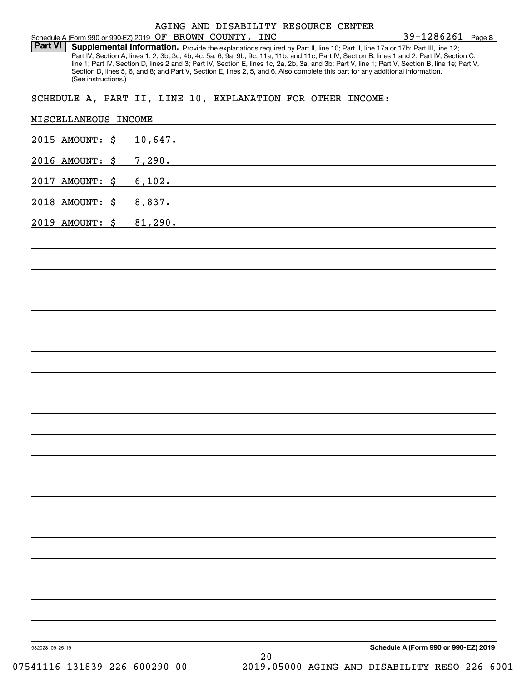#### Schedule A (Form 990 or 990-EZ) 2019 Page OF BROWN COUNTY, INC AGING AND DISABILITY RESOURCE CENTER

**8** 39-1286261

Part VI | Supplemental Information. Provide the explanations required by Part II, line 10; Part II, line 17a or 17b; Part III, line 12; Part IV, Section A, lines 1, 2, 3b, 3c, 4b, 4c, 5a, 6, 9a, 9b, 9c, 11a, 11b, and 11c; Part IV, Section B, lines 1 and 2; Part IV, Section C, line 1; Part IV, Section D, lines 2 and 3; Part IV, Section E, lines 1c, 2a, 2b, 3a, and 3b; Part V, line 1; Part V, Section B, line 1e; Part V, Section D, lines 5, 6, and 8; and Part V, Section E, lines 2, 5, and 6. Also complete this part for any additional information. (See instructions.)

### SCHEDULE A, PART II, LINE 10, EXPLANATION FOR OTHER INCOME:

| 2015 AMOUNT: \$         | 10,647.                                                                |
|-------------------------|------------------------------------------------------------------------|
| 2016 AMOUNT: \$         | 7,290.                                                                 |
| 2017 AMOUNT: \$         | $6,102$ .<br><u> 1989 - John Stein, Amerikaansk politiker (* 1958)</u> |
| 2018 AMOUNT: \$         | 8,837.                                                                 |
| 2019 AMOUNT: \$ 81,290. | <u> 1980 - Andrea Andrew Maria (h. 1980).</u>                          |
|                         |                                                                        |
|                         |                                                                        |
|                         |                                                                        |
|                         |                                                                        |
|                         |                                                                        |
|                         |                                                                        |
|                         |                                                                        |
|                         |                                                                        |
|                         |                                                                        |
|                         |                                                                        |
|                         |                                                                        |
|                         |                                                                        |
|                         |                                                                        |
|                         |                                                                        |
|                         |                                                                        |
|                         |                                                                        |
|                         |                                                                        |
|                         |                                                                        |
|                         |                                                                        |
|                         |                                                                        |
|                         |                                                                        |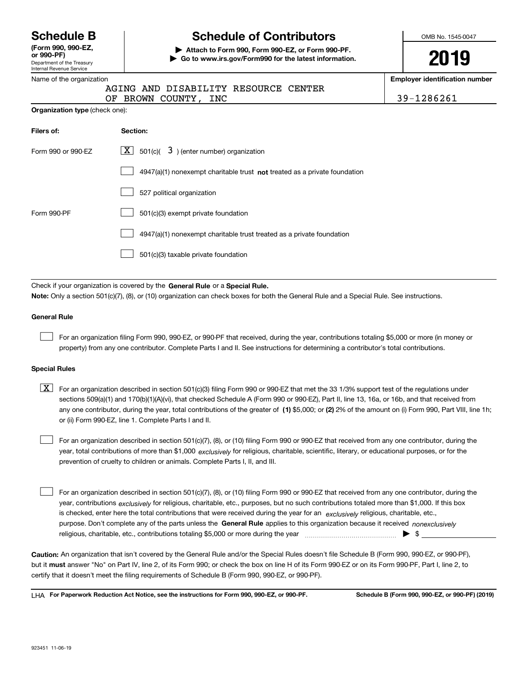Department of the Treasury Internal Revenue Service **(Form 990, 990-EZ, or 990-PF)**

# **Schedule B Schedule of Contributors**

**| Attach to Form 990, Form 990-EZ, or Form 990-PF. | Go to www.irs.gov/Form990 for the latest information.** OMB No. 1545-0047

# **2019**

mber

| Name of the organization              |                                                                             | <b>Employer identification nur</b> |
|---------------------------------------|-----------------------------------------------------------------------------|------------------------------------|
|                                       | AGING AND DISABILITY RESOURCE CENTER                                        |                                    |
|                                       | BROWN COUNTY, INC<br>OF                                                     | 39-1286261                         |
| <b>Organization type (check one):</b> |                                                                             |                                    |
| Filers of:                            | Section:                                                                    |                                    |
| Form 990 or 990-EZ                    | $\lfloor x \rfloor$ 501(c)( 3) (enter number) organization                  |                                    |
|                                       | $4947(a)(1)$ nonexempt charitable trust not treated as a private foundation |                                    |
|                                       | 527 political organization                                                  |                                    |
| Form 990-PF                           | 501(c)(3) exempt private foundation                                         |                                    |
|                                       | 4947(a)(1) nonexempt charitable trust treated as a private foundation       |                                    |
|                                       | 501(c)(3) taxable private foundation                                        |                                    |
|                                       |                                                                             |                                    |

Check if your organization is covered by the **General Rule** or a **Special Rule. Note:**  Only a section 501(c)(7), (8), or (10) organization can check boxes for both the General Rule and a Special Rule. See instructions.

#### **General Rule**

For an organization filing Form 990, 990-EZ, or 990-PF that received, during the year, contributions totaling \$5,000 or more (in money or property) from any one contributor. Complete Parts I and II. See instructions for determining a contributor's total contributions.

#### **Special Rules**

any one contributor, during the year, total contributions of the greater of  $\,$  (1) \$5,000; or **(2)** 2% of the amount on (i) Form 990, Part VIII, line 1h;  $\boxed{\textbf{X}}$  For an organization described in section 501(c)(3) filing Form 990 or 990-EZ that met the 33 1/3% support test of the regulations under sections 509(a)(1) and 170(b)(1)(A)(vi), that checked Schedule A (Form 990 or 990-EZ), Part II, line 13, 16a, or 16b, and that received from or (ii) Form 990-EZ, line 1. Complete Parts I and II.

year, total contributions of more than \$1,000 *exclusively* for religious, charitable, scientific, literary, or educational purposes, or for the For an organization described in section 501(c)(7), (8), or (10) filing Form 990 or 990-EZ that received from any one contributor, during the prevention of cruelty to children or animals. Complete Parts I, II, and III.

purpose. Don't complete any of the parts unless the **General Rule** applies to this organization because it received *nonexclusively* year, contributions <sub>exclusively</sub> for religious, charitable, etc., purposes, but no such contributions totaled more than \$1,000. If this box is checked, enter here the total contributions that were received during the year for an  $\;$ exclusively religious, charitable, etc., For an organization described in section 501(c)(7), (8), or (10) filing Form 990 or 990-EZ that received from any one contributor, during the religious, charitable, etc., contributions totaling \$5,000 or more during the year  $\Box$ — $\Box$   $\Box$  $\mathcal{L}^{\text{max}}$ 

**Caution:**  An organization that isn't covered by the General Rule and/or the Special Rules doesn't file Schedule B (Form 990, 990-EZ, or 990-PF),  **must** but it answer "No" on Part IV, line 2, of its Form 990; or check the box on line H of its Form 990-EZ or on its Form 990-PF, Part I, line 2, to certify that it doesn't meet the filing requirements of Schedule B (Form 990, 990-EZ, or 990-PF).

**For Paperwork Reduction Act Notice, see the instructions for Form 990, 990-EZ, or 990-PF. Schedule B (Form 990, 990-EZ, or 990-PF) (2019)** LHA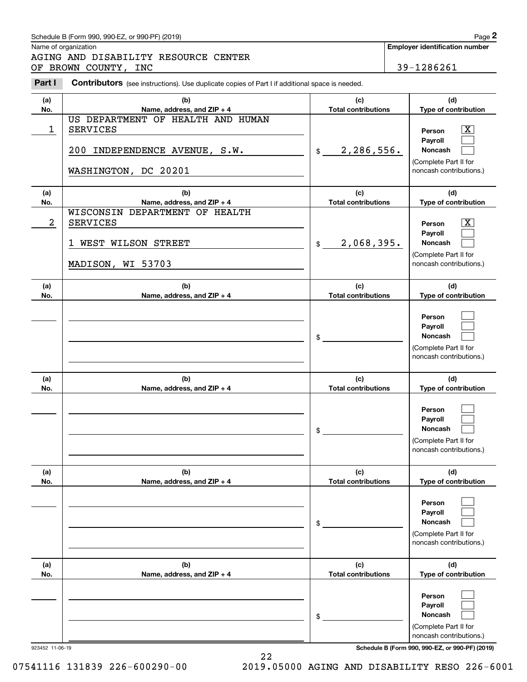Name of organization

Chedule B (Form 990, 990-EZ, or 990-PF) (2019)<br> **2Page 2**<br> **2Part I 2Philosopherical CENTER**<br> **2Part I Contributors** (see instructions). Use duplicate copies of Part I if additional space is needed.<br>
2Part I **Contribut** AGING AND DISABILITY RESOURCE CENTER OF BROWN COUNTY, INC 39-1286261

|                                       | . . |
|---------------------------------------|-----|
| <b>Employer identification number</b> |     |

| Part I     | <b>CONTIDUTOR</b> (see instructions). Use duplicate copies of Part I if additional space is needed.           |                                   |                                                                                       |
|------------|---------------------------------------------------------------------------------------------------------------|-----------------------------------|---------------------------------------------------------------------------------------|
| (a)<br>No. | (b)<br>Name, address, and ZIP + 4                                                                             | (c)<br><b>Total contributions</b> | (d)<br>Type of contribution                                                           |
| 1          | US DEPARTMENT OF HEALTH AND HUMAN<br><b>SERVICES</b><br>200 INDEPENDENCE AVENUE, S.W.<br>WASHINGTON, DC 20201 | 2,286,556.<br>\$                  | X<br>Person<br>Payroll<br>Noncash<br>(Complete Part II for<br>noncash contributions.) |
| (a)<br>No. | (b)<br>Name, address, and ZIP + 4                                                                             | (c)<br><b>Total contributions</b> | (d)<br>Type of contribution                                                           |
| 2          | WISCONSIN DEPARTMENT OF HEALTH<br><b>SERVICES</b><br>1 WEST WILSON STREET<br>MADISON, WI 53703                | 2,068,395.<br>\$                  | X<br>Person<br>Payroll<br>Noncash<br>(Complete Part II for<br>noncash contributions.) |
| (a)<br>No. | (b)<br>Name, address, and ZIP + 4                                                                             | (c)<br><b>Total contributions</b> | (d)<br>Type of contribution                                                           |
|            |                                                                                                               | \$                                | Person<br>Payroll<br>Noncash<br>(Complete Part II for<br>noncash contributions.)      |
| (a)<br>No. | (b)<br>Name, address, and ZIP + 4                                                                             | (c)<br><b>Total contributions</b> | (d)<br>Type of contribution                                                           |
|            |                                                                                                               | \$                                | Person<br>Payroll<br>Noncash<br>(Complete Part II for<br>noncash contributions.)      |
| (a)<br>No. | (b)<br>Name, address, and ZIP + 4                                                                             | (c)<br><b>Total contributions</b> | (d)<br>Type of contribution                                                           |
|            |                                                                                                               | \$                                | Person<br>Payroll<br>Noncash<br>(Complete Part II for<br>noncash contributions.)      |
| (a)<br>No. | (b)<br>Name, address, and ZIP + 4                                                                             | (c)<br><b>Total contributions</b> | (d)<br>Type of contribution                                                           |
|            |                                                                                                               | \$                                | Person<br>Payroll<br>Noncash<br>(Complete Part II for<br>noncash contributions.)      |

923452 11-06-19 **Schedule B (Form 990, 990-EZ, or 990-PF) (2019)**

22 07541116 131839 226-600290-00 2019.05000 AGING AND DISABILITY RESO 226-6001

Schedule B (Form 990, 990-EZ, or 990-PF) (2019) Page 2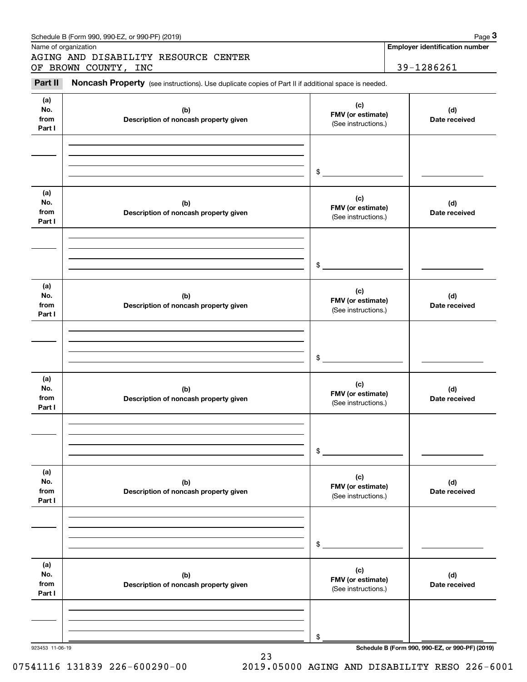|                              | OF BROWN COUNTY, INC                                                                                |                                                 | 39-1286261           |
|------------------------------|-----------------------------------------------------------------------------------------------------|-------------------------------------------------|----------------------|
| Part II                      | Noncash Property (see instructions). Use duplicate copies of Part II if additional space is needed. |                                                 |                      |
| (a)<br>No.<br>from<br>Part I | (b)<br>Description of noncash property given                                                        | (c)<br>FMV (or estimate)<br>(See instructions.) | (d)<br>Date received |
|                              |                                                                                                     | \$                                              |                      |
| (a)<br>No.<br>from<br>Part I | (b)<br>Description of noncash property given                                                        | (c)<br>FMV (or estimate)<br>(See instructions.) | (d)<br>Date received |
|                              |                                                                                                     | \$                                              |                      |
| (a)<br>No.<br>from<br>Part I | (b)<br>Description of noncash property given                                                        | (c)<br>FMV (or estimate)<br>(See instructions.) | (d)<br>Date received |
|                              |                                                                                                     | \$                                              |                      |
| (a)<br>No.<br>from<br>Part I | (b)<br>Description of noncash property given                                                        | (c)<br>FMV (or estimate)<br>(See instructions.) | (d)<br>Date received |
|                              |                                                                                                     | \$                                              |                      |
| (a)<br>No.<br>from<br>Part I | (b)<br>Description of noncash property given                                                        | (c)<br>FMV (or estimate)<br>(See instructions.) | (d)<br>Date received |
|                              |                                                                                                     | \$                                              |                      |
| (a)                          | (b)<br>Description of noncash property given                                                        | (c)<br>FMV (or estimate)<br>(See instructions.) | (d)<br>Date received |
| No.<br>from<br>Part I        |                                                                                                     |                                                 |                      |
|                              |                                                                                                     | \$                                              |                      |

23

923453 11-06-19 **Schedule B (Form 990, 990-EZ, or 990-PF) (2019)**

07541116 131839 226-600290-00 2019.05000 AGING AND DISABILITY RESO 226-6001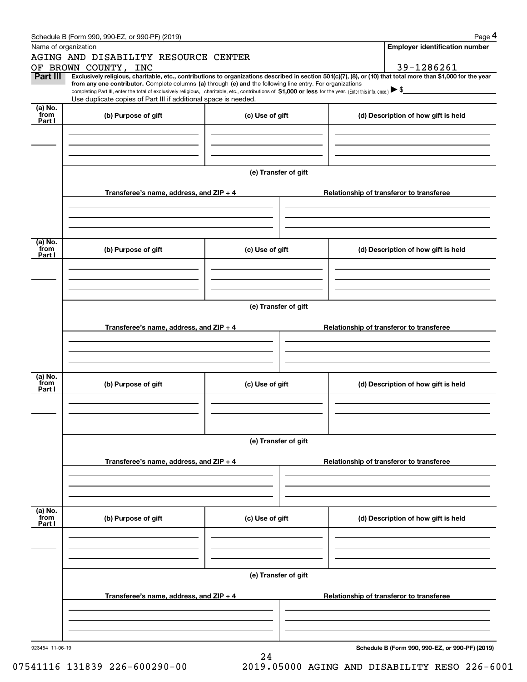|                 | Schedule B (Form 990, 990-EZ, or 990-PF) (2019)                                                                                                                                                                                                                              |                      |                                          | Page 4                                          |  |  |  |  |  |  |
|-----------------|------------------------------------------------------------------------------------------------------------------------------------------------------------------------------------------------------------------------------------------------------------------------------|----------------------|------------------------------------------|-------------------------------------------------|--|--|--|--|--|--|
|                 | Name of organization                                                                                                                                                                                                                                                         |                      |                                          | <b>Employer identification number</b>           |  |  |  |  |  |  |
|                 | AGING AND DISABILITY RESOURCE CENTER                                                                                                                                                                                                                                         |                      |                                          |                                                 |  |  |  |  |  |  |
|                 | OF BROWN COUNTY, INC                                                                                                                                                                                                                                                         |                      |                                          | 39-1286261                                      |  |  |  |  |  |  |
| Part III        | Exclusively religious, charitable, etc., contributions to organizations described in section 501(c)(7), (8), or (10) that total more than \$1,000 for the year<br>from any one contributor. Complete columns (a) through (e) and the following line entry. For organizations |                      |                                          |                                                 |  |  |  |  |  |  |
|                 | completing Part III, enter the total of exclusively religious, charitable, etc., contributions of \$1,000 or less for the year. (Enter this info. once.) $\blacktriangleright$ \$                                                                                            |                      |                                          |                                                 |  |  |  |  |  |  |
| (a) No.         | Use duplicate copies of Part III if additional space is needed.                                                                                                                                                                                                              |                      |                                          |                                                 |  |  |  |  |  |  |
| from            | (b) Purpose of gift                                                                                                                                                                                                                                                          | (c) Use of gift      |                                          | (d) Description of how gift is held             |  |  |  |  |  |  |
| Part I          |                                                                                                                                                                                                                                                                              |                      |                                          |                                                 |  |  |  |  |  |  |
|                 |                                                                                                                                                                                                                                                                              |                      |                                          |                                                 |  |  |  |  |  |  |
|                 |                                                                                                                                                                                                                                                                              |                      |                                          |                                                 |  |  |  |  |  |  |
|                 |                                                                                                                                                                                                                                                                              |                      |                                          |                                                 |  |  |  |  |  |  |
|                 |                                                                                                                                                                                                                                                                              | (e) Transfer of gift |                                          |                                                 |  |  |  |  |  |  |
|                 |                                                                                                                                                                                                                                                                              |                      |                                          |                                                 |  |  |  |  |  |  |
|                 | Transferee's name, address, and ZIP + 4                                                                                                                                                                                                                                      |                      |                                          | Relationship of transferor to transferee        |  |  |  |  |  |  |
|                 |                                                                                                                                                                                                                                                                              |                      |                                          |                                                 |  |  |  |  |  |  |
|                 |                                                                                                                                                                                                                                                                              |                      |                                          |                                                 |  |  |  |  |  |  |
|                 |                                                                                                                                                                                                                                                                              |                      |                                          |                                                 |  |  |  |  |  |  |
| (a) No.         |                                                                                                                                                                                                                                                                              |                      |                                          |                                                 |  |  |  |  |  |  |
| from<br>Part I  | (b) Purpose of gift                                                                                                                                                                                                                                                          | (c) Use of gift      |                                          | (d) Description of how gift is held             |  |  |  |  |  |  |
|                 |                                                                                                                                                                                                                                                                              |                      |                                          |                                                 |  |  |  |  |  |  |
|                 |                                                                                                                                                                                                                                                                              |                      |                                          |                                                 |  |  |  |  |  |  |
|                 |                                                                                                                                                                                                                                                                              |                      |                                          |                                                 |  |  |  |  |  |  |
|                 |                                                                                                                                                                                                                                                                              |                      |                                          |                                                 |  |  |  |  |  |  |
|                 | (e) Transfer of gift                                                                                                                                                                                                                                                         |                      |                                          |                                                 |  |  |  |  |  |  |
|                 | Transferee's name, address, and ZIP + 4                                                                                                                                                                                                                                      |                      |                                          | Relationship of transferor to transferee        |  |  |  |  |  |  |
|                 |                                                                                                                                                                                                                                                                              |                      |                                          |                                                 |  |  |  |  |  |  |
|                 |                                                                                                                                                                                                                                                                              |                      |                                          |                                                 |  |  |  |  |  |  |
|                 |                                                                                                                                                                                                                                                                              |                      |                                          |                                                 |  |  |  |  |  |  |
| (a) No.         |                                                                                                                                                                                                                                                                              |                      |                                          |                                                 |  |  |  |  |  |  |
| from<br>Part I  | (b) Purpose of gift                                                                                                                                                                                                                                                          | (c) Use of gift      |                                          | (d) Description of how gift is held             |  |  |  |  |  |  |
|                 |                                                                                                                                                                                                                                                                              |                      |                                          |                                                 |  |  |  |  |  |  |
|                 |                                                                                                                                                                                                                                                                              |                      |                                          |                                                 |  |  |  |  |  |  |
|                 |                                                                                                                                                                                                                                                                              |                      |                                          |                                                 |  |  |  |  |  |  |
|                 |                                                                                                                                                                                                                                                                              |                      |                                          |                                                 |  |  |  |  |  |  |
|                 | (e) Transfer of gift                                                                                                                                                                                                                                                         |                      |                                          |                                                 |  |  |  |  |  |  |
|                 | Transferee's name, address, and $ZIP + 4$                                                                                                                                                                                                                                    |                      | Relationship of transferor to transferee |                                                 |  |  |  |  |  |  |
|                 |                                                                                                                                                                                                                                                                              |                      |                                          |                                                 |  |  |  |  |  |  |
|                 |                                                                                                                                                                                                                                                                              |                      |                                          |                                                 |  |  |  |  |  |  |
|                 |                                                                                                                                                                                                                                                                              |                      |                                          |                                                 |  |  |  |  |  |  |
| (a) No.         |                                                                                                                                                                                                                                                                              |                      |                                          |                                                 |  |  |  |  |  |  |
| from<br>Part I  | (b) Purpose of gift                                                                                                                                                                                                                                                          | (c) Use of gift      |                                          | (d) Description of how gift is held             |  |  |  |  |  |  |
|                 |                                                                                                                                                                                                                                                                              |                      |                                          |                                                 |  |  |  |  |  |  |
|                 |                                                                                                                                                                                                                                                                              |                      |                                          |                                                 |  |  |  |  |  |  |
|                 |                                                                                                                                                                                                                                                                              |                      |                                          |                                                 |  |  |  |  |  |  |
|                 |                                                                                                                                                                                                                                                                              |                      |                                          |                                                 |  |  |  |  |  |  |
|                 |                                                                                                                                                                                                                                                                              | (e) Transfer of gift |                                          |                                                 |  |  |  |  |  |  |
|                 |                                                                                                                                                                                                                                                                              |                      |                                          |                                                 |  |  |  |  |  |  |
|                 | Transferee's name, address, and $ZIP + 4$                                                                                                                                                                                                                                    |                      |                                          | Relationship of transferor to transferee        |  |  |  |  |  |  |
|                 |                                                                                                                                                                                                                                                                              |                      |                                          |                                                 |  |  |  |  |  |  |
|                 |                                                                                                                                                                                                                                                                              |                      |                                          |                                                 |  |  |  |  |  |  |
|                 |                                                                                                                                                                                                                                                                              |                      |                                          |                                                 |  |  |  |  |  |  |
| 923454 11-06-19 |                                                                                                                                                                                                                                                                              | 24                   |                                          | Schedule B (Form 990, 990-EZ, or 990-PF) (2019) |  |  |  |  |  |  |
|                 |                                                                                                                                                                                                                                                                              |                      |                                          |                                                 |  |  |  |  |  |  |

07541116 131839 226-600290-00 2019.05000 AGING AND DISABILITY RESO 226-6001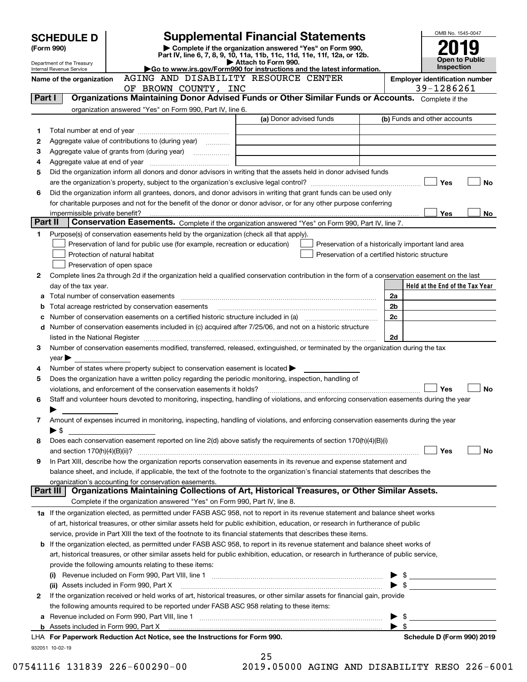|         | <b>SCHEDULE D</b>                                                                                                            |                                                                                                        | OMB No. 1545-0047                                                                                                                                                                |                          |                                       |  |  |
|---------|------------------------------------------------------------------------------------------------------------------------------|--------------------------------------------------------------------------------------------------------|----------------------------------------------------------------------------------------------------------------------------------------------------------------------------------|--------------------------|---------------------------------------|--|--|
|         | (Form 990)                                                                                                                   |                                                                                                        | <b>Supplemental Financial Statements</b><br>Complete if the organization answered "Yes" on Form 990,<br>Part IV, line 6, 7, 8, 9, 10, 11a, 11b, 11c, 11d, 11e, 11f, 12a, or 12b. |                          |                                       |  |  |
|         | Department of the Treasury                                                                                                   |                                                                                                        | Attach to Form 990.                                                                                                                                                              |                          | Open to Public<br>Inspection          |  |  |
|         | Internal Revenue Service<br>Name of the organization                                                                         | AGING AND DISABILITY RESOURCE CENTER                                                                   | Go to www.irs.gov/Form990 for instructions and the latest information.                                                                                                           |                          | <b>Employer identification number</b> |  |  |
|         |                                                                                                                              | OF BROWN COUNTY, INC                                                                                   |                                                                                                                                                                                  |                          | 39-1286261                            |  |  |
| Part I  |                                                                                                                              |                                                                                                        | Organizations Maintaining Donor Advised Funds or Other Similar Funds or Accounts. Complete if the                                                                                |                          |                                       |  |  |
|         |                                                                                                                              | organization answered "Yes" on Form 990, Part IV, line 6.                                              |                                                                                                                                                                                  |                          |                                       |  |  |
|         |                                                                                                                              |                                                                                                        | (a) Donor advised funds                                                                                                                                                          |                          | (b) Funds and other accounts          |  |  |
| 1       |                                                                                                                              |                                                                                                        |                                                                                                                                                                                  |                          |                                       |  |  |
| 2       |                                                                                                                              | Aggregate value of contributions to (during year)                                                      |                                                                                                                                                                                  |                          |                                       |  |  |
| з       |                                                                                                                              |                                                                                                        |                                                                                                                                                                                  |                          |                                       |  |  |
| 4<br>5  |                                                                                                                              |                                                                                                        | Did the organization inform all donors and donor advisors in writing that the assets held in donor advised funds                                                                 |                          |                                       |  |  |
|         |                                                                                                                              |                                                                                                        |                                                                                                                                                                                  |                          | Yes<br>No                             |  |  |
| 6       |                                                                                                                              |                                                                                                        | Did the organization inform all grantees, donors, and donor advisors in writing that grant funds can be used only                                                                |                          |                                       |  |  |
|         |                                                                                                                              |                                                                                                        | for charitable purposes and not for the benefit of the donor or donor advisor, or for any other purpose conferring                                                               |                          |                                       |  |  |
|         |                                                                                                                              |                                                                                                        |                                                                                                                                                                                  |                          | <b>Yes</b><br>No                      |  |  |
| Part II |                                                                                                                              |                                                                                                        | Conservation Easements. Complete if the organization answered "Yes" on Form 990, Part IV, line 7.                                                                                |                          |                                       |  |  |
| 1.      |                                                                                                                              | Purpose(s) of conservation easements held by the organization (check all that apply).                  |                                                                                                                                                                                  |                          |                                       |  |  |
|         |                                                                                                                              | Preservation of land for public use (for example, recreation or education)                             | Preservation of a historically important land area                                                                                                                               |                          |                                       |  |  |
|         |                                                                                                                              | Protection of natural habitat                                                                          | Preservation of a certified historic structure                                                                                                                                   |                          |                                       |  |  |
|         |                                                                                                                              | Preservation of open space                                                                             |                                                                                                                                                                                  |                          |                                       |  |  |
| 2       |                                                                                                                              |                                                                                                        | Complete lines 2a through 2d if the organization held a qualified conservation contribution in the form of a conservation easement on the last                                   |                          |                                       |  |  |
| а       | day of the tax year.                                                                                                         |                                                                                                        |                                                                                                                                                                                  | 2a                       | Held at the End of the Tax Year       |  |  |
| b       |                                                                                                                              |                                                                                                        |                                                                                                                                                                                  | 2 <sub>b</sub>           |                                       |  |  |
| с       |                                                                                                                              |                                                                                                        |                                                                                                                                                                                  | 2 <sub>c</sub>           |                                       |  |  |
|         |                                                                                                                              |                                                                                                        | d Number of conservation easements included in (c) acquired after 7/25/06, and not on a historic structure                                                                       |                          |                                       |  |  |
|         | 2d                                                                                                                           |                                                                                                        |                                                                                                                                                                                  |                          |                                       |  |  |
| 3       |                                                                                                                              |                                                                                                        | Number of conservation easements modified, transferred, released, extinguished, or terminated by the organization during the tax                                                 |                          |                                       |  |  |
|         | $year \blacktriangleright$                                                                                                   |                                                                                                        |                                                                                                                                                                                  |                          |                                       |  |  |
| 4       |                                                                                                                              | Number of states where property subject to conservation easement is located $\blacktriangleright$      |                                                                                                                                                                                  |                          |                                       |  |  |
| 5       |                                                                                                                              | Does the organization have a written policy regarding the periodic monitoring, inspection, handling of |                                                                                                                                                                                  |                          |                                       |  |  |
| 6       |                                                                                                                              | violations, and enforcement of the conservation easements it holds?                                    | Staff and volunteer hours devoted to monitoring, inspecting, handling of violations, and enforcing conservation easements during the year                                        |                          | Yes<br>No                             |  |  |
|         |                                                                                                                              |                                                                                                        |                                                                                                                                                                                  |                          |                                       |  |  |
| 7       |                                                                                                                              |                                                                                                        | Amount of expenses incurred in monitoring, inspecting, handling of violations, and enforcing conservation easements during the year                                              |                          |                                       |  |  |
|         | ▶ \$                                                                                                                         |                                                                                                        |                                                                                                                                                                                  |                          |                                       |  |  |
| 8       |                                                                                                                              |                                                                                                        | Does each conservation easement reported on line 2(d) above satisfy the requirements of section 170(h)(4)(B)(i)                                                                  |                          |                                       |  |  |
|         |                                                                                                                              |                                                                                                        |                                                                                                                                                                                  |                          | Yes<br>No                             |  |  |
| 9       |                                                                                                                              |                                                                                                        | In Part XIII, describe how the organization reports conservation easements in its revenue and expense statement and                                                              |                          |                                       |  |  |
|         |                                                                                                                              |                                                                                                        | balance sheet, and include, if applicable, the text of the footnote to the organization's financial statements that describes the                                                |                          |                                       |  |  |
|         |                                                                                                                              | organization's accounting for conservation easements.                                                  |                                                                                                                                                                                  |                          |                                       |  |  |
|         | Part III                                                                                                                     |                                                                                                        | Organizations Maintaining Collections of Art, Historical Treasures, or Other Similar Assets.                                                                                     |                          |                                       |  |  |
|         |                                                                                                                              | Complete if the organization answered "Yes" on Form 990, Part IV, line 8.                              | 1a If the organization elected, as permitted under FASB ASC 958, not to report in its revenue statement and balance sheet works                                                  |                          |                                       |  |  |
|         |                                                                                                                              |                                                                                                        | of art, historical treasures, or other similar assets held for public exhibition, education, or research in furtherance of public                                                |                          |                                       |  |  |
|         |                                                                                                                              |                                                                                                        | service, provide in Part XIII the text of the footnote to its financial statements that describes these items.                                                                   |                          |                                       |  |  |
|         |                                                                                                                              |                                                                                                        | <b>b</b> If the organization elected, as permitted under FASB ASC 958, to report in its revenue statement and balance sheet works of                                             |                          |                                       |  |  |
|         |                                                                                                                              |                                                                                                        | art, historical treasures, or other similar assets held for public exhibition, education, or research in furtherance of public service,                                          |                          |                                       |  |  |
|         |                                                                                                                              | provide the following amounts relating to these items:                                                 |                                                                                                                                                                                  |                          |                                       |  |  |
|         |                                                                                                                              |                                                                                                        |                                                                                                                                                                                  | $\blacktriangleright$ \$ |                                       |  |  |
|         | $\blacktriangleright$ \$<br>(ii) Assets included in Form 990, Part X                                                         |                                                                                                        |                                                                                                                                                                                  |                          |                                       |  |  |
| 2       | If the organization received or held works of art, historical treasures, or other similar assets for financial gain, provide |                                                                                                        |                                                                                                                                                                                  |                          |                                       |  |  |
|         |                                                                                                                              | the following amounts required to be reported under FASB ASC 958 relating to these items:              |                                                                                                                                                                                  |                          |                                       |  |  |
|         |                                                                                                                              |                                                                                                        |                                                                                                                                                                                  | - \$                     |                                       |  |  |
|         |                                                                                                                              |                                                                                                        |                                                                                                                                                                                  | $\blacktriangleright$ \$ |                                       |  |  |
|         |                                                                                                                              | LHA For Paperwork Reduction Act Notice, see the Instructions for Form 990.                             |                                                                                                                                                                                  |                          | Schedule D (Form 990) 2019            |  |  |
|         | 932051 10-02-19                                                                                                              |                                                                                                        | 25                                                                                                                                                                               |                          |                                       |  |  |

|  | 2 N 1 Q | <b>050</b> |  |
|--|---------|------------|--|

07541116 131839 226-600290-00 2019.05000 AGING AND DISABILITY RESO 226-6001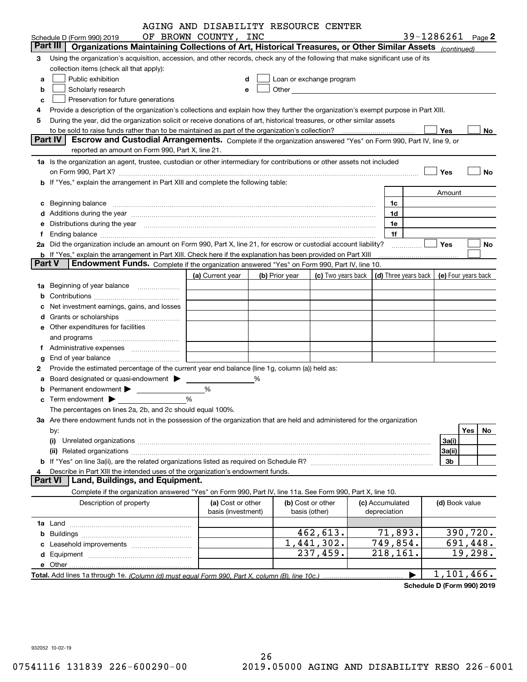|               |                                                                                                                                                                                                                                | AGING AND DISABILITY RESOURCE CENTER    |   |                |                                                                                                                                                                                                                               |                                 |                                            |           |
|---------------|--------------------------------------------------------------------------------------------------------------------------------------------------------------------------------------------------------------------------------|-----------------------------------------|---|----------------|-------------------------------------------------------------------------------------------------------------------------------------------------------------------------------------------------------------------------------|---------------------------------|--------------------------------------------|-----------|
|               | Schedule D (Form 990) 2019                                                                                                                                                                                                     | OF BROWN COUNTY, INC                    |   |                |                                                                                                                                                                                                                               |                                 | 39-1286261 Page 2                          |           |
|               | Part III<br>Organizations Maintaining Collections of Art, Historical Treasures, or Other Similar Assets (continued)                                                                                                            |                                         |   |                |                                                                                                                                                                                                                               |                                 |                                            |           |
| З             | Using the organization's acquisition, accession, and other records, check any of the following that make significant use of its                                                                                                |                                         |   |                |                                                                                                                                                                                                                               |                                 |                                            |           |
|               | collection items (check all that apply):                                                                                                                                                                                       |                                         |   |                |                                                                                                                                                                                                                               |                                 |                                            |           |
| a             | Public exhibition                                                                                                                                                                                                              |                                         | d |                | Loan or exchange program                                                                                                                                                                                                      |                                 |                                            |           |
| b             | Scholarly research                                                                                                                                                                                                             |                                         | е |                | Other and the contract of the contract of the contract of the contract of the contract of the contract of the contract of the contract of the contract of the contract of the contract of the contract of the contract of the |                                 |                                            |           |
| c             | Preservation for future generations                                                                                                                                                                                            |                                         |   |                |                                                                                                                                                                                                                               |                                 |                                            |           |
| 4             | Provide a description of the organization's collections and explain how they further the organization's exempt purpose in Part XIII.                                                                                           |                                         |   |                |                                                                                                                                                                                                                               |                                 |                                            |           |
| 5             | During the year, did the organization solicit or receive donations of art, historical treasures, or other similar assets                                                                                                       |                                         |   |                |                                                                                                                                                                                                                               |                                 |                                            |           |
|               |                                                                                                                                                                                                                                |                                         |   |                |                                                                                                                                                                                                                               |                                 | Yes                                        | No.       |
|               | Part IV<br>Escrow and Custodial Arrangements. Complete if the organization answered "Yes" on Form 990, Part IV, line 9, or                                                                                                     |                                         |   |                |                                                                                                                                                                                                                               |                                 |                                            |           |
|               | reported an amount on Form 990, Part X, line 21.                                                                                                                                                                               |                                         |   |                |                                                                                                                                                                                                                               |                                 |                                            |           |
|               | 1a Is the organization an agent, trustee, custodian or other intermediary for contributions or other assets not included                                                                                                       |                                         |   |                |                                                                                                                                                                                                                               |                                 |                                            |           |
|               | on Form 990, Part X? [11] matter and the contract of the contract of the contract of the contract of the contract of the contract of the contract of the contract of the contract of the contract of the contract of the contr |                                         |   |                |                                                                                                                                                                                                                               |                                 | Yes                                        | No        |
|               | b If "Yes," explain the arrangement in Part XIII and complete the following table:                                                                                                                                             |                                         |   |                |                                                                                                                                                                                                                               |                                 |                                            |           |
|               |                                                                                                                                                                                                                                |                                         |   |                |                                                                                                                                                                                                                               |                                 | Amount                                     |           |
|               | c Beginning balance measurements and the contract of the contract of the contract of the contract of the contract of the contract of the contract of the contract of the contract of the contract of the contract of the contr |                                         |   |                |                                                                                                                                                                                                                               | 1c                              |                                            |           |
|               | d Additions during the year measurements are all an according to the year measurement of the year measurement of the state of the state of the state of the state of the state of the state of the state of the state of the s |                                         |   |                |                                                                                                                                                                                                                               | 1d                              |                                            |           |
|               | e Distributions during the year manufactured and continuum and contract the year manufactured and contract the                                                                                                                 |                                         |   |                |                                                                                                                                                                                                                               | 1e                              |                                            |           |
|               |                                                                                                                                                                                                                                |                                         |   |                |                                                                                                                                                                                                                               | 1f                              |                                            |           |
|               | 2a Did the organization include an amount on Form 990, Part X, line 21, for escrow or custodial account liability?                                                                                                             |                                         |   |                |                                                                                                                                                                                                                               | .                               | Yes                                        | No        |
| <b>Part V</b> | <b>b</b> If "Yes," explain the arrangement in Part XIII. Check here if the explanation has been provided on Part XIII<br>Endowment Funds. Complete if the organization answered "Yes" on Form 990, Part IV, line 10.           |                                         |   |                |                                                                                                                                                                                                                               |                                 |                                            |           |
|               |                                                                                                                                                                                                                                | (a) Current year                        |   | (b) Prior year | (c) Two years back                                                                                                                                                                                                            |                                 | (d) Three years back   (e) Four years back |           |
| 1a            | Beginning of year balance                                                                                                                                                                                                      |                                         |   |                |                                                                                                                                                                                                                               |                                 |                                            |           |
|               |                                                                                                                                                                                                                                |                                         |   |                |                                                                                                                                                                                                                               |                                 |                                            |           |
|               | Net investment earnings, gains, and losses                                                                                                                                                                                     |                                         |   |                |                                                                                                                                                                                                                               |                                 |                                            |           |
|               |                                                                                                                                                                                                                                |                                         |   |                |                                                                                                                                                                                                                               |                                 |                                            |           |
|               | e Other expenditures for facilities                                                                                                                                                                                            |                                         |   |                |                                                                                                                                                                                                                               |                                 |                                            |           |
|               |                                                                                                                                                                                                                                |                                         |   |                |                                                                                                                                                                                                                               |                                 |                                            |           |
|               |                                                                                                                                                                                                                                |                                         |   |                |                                                                                                                                                                                                                               |                                 |                                            |           |
|               | End of year balance                                                                                                                                                                                                            |                                         |   |                |                                                                                                                                                                                                                               |                                 |                                            |           |
| 2             | Provide the estimated percentage of the current year end balance (line 1g, column (a)) held as:                                                                                                                                |                                         |   |                |                                                                                                                                                                                                                               |                                 |                                            |           |
|               | Board designated or quasi-endowment >                                                                                                                                                                                          |                                         | % |                |                                                                                                                                                                                                                               |                                 |                                            |           |
|               | Permanent endowment >                                                                                                                                                                                                          | %                                       |   |                |                                                                                                                                                                                                                               |                                 |                                            |           |
|               |                                                                                                                                                                                                                                | %                                       |   |                |                                                                                                                                                                                                                               |                                 |                                            |           |
|               | The percentages on lines 2a, 2b, and 2c should equal 100%.                                                                                                                                                                     |                                         |   |                |                                                                                                                                                                                                                               |                                 |                                            |           |
|               | 3a Are there endowment funds not in the possession of the organization that are held and administered for the organization                                                                                                     |                                         |   |                |                                                                                                                                                                                                                               |                                 |                                            |           |
|               | by:                                                                                                                                                                                                                            |                                         |   |                |                                                                                                                                                                                                                               |                                 |                                            | Yes<br>No |
|               | (i)                                                                                                                                                                                                                            |                                         |   |                |                                                                                                                                                                                                                               |                                 | 3a(i)                                      |           |
|               | (ii)                                                                                                                                                                                                                           |                                         |   |                |                                                                                                                                                                                                                               |                                 | 3a(ii)                                     |           |
|               |                                                                                                                                                                                                                                |                                         |   |                |                                                                                                                                                                                                                               |                                 | 3b                                         |           |
| 4             | Describe in Part XIII the intended uses of the organization's endowment funds.                                                                                                                                                 |                                         |   |                |                                                                                                                                                                                                                               |                                 |                                            |           |
|               | Land, Buildings, and Equipment.<br><b>Part VI</b>                                                                                                                                                                              |                                         |   |                |                                                                                                                                                                                                                               |                                 |                                            |           |
|               | Complete if the organization answered "Yes" on Form 990, Part IV, line 11a. See Form 990, Part X, line 10.                                                                                                                     |                                         |   |                |                                                                                                                                                                                                                               |                                 |                                            |           |
|               | Description of property                                                                                                                                                                                                        | (a) Cost or other<br>basis (investment) |   |                | (b) Cost or other<br>basis (other)                                                                                                                                                                                            | (c) Accumulated<br>depreciation | (d) Book value                             |           |
|               |                                                                                                                                                                                                                                |                                         |   |                |                                                                                                                                                                                                                               |                                 |                                            |           |
|               |                                                                                                                                                                                                                                |                                         |   |                | 462,613.                                                                                                                                                                                                                      | 71,893.                         |                                            | 390,720.  |
|               |                                                                                                                                                                                                                                |                                         |   |                | $\overline{1,}$ 441, 302.                                                                                                                                                                                                     | 749,854.                        |                                            | 691,448.  |
|               |                                                                                                                                                                                                                                |                                         |   |                | $\overline{237}$ , 459.                                                                                                                                                                                                       | 218,161.                        |                                            | 19,298.   |
|               |                                                                                                                                                                                                                                |                                         |   |                |                                                                                                                                                                                                                               |                                 |                                            |           |
|               |                                                                                                                                                                                                                                |                                         |   |                |                                                                                                                                                                                                                               |                                 | 1,101,466.                                 |           |

**Schedule D (Form 990) 2019**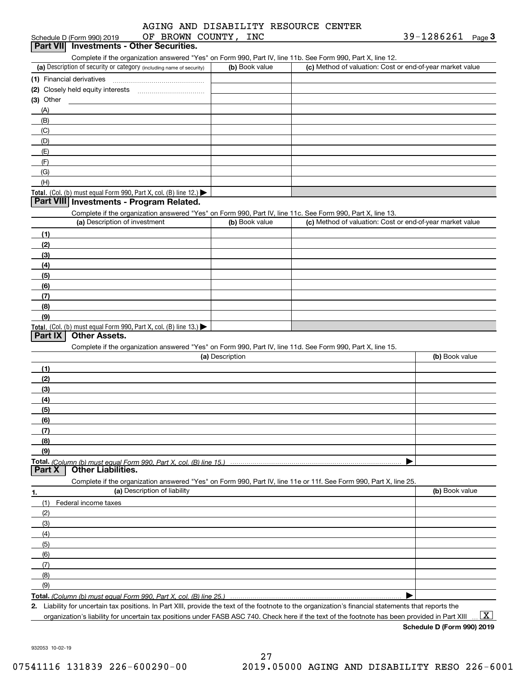| Schedule D (Form 990) 2019                                                                         | OF BROWN COUNTY, INC         |                 |                                                                                                                                                      | $39 - 1286261$ Page 3 |
|----------------------------------------------------------------------------------------------------|------------------------------|-----------------|------------------------------------------------------------------------------------------------------------------------------------------------------|-----------------------|
| Part VII Investments - Other Securities.                                                           |                              |                 |                                                                                                                                                      |                       |
|                                                                                                    |                              |                 | Complete if the organization answered "Yes" on Form 990, Part IV, line 11b. See Form 990, Part X, line 12.                                           |                       |
| (a) Description of security or category (including name of security)                               |                              | (b) Book value  | (c) Method of valuation: Cost or end-of-year market value                                                                                            |                       |
| (1) Financial derivatives                                                                          |                              |                 |                                                                                                                                                      |                       |
|                                                                                                    |                              |                 |                                                                                                                                                      |                       |
| $(3)$ Other                                                                                        |                              |                 |                                                                                                                                                      |                       |
| (A)                                                                                                |                              |                 |                                                                                                                                                      |                       |
| (B)                                                                                                |                              |                 |                                                                                                                                                      |                       |
|                                                                                                    |                              |                 |                                                                                                                                                      |                       |
| (C)                                                                                                |                              |                 |                                                                                                                                                      |                       |
| (D)                                                                                                |                              |                 |                                                                                                                                                      |                       |
| (E)                                                                                                |                              |                 |                                                                                                                                                      |                       |
| (F)                                                                                                |                              |                 |                                                                                                                                                      |                       |
| (G)                                                                                                |                              |                 |                                                                                                                                                      |                       |
| (H)                                                                                                |                              |                 |                                                                                                                                                      |                       |
| Total. (Col. (b) must equal Form 990, Part X, col. (B) line $12$ .)                                |                              |                 |                                                                                                                                                      |                       |
| Part VIII Investments - Program Related.                                                           |                              |                 |                                                                                                                                                      |                       |
|                                                                                                    |                              |                 | Complete if the organization answered "Yes" on Form 990, Part IV, line 11c. See Form 990, Part X, line 13.                                           |                       |
| (a) Description of investment                                                                      |                              | (b) Book value  | (c) Method of valuation: Cost or end-of-year market value                                                                                            |                       |
| (1)                                                                                                |                              |                 |                                                                                                                                                      |                       |
| (2)                                                                                                |                              |                 |                                                                                                                                                      |                       |
| (3)                                                                                                |                              |                 |                                                                                                                                                      |                       |
| (4)                                                                                                |                              |                 |                                                                                                                                                      |                       |
| (5)                                                                                                |                              |                 |                                                                                                                                                      |                       |
| (6)                                                                                                |                              |                 |                                                                                                                                                      |                       |
| (7)                                                                                                |                              |                 |                                                                                                                                                      |                       |
| (8)                                                                                                |                              |                 |                                                                                                                                                      |                       |
| (9)                                                                                                |                              |                 |                                                                                                                                                      |                       |
| <b>Total.</b> (Col. (b) must equal Form 990, Part X, col. (B) line $13.$                           |                              |                 |                                                                                                                                                      |                       |
| Part IX<br><b>Other Assets.</b>                                                                    |                              |                 |                                                                                                                                                      |                       |
|                                                                                                    |                              |                 | Complete if the organization answered "Yes" on Form 990, Part IV, line 11d. See Form 990, Part X, line 15.                                           |                       |
|                                                                                                    |                              | (a) Description |                                                                                                                                                      | (b) Book value        |
| (1)                                                                                                |                              |                 |                                                                                                                                                      |                       |
| (2)                                                                                                |                              |                 |                                                                                                                                                      |                       |
| (3)                                                                                                |                              |                 |                                                                                                                                                      |                       |
| (4)                                                                                                |                              |                 |                                                                                                                                                      |                       |
| (5)                                                                                                |                              |                 |                                                                                                                                                      |                       |
| (6)                                                                                                |                              |                 |                                                                                                                                                      |                       |
| (7)                                                                                                |                              |                 |                                                                                                                                                      |                       |
| (8)                                                                                                |                              |                 |                                                                                                                                                      |                       |
| (9)                                                                                                |                              |                 |                                                                                                                                                      |                       |
|                                                                                                    |                              |                 |                                                                                                                                                      |                       |
| Part X<br><b>Other Liabilities.</b>                                                                |                              |                 |                                                                                                                                                      |                       |
|                                                                                                    |                              |                 |                                                                                                                                                      |                       |
|                                                                                                    | (a) Description of liability |                 | Complete if the organization answered "Yes" on Form 990, Part IV, line 11e or 11f. See Form 990, Part X, line 25.                                    | (b) Book value        |
| 1.                                                                                                 |                              |                 |                                                                                                                                                      |                       |
| Federal income taxes<br>(1)                                                                        |                              |                 |                                                                                                                                                      |                       |
| (2)                                                                                                |                              |                 |                                                                                                                                                      |                       |
| (3)                                                                                                |                              |                 |                                                                                                                                                      |                       |
| (4)                                                                                                |                              |                 |                                                                                                                                                      |                       |
| (5)                                                                                                |                              |                 |                                                                                                                                                      |                       |
| (6)                                                                                                |                              |                 |                                                                                                                                                      |                       |
| (7)                                                                                                |                              |                 |                                                                                                                                                      |                       |
| (8)                                                                                                |                              |                 |                                                                                                                                                      |                       |
| (9)                                                                                                |                              |                 |                                                                                                                                                      |                       |
| <u>Total. (Column (b) must equal Form 990. Part X. col. (B) line 25.) ………………………………………………………………</u> |                              |                 |                                                                                                                                                      |                       |
|                                                                                                    |                              |                 | 2. Liability for uncertain tax positions. In Part XIII, provide the text of the footnote to the organization's financial statements that reports the |                       |

organization's liability for uncertain tax positions under FASB ASC 740. Check here if the text of the footnote has been provided in Part XIII  $\,\ldots\,$   $\overline{\rm X}$ 

**Schedule D (Form 990) 2019**

932053 10-02-19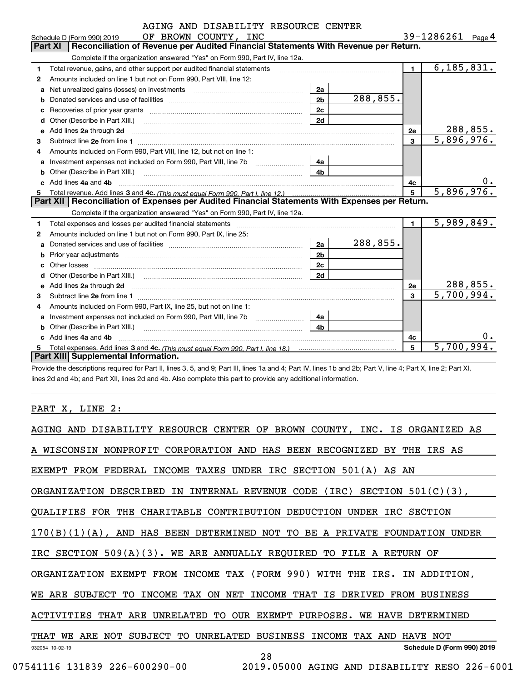|    | AGING AND DISABILITY RESOURCE CENTER                                                                                                                                                                                                |                |            |                        |                          |
|----|-------------------------------------------------------------------------------------------------------------------------------------------------------------------------------------------------------------------------------------|----------------|------------|------------------------|--------------------------|
|    | OF BROWN COUNTY, INC<br>Schedule D (Form 990) 2019                                                                                                                                                                                  |                |            | 39-1286261 $_{Page}$ 4 |                          |
|    | Reconciliation of Revenue per Audited Financial Statements With Revenue per Return.<br><b>Part XI</b>                                                                                                                               |                |            |                        |                          |
|    | Complete if the organization answered "Yes" on Form 990, Part IV, line 12a.                                                                                                                                                         |                |            |                        |                          |
| 1. | Total revenue, gains, and other support per audited financial statements                                                                                                                                                            |                |            | $\blacksquare$         | 6, 185, 831.             |
| 2  | Amounts included on line 1 but not on Form 990, Part VIII, line 12:                                                                                                                                                                 |                |            |                        |                          |
| a  |                                                                                                                                                                                                                                     | 2a             |            |                        |                          |
| b  |                                                                                                                                                                                                                                     | 2 <sub>b</sub> | 288,855.   |                        |                          |
|    |                                                                                                                                                                                                                                     | 2c             |            |                        |                          |
| d  |                                                                                                                                                                                                                                     | 2d             |            |                        |                          |
| е  | Add lines 2a through 2d                                                                                                                                                                                                             |                |            | 2е                     | 288,855.                 |
| 3  |                                                                                                                                                                                                                                     |                |            | $\mathbf{a}$           | $\overline{5,896,976}$ . |
| 4  | Amounts included on Form 990, Part VIII, line 12, but not on line 1:                                                                                                                                                                |                |            |                        |                          |
| a  | Investment expenses not included on Form 990, Part VIII, line 7b [1000000000000000000000000000000000                                                                                                                                | 4a             |            |                        |                          |
| b  | Other (Describe in Part XIII.) <b>Construction Contract Construction</b> Chemistry Chemistry Chemistry Chemistry Chemistry                                                                                                          | 4b             |            |                        |                          |
|    | Add lines 4a and 4b                                                                                                                                                                                                                 |                |            | 4с                     | $0 \cdot$                |
| 5  |                                                                                                                                                                                                                                     | 5              | 5,896,976. |                        |                          |
|    | Part XII   Reconciliation of Expenses per Audited Financial Statements With Expenses per Return.                                                                                                                                    |                |            |                        |                          |
|    | Complete if the organization answered "Yes" on Form 990, Part IV, line 12a.                                                                                                                                                         |                |            |                        |                          |
| 1. | Total expenses and losses per audited financial statements [111] [12] contain an interview and losses per audited financial statements [11] [12] contain an interview and the statements of the statements of the statements a      |                |            | 1 <sup>1</sup>         | 5,989,849.               |
| 2  | Amounts included on line 1 but not on Form 990, Part IX, line 25:                                                                                                                                                                   |                |            |                        |                          |
| a  |                                                                                                                                                                                                                                     | 2a             | 288,855.   |                        |                          |
|    |                                                                                                                                                                                                                                     | 2 <sub>b</sub> |            |                        |                          |
| C. |                                                                                                                                                                                                                                     | 2c             |            |                        |                          |
|    |                                                                                                                                                                                                                                     | 2d             |            |                        |                          |
| е  | Add lines 2a through 2d <b>contained a contained a contained a contained a</b> contained a contact the set of the set of the set of the set of the set of the set of the set of the set of the set of the set of the set of the set |                |            | <b>2e</b>              | 288,855.                 |
| 3  |                                                                                                                                                                                                                                     |                |            | 3                      | $\overline{5,700,994}$ . |
| 4  | Amounts included on Form 990, Part IX, line 25, but not on line 1:                                                                                                                                                                  |                |            |                        |                          |
| a  | Investment expenses not included on Form 990, Part VIII, line 7b                                                                                                                                                                    | 4a             |            |                        |                          |
|    | <b>b</b> Other (Describe in Part XIII.)                                                                                                                                                                                             | 4 <sub>b</sub> |            |                        |                          |
|    | c Add lines 4a and 4b                                                                                                                                                                                                               |                |            | 4c                     |                          |
|    |                                                                                                                                                                                                                                     |                |            | 5                      | 5,700,994                |
|    | Part XIII Supplemental Information.                                                                                                                                                                                                 |                |            |                        |                          |

Provide the descriptions required for Part II, lines 3, 5, and 9; Part III, lines 1a and 4; Part IV, lines 1b and 2b; Part V, line 4; Part X, line 2; Part XI, lines 2d and 4b; and Part XII, lines 2d and 4b. Also complete this part to provide any additional information.

### PART X, LINE 2:

|                 | A WISCONSIN NONPROFIT CORPORATION AND HAS BEEN RECOGNIZED BY                            | THE IRS AS                 |
|-----------------|-----------------------------------------------------------------------------------------|----------------------------|
|                 | EXEMPT FROM FEDERAL INCOME TAXES UNDER IRC SECTION 501(A) AS AN                         |                            |
|                 | IN INTERNAL REVENUE CODE (IRC)<br>SECTION $501(C)(3)$ ,<br>ORGANIZATION DESCRIBED       |                            |
|                 | OUALIFIES FOR<br>THE CHARITABLE CONTRIBUTION DEDUCTION<br>UNDER IRC SECTION             |                            |
|                 | $170(B)(1)(A)$ , AND HAS BEEN DETERMINED NOT TO BE A PRIVATE<br>FOUNDATION              | UNDER                      |
|                 | IRC SECTION $509(A)(3)$ . WE ARE ANNUALLY REQUIRED TO FILE A RETURN OF                  |                            |
|                 | TAX (FORM 990)<br>ORGANIZATION EXEMPT FROM INCOME<br>WITH THE<br>IRS.                   | IN ADDITION.               |
|                 | WE ARE SUBJECT<br>TO<br>INCOME<br>TAX ON NET INCOME<br>THAT IS DERIVED<br>FROM BUSINESS |                            |
|                 | ACTIVITIES THAT ARE UNRELATED<br>OUR EXEMPT PURPOSES.<br>WE HAVE DETERMINED<br>TO       |                            |
| THAT WE         | SUBJECT<br>TO<br>UNRELATED<br>BUSINESS INCOME TAX AND<br>ARE NOT<br>HAVE NOT            |                            |
| 932054 10-02-19 | 28                                                                                      | Schedule D (Form 990) 2019 |
|                 | 07541116 131839 226-600290-00<br>2019.05000 AGING AND DISABILITY RESO 226-6001          |                            |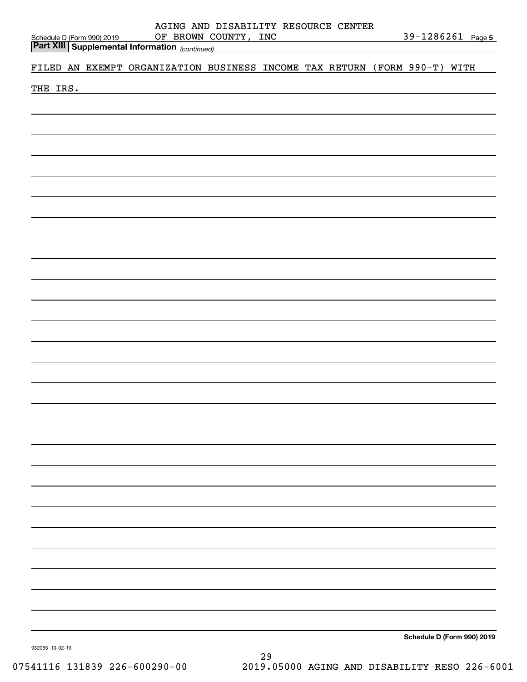|                                                                                                | AGING AND DISABILITY RESOURCE CENTER<br>OF BROWN COUNTY, INC |  |  |  | 39-1286261 Page 5          |
|------------------------------------------------------------------------------------------------|--------------------------------------------------------------|--|--|--|----------------------------|
| Schedule D (Form 990) 2019<br><b>Part XIII</b> Supplemental Information <sub>(continued)</sub> |                                                              |  |  |  |                            |
| FILED AN EXEMPT ORGANIZATION BUSINESS INCOME TAX RETURN (FORM 990-T) WITH                      |                                                              |  |  |  |                            |
| THE IRS.                                                                                       | <u> 1980 - Jan Barat, martin amerikan ba</u>                 |  |  |  |                            |
|                                                                                                |                                                              |  |  |  |                            |
|                                                                                                |                                                              |  |  |  |                            |
|                                                                                                |                                                              |  |  |  |                            |
|                                                                                                |                                                              |  |  |  |                            |
|                                                                                                |                                                              |  |  |  |                            |
|                                                                                                |                                                              |  |  |  |                            |
|                                                                                                |                                                              |  |  |  |                            |
|                                                                                                |                                                              |  |  |  |                            |
|                                                                                                |                                                              |  |  |  |                            |
|                                                                                                |                                                              |  |  |  |                            |
|                                                                                                |                                                              |  |  |  |                            |
|                                                                                                |                                                              |  |  |  |                            |
|                                                                                                |                                                              |  |  |  |                            |
|                                                                                                |                                                              |  |  |  |                            |
|                                                                                                |                                                              |  |  |  |                            |
|                                                                                                |                                                              |  |  |  |                            |
|                                                                                                |                                                              |  |  |  |                            |
|                                                                                                |                                                              |  |  |  |                            |
|                                                                                                |                                                              |  |  |  |                            |
|                                                                                                |                                                              |  |  |  |                            |
|                                                                                                |                                                              |  |  |  |                            |
|                                                                                                |                                                              |  |  |  |                            |
|                                                                                                |                                                              |  |  |  |                            |
|                                                                                                |                                                              |  |  |  |                            |
|                                                                                                |                                                              |  |  |  |                            |
|                                                                                                |                                                              |  |  |  |                            |
|                                                                                                |                                                              |  |  |  |                            |
|                                                                                                |                                                              |  |  |  |                            |
|                                                                                                |                                                              |  |  |  |                            |
|                                                                                                |                                                              |  |  |  |                            |
|                                                                                                |                                                              |  |  |  |                            |
|                                                                                                |                                                              |  |  |  |                            |
| 932055 10-02-19                                                                                |                                                              |  |  |  | Schedule D (Form 990) 2019 |

29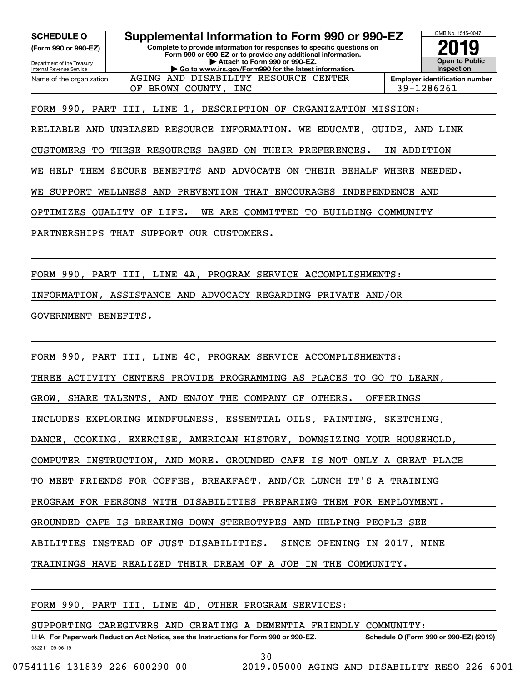**(Form 990 or 990-EZ)**

Department of the Treasury Internal Revenue Service Name of the organization

# **SCHEDULE O Supplemental Information to Form 990 or 990-EZ**

**Complete to provide information for responses to specific questions on Form 990 or 990-EZ or to provide any additional information. | Attach to Form 990 or 990-EZ. | Go to www.irs.gov/Form990 for the latest information.** AGING AND DISABILITY RESOURCE CENTER



FORM 990, PART III, LINE 1, DESCRIPTION OF ORGANIZATION MISSION:

RELIABLE AND UNBIASED RESOURCE INFORMATION. WE EDUCATE, GUIDE, AND LINK

CUSTOMERS TO THESE RESOURCES BASED ON THEIR PREFERENCES. IN ADDITION

WE HELP THEM SECURE BENEFITS AND ADVOCATE ON THEIR BEHALF WHERE NEEDED.

WE SUPPORT WELLNESS AND PREVENTION THAT ENCOURAGES INDEPENDENCE AND

OPTIMIZES QUALITY OF LIFE. WE ARE COMMITTED TO BUILDING COMMUNITY

PARTNERSHIPS THAT SUPPORT OUR CUSTOMERS.

FORM 990, PART III, LINE 4A, PROGRAM SERVICE ACCOMPLISHMENTS:

INFORMATION, ASSISTANCE AND ADVOCACY REGARDING PRIVATE AND/OR

GOVERNMENT BENEFITS.

FORM 990, PART III, LINE 4C, PROGRAM SERVICE ACCOMPLISHMENTS:

THREE ACTIVITY CENTERS PROVIDE PROGRAMMING AS PLACES TO GO TO LEARN,

GROW, SHARE TALENTS, AND ENJOY THE COMPANY OF OTHERS. OFFERINGS

INCLUDES EXPLORING MINDFULNESS, ESSENTIAL OILS, PAINTING, SKETCHING,

DANCE, COOKING, EXERCISE, AMERICAN HISTORY, DOWNSIZING YOUR HOUSEHOLD,

COMPUTER INSTRUCTION, AND MORE. GROUNDED CAFE IS NOT ONLY A GREAT PLACE

TO MEET FRIENDS FOR COFFEE, BREAKFAST, AND/OR LUNCH IT'S A TRAINING

PROGRAM FOR PERSONS WITH DISABILITIES PREPARING THEM FOR EMPLOYMENT.

GROUNDED CAFE IS BREAKING DOWN STEREOTYPES AND HELPING PEOPLE SEE

ABILITIES INSTEAD OF JUST DISABILITIES. SINCE OPENING IN 2017, NINE

TRAININGS HAVE REALIZED THEIR DREAM OF A JOB IN THE COMMUNITY.

| FORM 990, PART III, LINE 4D, OTHER PROGRAM SERVICES: |  |
|------------------------------------------------------|--|
|------------------------------------------------------|--|

SUPPORTING CAREGIVERS AND CREATING A DEMENTIA FRIENDLY COMMUNITY:

932211 09-06-19 LHA For Paperwork Reduction Act Notice, see the Instructions for Form 990 or 990-EZ. Schedule O (Form 990 or 990-EZ) (2019)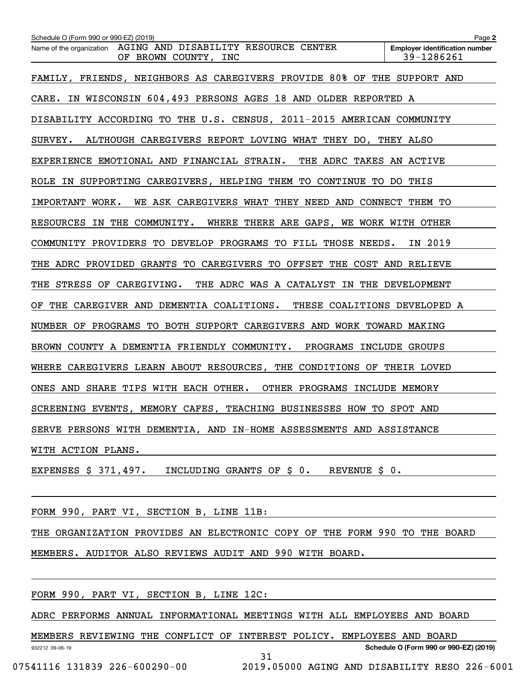| Schedule O (Form 990 or 990-EZ) (2019)                                                | Page 2                                              |
|---------------------------------------------------------------------------------------|-----------------------------------------------------|
| Name of the organization AGING AND DISABILITY RESOURCE CENTER<br>OF BROWN COUNTY, INC | <b>Employer identification number</b><br>39-1286261 |
| FAMILY, FRIENDS, NEIGHBORS AS CAREGIVERS PROVIDE 80% OF THE SUPPORT AND               |                                                     |
| CARE. IN WISCONSIN 604,493 PERSONS AGES 18 AND OLDER REPORTED A                       |                                                     |
| DISABILITY ACCORDING TO THE U.S. CENSUS, 2011-2015 AMERICAN COMMUNITY                 |                                                     |
| ALTHOUGH CAREGIVERS REPORT LOVING WHAT THEY DO, THEY ALSO<br>SURVEY.                  |                                                     |
| EXPERIENCE EMOTIONAL AND FINANCIAL STRAIN. THE ADRC TAKES AN ACTIVE                   |                                                     |
| ROLE IN SUPPORTING CAREGIVERS, HELPING THEM TO CONTINUE TO DO THIS                    |                                                     |
| IMPORTANT WORK.<br>WE ASK CAREGIVERS WHAT THEY NEED AND CONNECT THEM TO               |                                                     |
| RESOURCES IN THE COMMUNITY. WHERE THERE ARE GAPS, WE WORK WITH OTHER                  |                                                     |
| COMMUNITY PROVIDERS TO DEVELOP PROGRAMS TO FILL THOSE NEEDS.                          | IN 2019                                             |
| THE ADRC PROVIDED GRANTS TO CAREGIVERS TO OFFSET THE COST AND RELIEVE                 |                                                     |
| STRESS OF CAREGIVING. THE ADRC WAS A CATALYST IN THE DEVELOPMENT<br>THE               |                                                     |
| OF THE CAREGIVER AND DEMENTIA COALITIONS. THESE COALITIONS DEVELOPED A                |                                                     |
| NUMBER OF PROGRAMS TO BOTH SUPPORT CAREGIVERS AND WORK TOWARD MAKING                  |                                                     |
| BROWN COUNTY A DEMENTIA FRIENDLY COMMUNITY. PROGRAMS INCLUDE GROUPS                   |                                                     |
| WHERE CAREGIVERS LEARN ABOUT RESOURCES, THE CONDITIONS OF THEIR LOVED                 |                                                     |
| ONES AND SHARE TIPS WITH EACH OTHER. OTHER PROGRAMS INCLUDE MEMORY                    |                                                     |
| SCREENING EVENTS, MEMORY CAFES, TEACHING BUSINESSES HOW TO SPOT AND                   |                                                     |
| SERVE PERSONS WITH DEMENTIA, AND IN-HOME ASSESSMENTS AND ASSISTANCE                   |                                                     |
| WITH ACTION PLANS.                                                                    |                                                     |

EXPENSES \$ 371,497. INCLUDING GRANTS OF \$ 0. REVENUE \$ 0.

FORM 990, PART VI, SECTION B, LINE 11B:

THE ORGANIZATION PROVIDES AN ELECTRONIC COPY OF THE FORM 990 TO THE BOARD

MEMBERS. AUDITOR ALSO REVIEWS AUDIT AND 990 WITH BOARD.

#### FORM 990, PART VI, SECTION B, LINE 12C:

ADRC PERFORMS ANNUAL INFORMATIONAL MEETINGS WITH ALL EMPLOYEES AND BOARD

MEMBERS REVIEWING THE CONFLICT OF INTEREST POLICY. EMPLOYEES AND BOARD

932212 09-06-19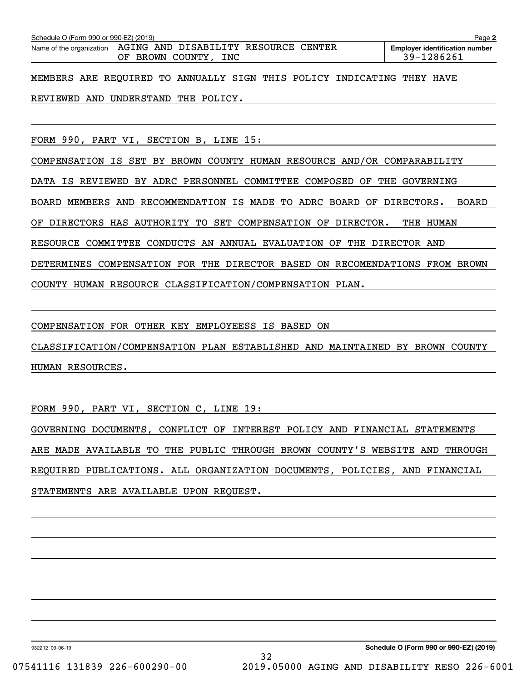|                                                                                        | Schedule O (Form 990 or 990-EZ) (2019)<br>Page 2 |  |  |                                     |  |  |  |                                                                        |  |  |  |
|----------------------------------------------------------------------------------------|--------------------------------------------------|--|--|-------------------------------------|--|--|--|------------------------------------------------------------------------|--|--|--|
| Name of the organization  AGING AND DISABILITY RESOURCE CENTER<br>OF BROWN COUNTY, INC |                                                  |  |  |                                     |  |  |  | <b>Employer identification number</b><br>39-1286261                    |  |  |  |
|                                                                                        |                                                  |  |  |                                     |  |  |  | MEMBERS ARE REQUIRED TO ANNUALLY SIGN THIS POLICY INDICATING THEY HAVE |  |  |  |
|                                                                                        |                                                  |  |  | REVIEWED AND UNDERSTAND THE POLICY. |  |  |  |                                                                        |  |  |  |

FORM 990, PART VI, SECTION B, LINE 15:

COMPENSATION IS SET BY BROWN COUNTY HUMAN RESOURCE AND/OR COMPARABILITY

DATA IS REVIEWED BY ADRC PERSONNEL COMMITTEE COMPOSED OF THE GOVERNING

BOARD MEMBERS AND RECOMMENDATION IS MADE TO ADRC BOARD OF DIRECTORS. BOARD

OF DIRECTORS HAS AUTHORITY TO SET COMPENSATION OF DIRECTOR. THE HUMAN

RESOURCE COMMITTEE CONDUCTS AN ANNUAL EVALUATION OF THE DIRECTOR AND

DETERMINES COMPENSATION FOR THE DIRECTOR BASED ON RECOMENDATIONS FROM BROWN

COUNTY HUMAN RESOURCE CLASSIFICATION/COMPENSATION PLAN.

COMPENSATION FOR OTHER KEY EMPLOYEESS IS BASED ON

CLASSIFICATION/COMPENSATION PLAN ESTABLISHED AND MAINTAINED BY BROWN COUNTY HUMAN RESOURCES.

FORM 990, PART VI, SECTION C, LINE 19:

GOVERNING DOCUMENTS, CONFLICT OF INTEREST POLICY AND FINANCIAL STATEMENTS ARE MADE AVAILABLE TO THE PUBLIC THROUGH BROWN COUNTY'S WEBSITE AND THROUGH REQUIRED PUBLICATIONS. ALL ORGANIZATION DOCUMENTS, POLICIES, AND FINANCIAL STATEMENTS ARE AVAILABLE UPON REQUEST.

932212 09-06-19